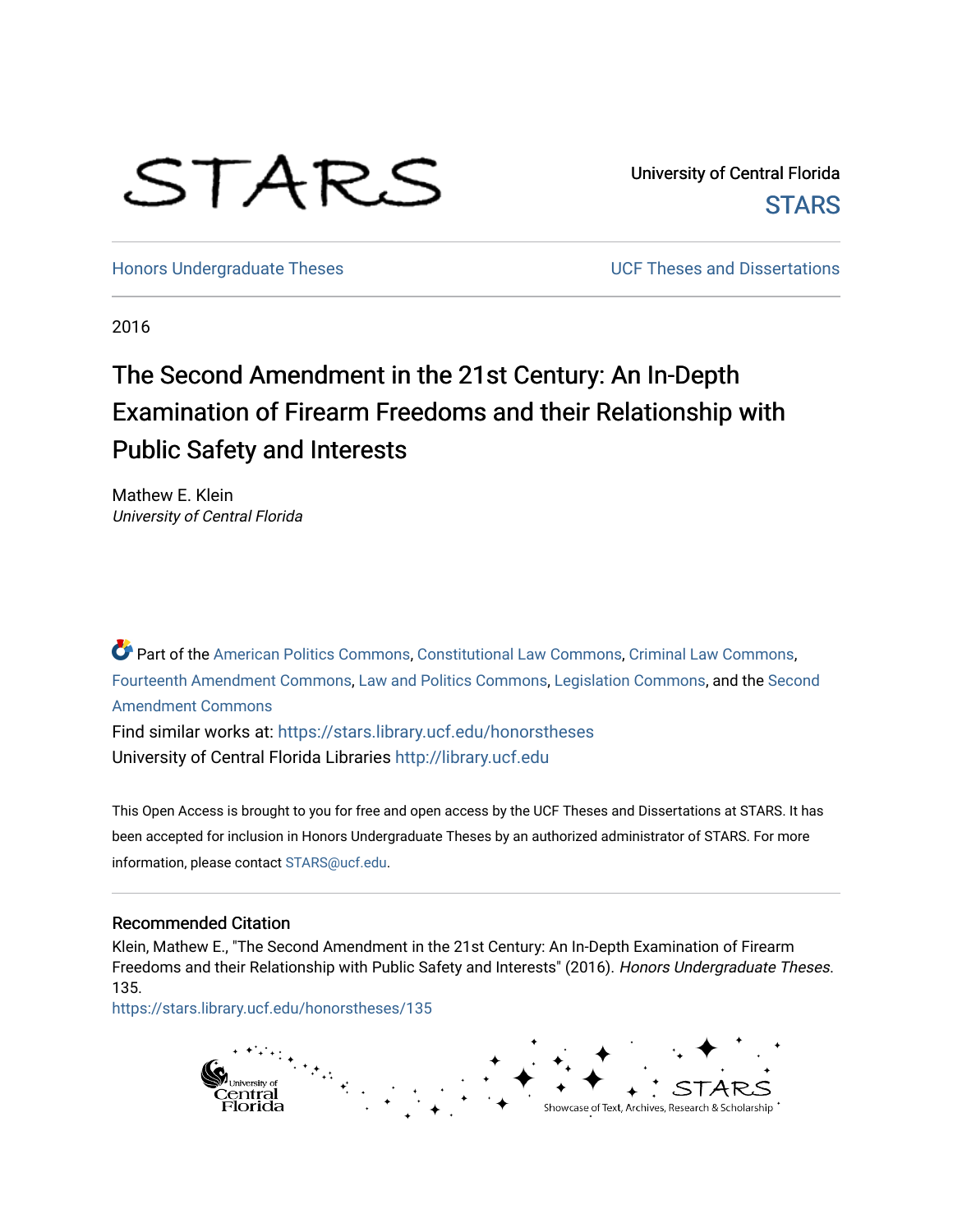# STARS

University of Central Florida **STARS** 

[Honors Undergraduate Theses](https://stars.library.ucf.edu/honorstheses) **No. 2018** UCF Theses and Dissertations

2016

# The Second Amendment in the 21st Century: An In-Depth Examination of Firearm Freedoms and their Relationship with Public Safety and Interests

Mathew E. Klein University of Central Florida

Part of the [American Politics Commons,](http://network.bepress.com/hgg/discipline/387?utm_source=stars.library.ucf.edu%2Fhonorstheses%2F135&utm_medium=PDF&utm_campaign=PDFCoverPages) [Constitutional Law Commons,](http://network.bepress.com/hgg/discipline/589?utm_source=stars.library.ucf.edu%2Fhonorstheses%2F135&utm_medium=PDF&utm_campaign=PDFCoverPages) [Criminal Law Commons](http://network.bepress.com/hgg/discipline/912?utm_source=stars.library.ucf.edu%2Fhonorstheses%2F135&utm_medium=PDF&utm_campaign=PDFCoverPages), [Fourteenth Amendment Commons](http://network.bepress.com/hgg/discipline/1116?utm_source=stars.library.ucf.edu%2Fhonorstheses%2F135&utm_medium=PDF&utm_campaign=PDFCoverPages), [Law and Politics Commons,](http://network.bepress.com/hgg/discipline/867?utm_source=stars.library.ucf.edu%2Fhonorstheses%2F135&utm_medium=PDF&utm_campaign=PDFCoverPages) [Legislation Commons,](http://network.bepress.com/hgg/discipline/859?utm_source=stars.library.ucf.edu%2Fhonorstheses%2F135&utm_medium=PDF&utm_campaign=PDFCoverPages) and the [Second](http://network.bepress.com/hgg/discipline/1119?utm_source=stars.library.ucf.edu%2Fhonorstheses%2F135&utm_medium=PDF&utm_campaign=PDFCoverPages)  [Amendment Commons](http://network.bepress.com/hgg/discipline/1119?utm_source=stars.library.ucf.edu%2Fhonorstheses%2F135&utm_medium=PDF&utm_campaign=PDFCoverPages)

Find similar works at: <https://stars.library.ucf.edu/honorstheses> University of Central Florida Libraries [http://library.ucf.edu](http://library.ucf.edu/) 

This Open Access is brought to you for free and open access by the UCF Theses and Dissertations at STARS. It has been accepted for inclusion in Honors Undergraduate Theses by an authorized administrator of STARS. For more information, please contact [STARS@ucf.edu.](mailto:STARS@ucf.edu)

# Recommended Citation

Klein, Mathew E., "The Second Amendment in the 21st Century: An In-Depth Examination of Firearm Freedoms and their Relationship with Public Safety and Interests" (2016). Honors Undergraduate Theses. 135.

[https://stars.library.ucf.edu/honorstheses/135](https://stars.library.ucf.edu/honorstheses/135?utm_source=stars.library.ucf.edu%2Fhonorstheses%2F135&utm_medium=PDF&utm_campaign=PDFCoverPages) 

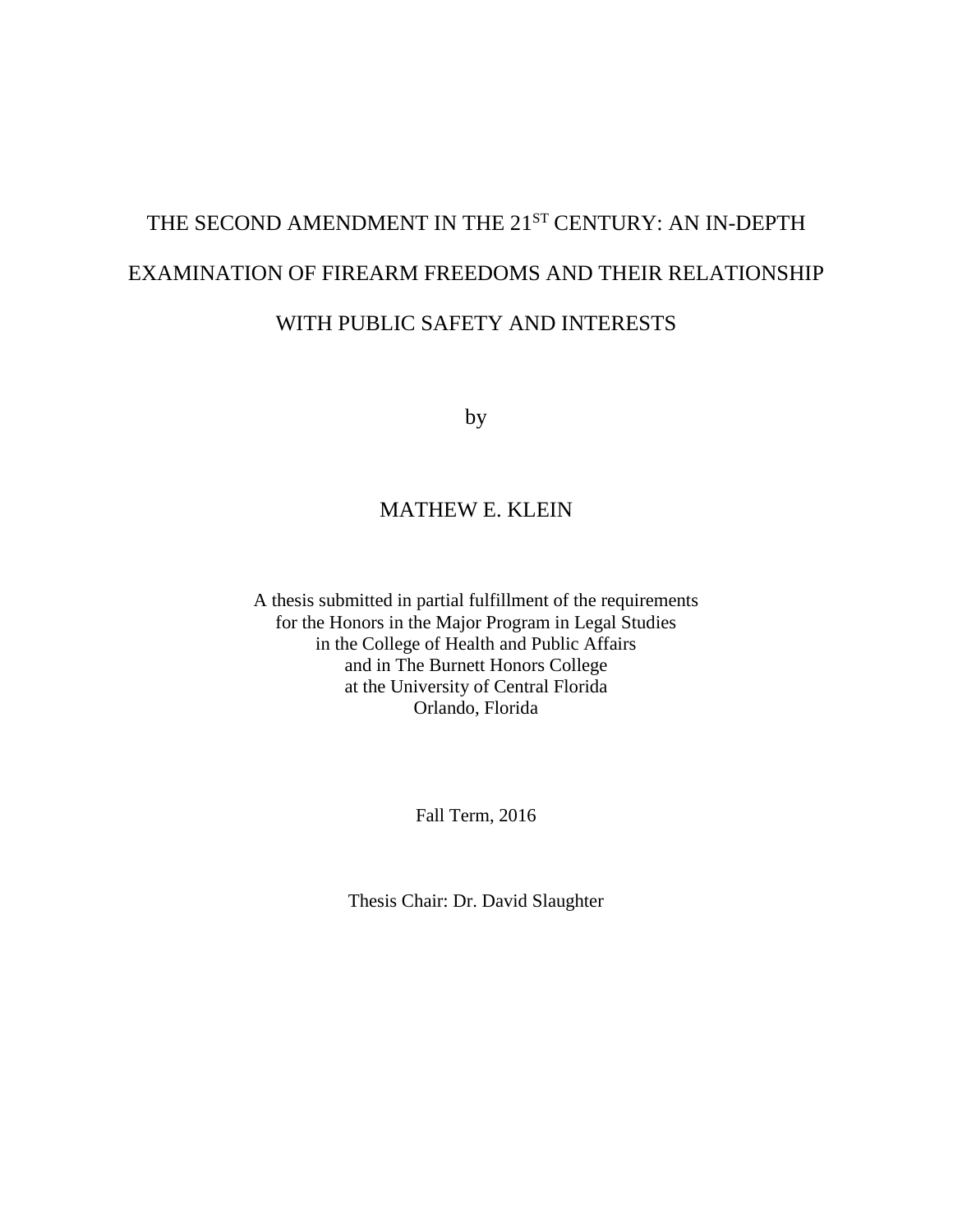# THE SECOND AMENDMENT IN THE 21<sup>ST</sup> CENTURY: AN IN-DEPTH EXAMINATION OF FIREARM FREEDOMS AND THEIR RELATIONSHIP WITH PUBLIC SAFETY AND INTERESTS

by

# MATHEW E. KLEIN

A thesis submitted in partial fulfillment of the requirements for the Honors in the Major Program in Legal Studies in the College of Health and Public Affairs and in The Burnett Honors College at the University of Central Florida Orlando, Florida

Fall Term, 2016

Thesis Chair: Dr. David Slaughter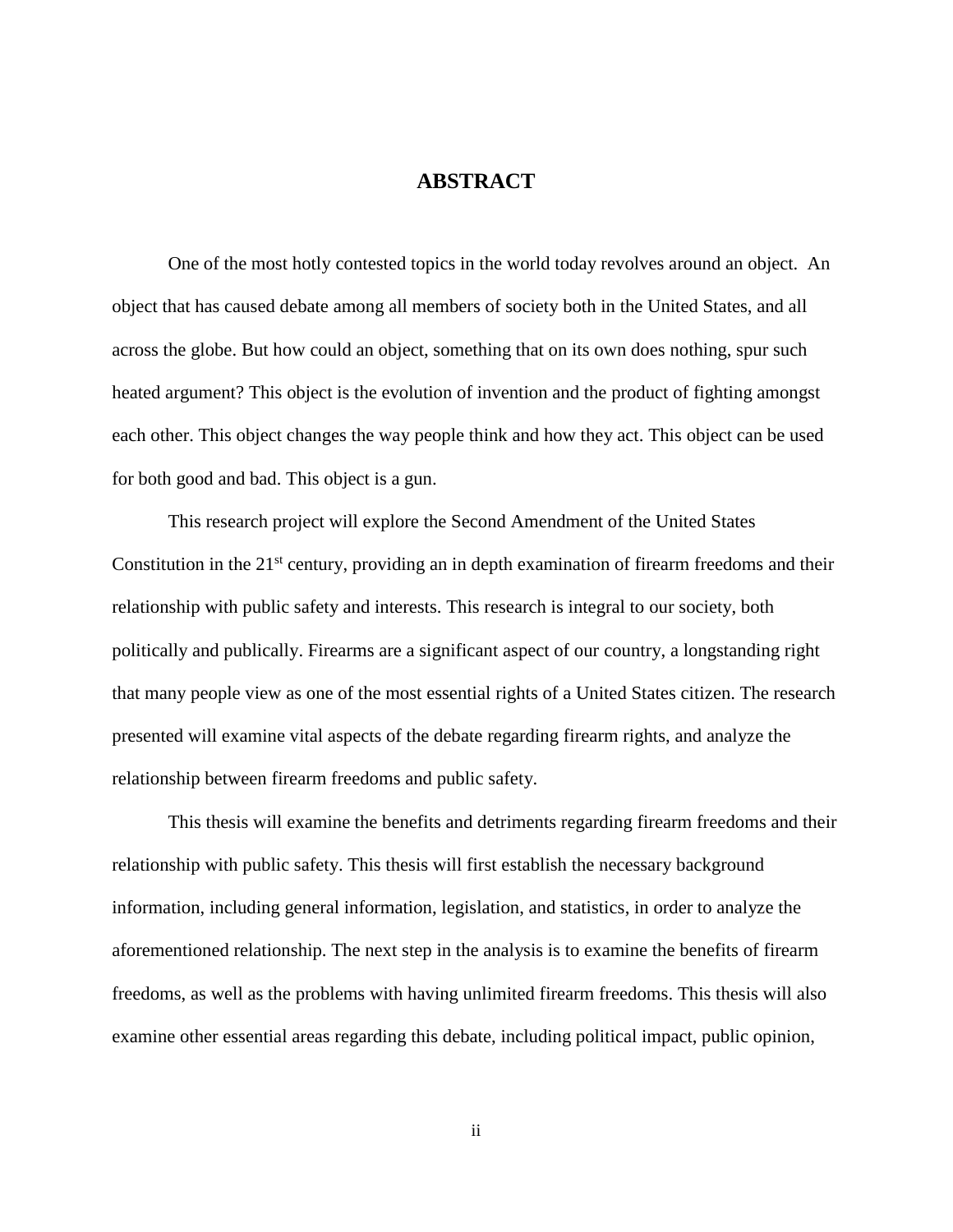# **ABSTRACT**

One of the most hotly contested topics in the world today revolves around an object. An object that has caused debate among all members of society both in the United States, and all across the globe. But how could an object, something that on its own does nothing, spur such heated argument? This object is the evolution of invention and the product of fighting amongst each other. This object changes the way people think and how they act. This object can be used for both good and bad. This object is a gun.

This research project will explore the Second Amendment of the United States Constitution in the 21<sup>st</sup> century, providing an in depth examination of firearm freedoms and their relationship with public safety and interests. This research is integral to our society, both politically and publically. Firearms are a significant aspect of our country, a longstanding right that many people view as one of the most essential rights of a United States citizen. The research presented will examine vital aspects of the debate regarding firearm rights, and analyze the relationship between firearm freedoms and public safety.

This thesis will examine the benefits and detriments regarding firearm freedoms and their relationship with public safety. This thesis will first establish the necessary background information, including general information, legislation, and statistics, in order to analyze the aforementioned relationship. The next step in the analysis is to examine the benefits of firearm freedoms, as well as the problems with having unlimited firearm freedoms. This thesis will also examine other essential areas regarding this debate, including political impact, public opinion,

ii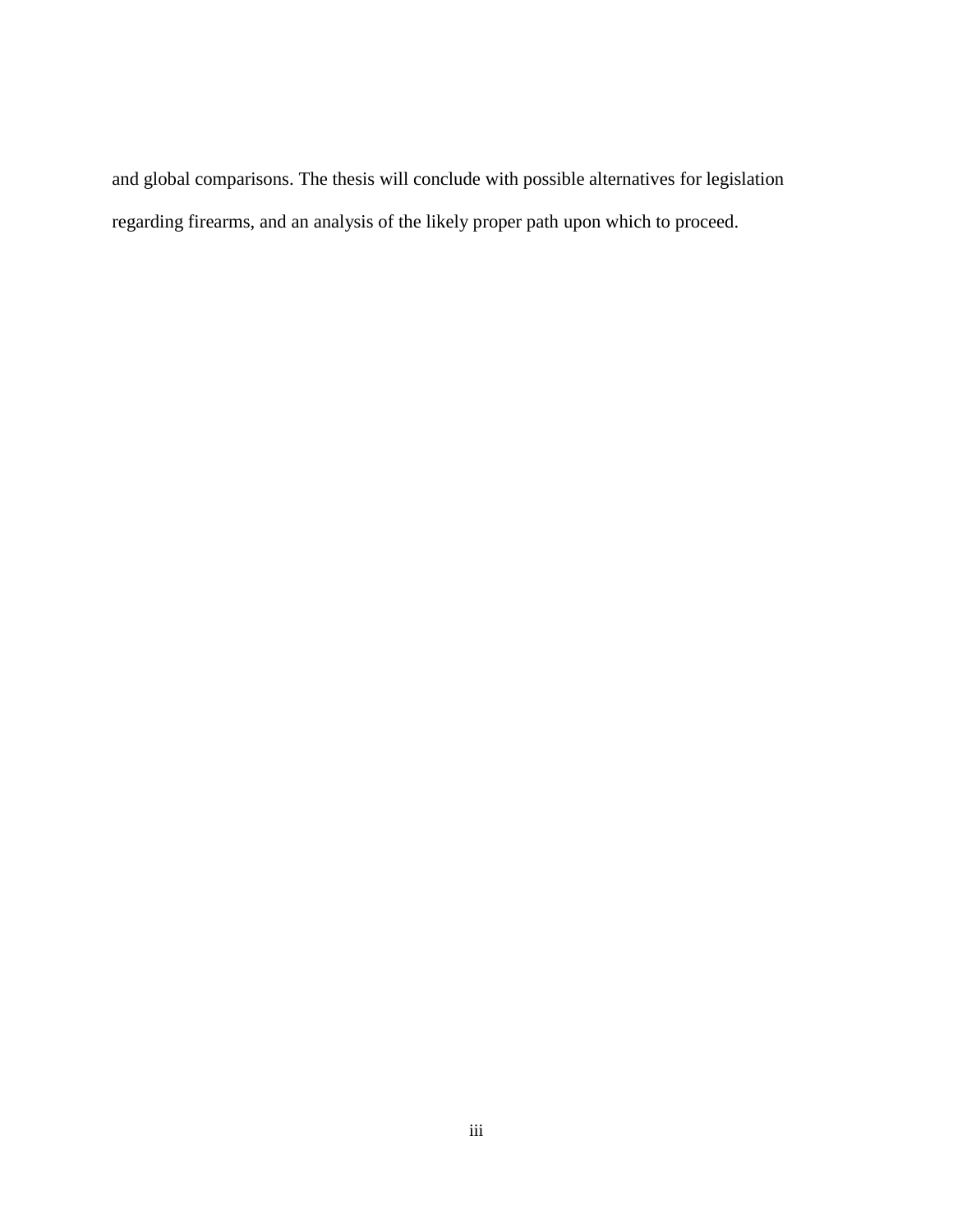and global comparisons. The thesis will conclude with possible alternatives for legislation regarding firearms, and an analysis of the likely proper path upon which to proceed.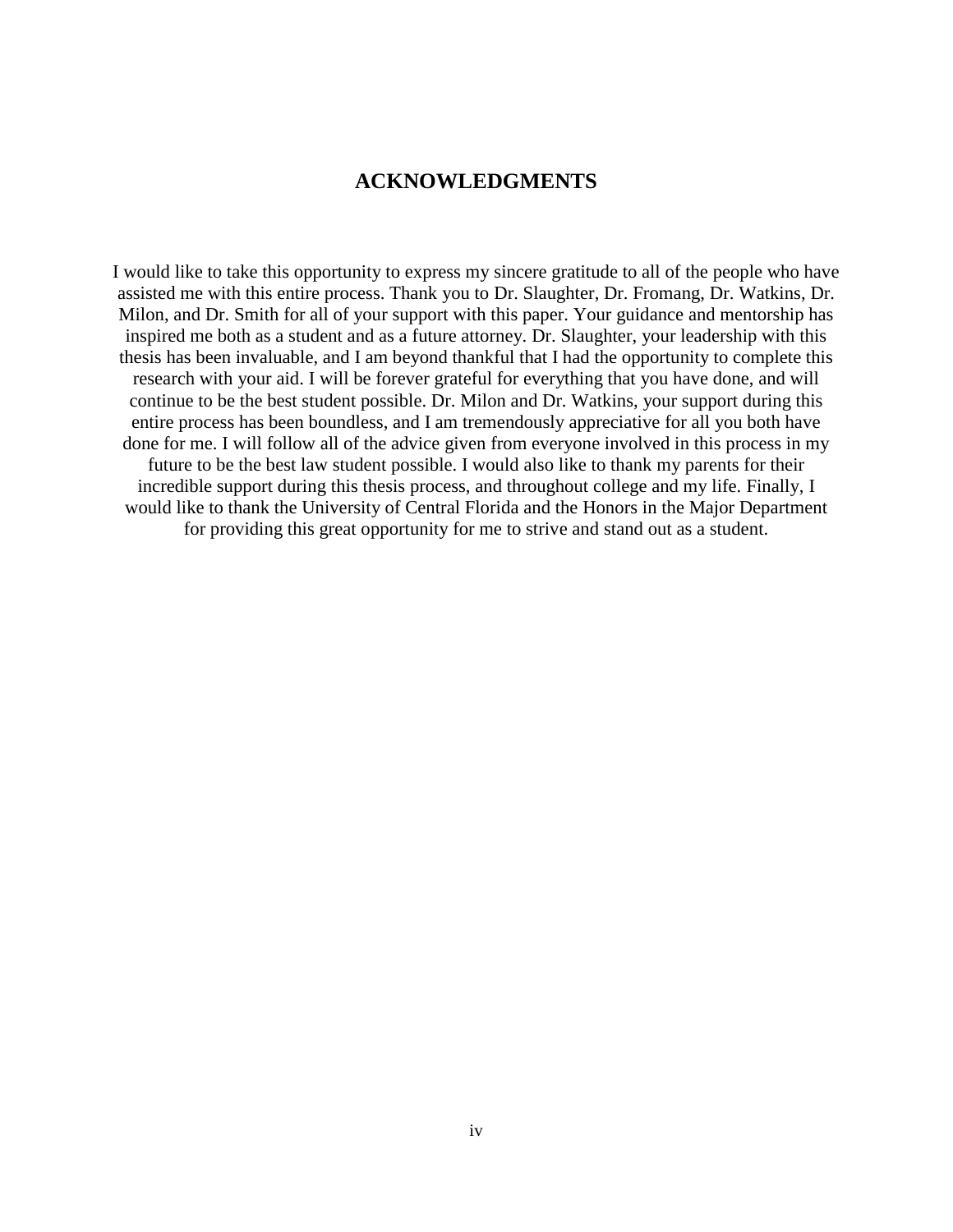# **ACKNOWLEDGMENTS**

I would like to take this opportunity to express my sincere gratitude to all of the people who have assisted me with this entire process. Thank you to Dr. Slaughter, Dr. Fromang, Dr. Watkins, Dr. Milon, and Dr. Smith for all of your support with this paper. Your guidance and mentorship has inspired me both as a student and as a future attorney. Dr. Slaughter, your leadership with this thesis has been invaluable, and I am beyond thankful that I had the opportunity to complete this research with your aid. I will be forever grateful for everything that you have done, and will continue to be the best student possible. Dr. Milon and Dr. Watkins, your support during this entire process has been boundless, and I am tremendously appreciative for all you both have done for me. I will follow all of the advice given from everyone involved in this process in my future to be the best law student possible. I would also like to thank my parents for their incredible support during this thesis process, and throughout college and my life. Finally, I would like to thank the University of Central Florida and the Honors in the Major Department for providing this great opportunity for me to strive and stand out as a student.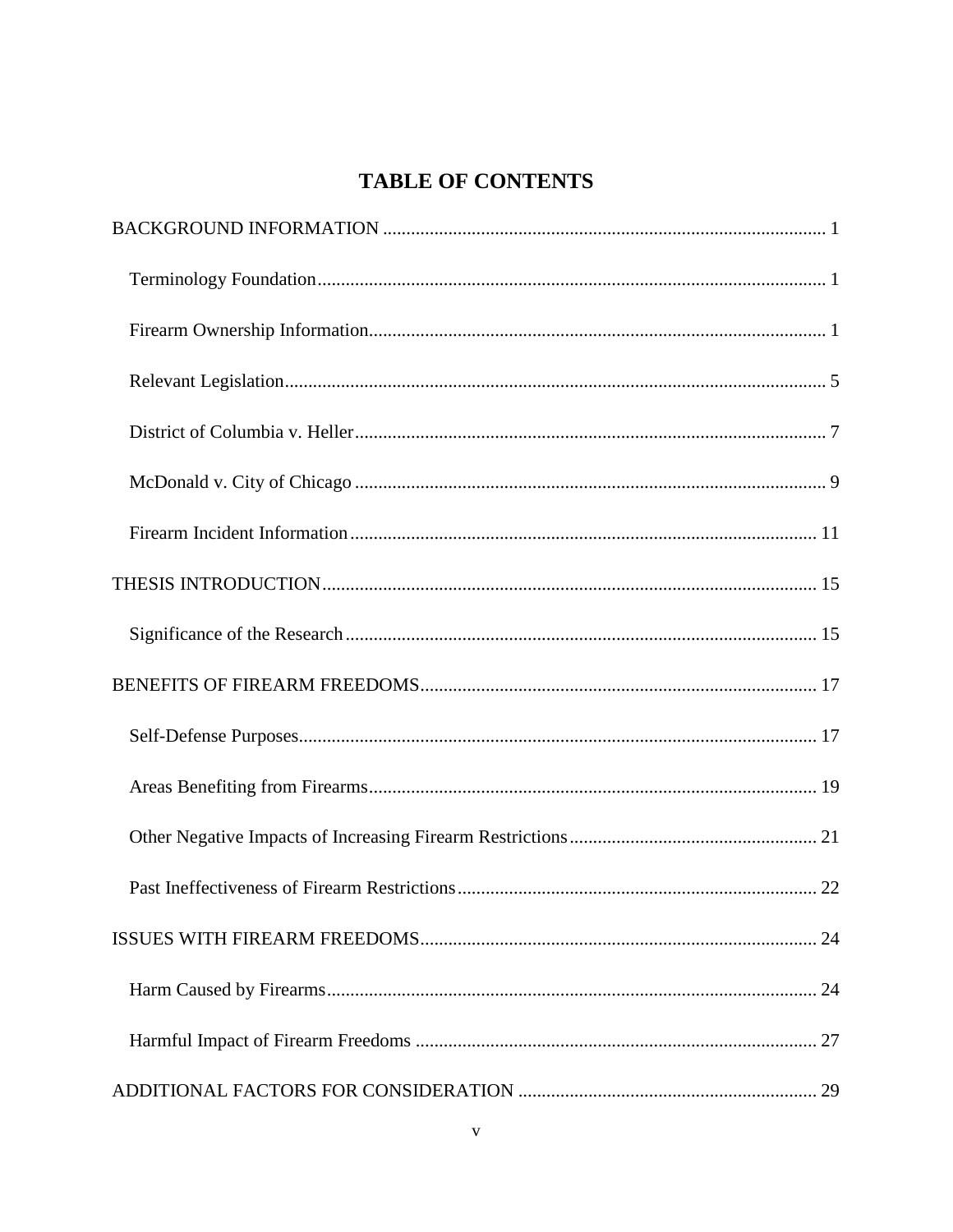# **TABLE OF CONTENTS**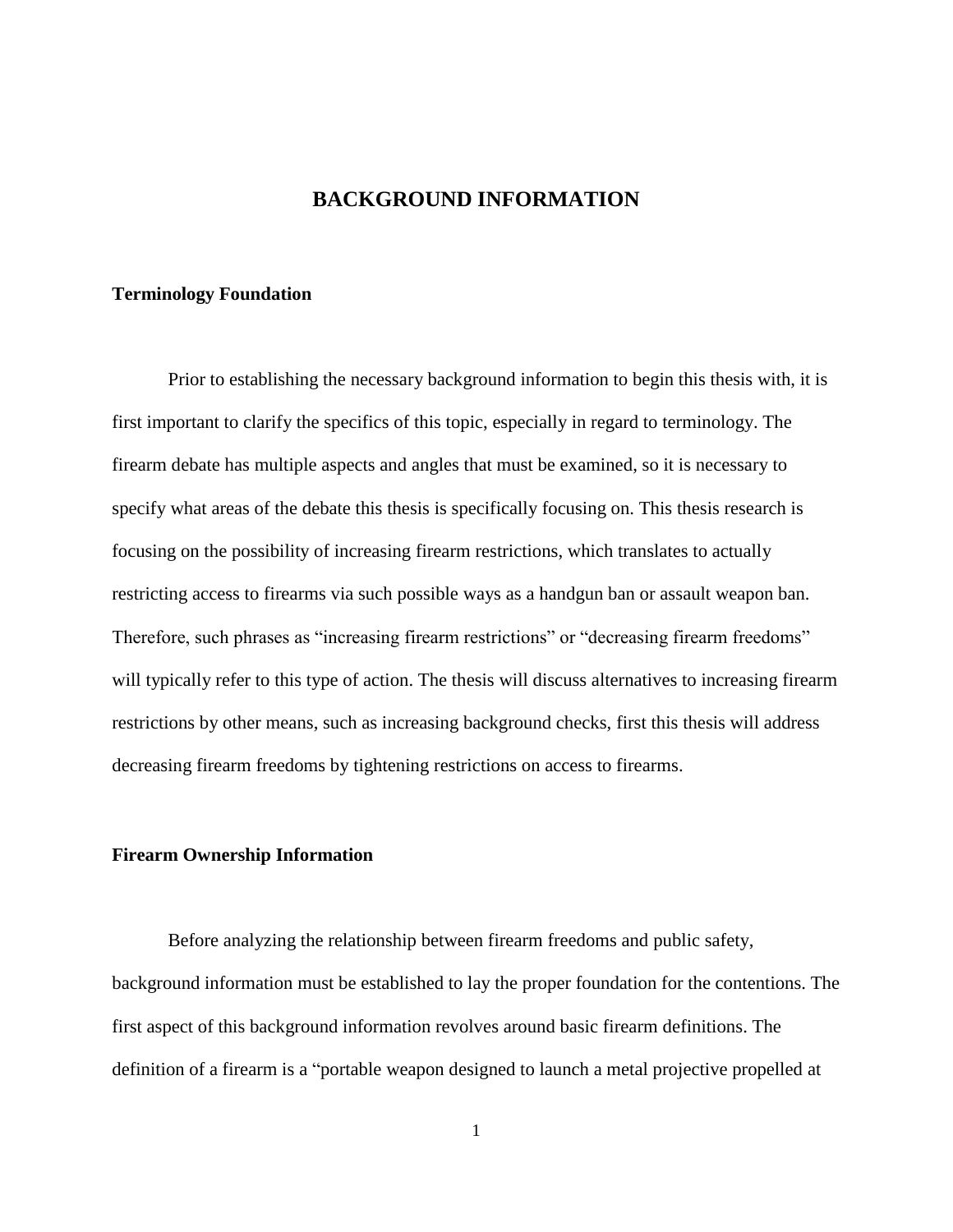# **BACKGROUND INFORMATION**

#### <span id="page-7-1"></span><span id="page-7-0"></span>**Terminology Foundation**

Prior to establishing the necessary background information to begin this thesis with, it is first important to clarify the specifics of this topic, especially in regard to terminology. The firearm debate has multiple aspects and angles that must be examined, so it is necessary to specify what areas of the debate this thesis is specifically focusing on. This thesis research is focusing on the possibility of increasing firearm restrictions, which translates to actually restricting access to firearms via such possible ways as a handgun ban or assault weapon ban. Therefore, such phrases as "increasing firearm restrictions" or "decreasing firearm freedoms" will typically refer to this type of action. The thesis will discuss alternatives to increasing firearm restrictions by other means, such as increasing background checks, first this thesis will address decreasing firearm freedoms by tightening restrictions on access to firearms.

# <span id="page-7-2"></span>**Firearm Ownership Information**

Before analyzing the relationship between firearm freedoms and public safety, background information must be established to lay the proper foundation for the contentions. The first aspect of this background information revolves around basic firearm definitions. The definition of a firearm is a "portable weapon designed to launch a metal projective propelled at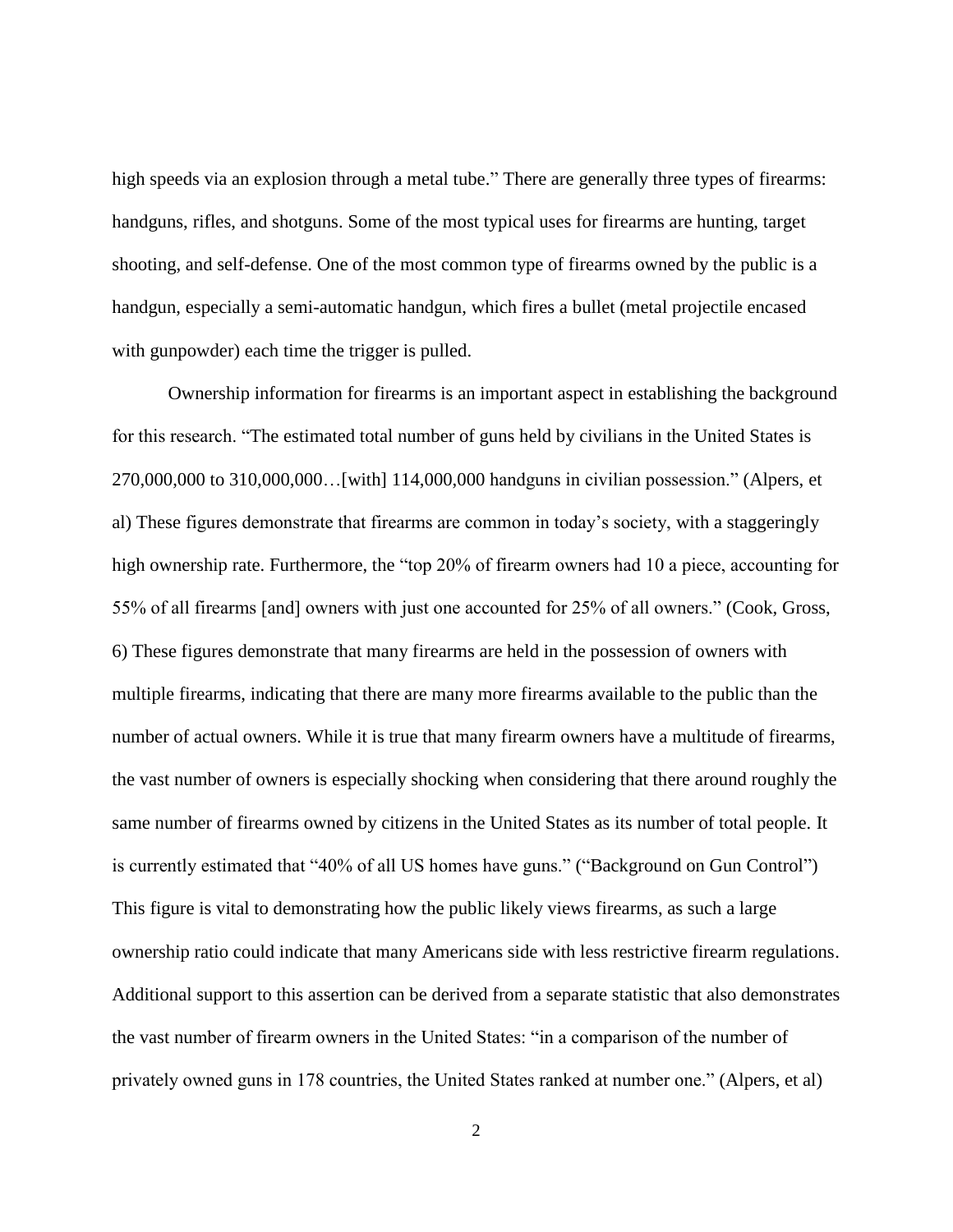high speeds via an explosion through a metal tube." There are generally three types of firearms: handguns, rifles, and shotguns. Some of the most typical uses for firearms are hunting, target shooting, and self-defense. One of the most common type of firearms owned by the public is a handgun, especially a semi-automatic handgun, which fires a bullet (metal projectile encased with gunpowder) each time the trigger is pulled.

Ownership information for firearms is an important aspect in establishing the background for this research. "The estimated total number of guns held by civilians in the United States is 270,000,000 to 310,000,000…[with] 114,000,000 handguns in civilian possession." (Alpers, et al) These figures demonstrate that firearms are common in today's society, with a staggeringly high ownership rate. Furthermore, the "top 20% of firearm owners had 10 a piece, accounting for 55% of all firearms [and] owners with just one accounted for 25% of all owners." (Cook, Gross, 6) These figures demonstrate that many firearms are held in the possession of owners with multiple firearms, indicating that there are many more firearms available to the public than the number of actual owners. While it is true that many firearm owners have a multitude of firearms, the vast number of owners is especially shocking when considering that there around roughly the same number of firearms owned by citizens in the United States as its number of total people. It is currently estimated that "40% of all US homes have guns." ("Background on Gun Control") This figure is vital to demonstrating how the public likely views firearms, as such a large ownership ratio could indicate that many Americans side with less restrictive firearm regulations. Additional support to this assertion can be derived from a separate statistic that also demonstrates the vast number of firearm owners in the United States: "in a comparison of the number of privately owned guns in 178 countries, the United States ranked at number one." (Alpers, et al)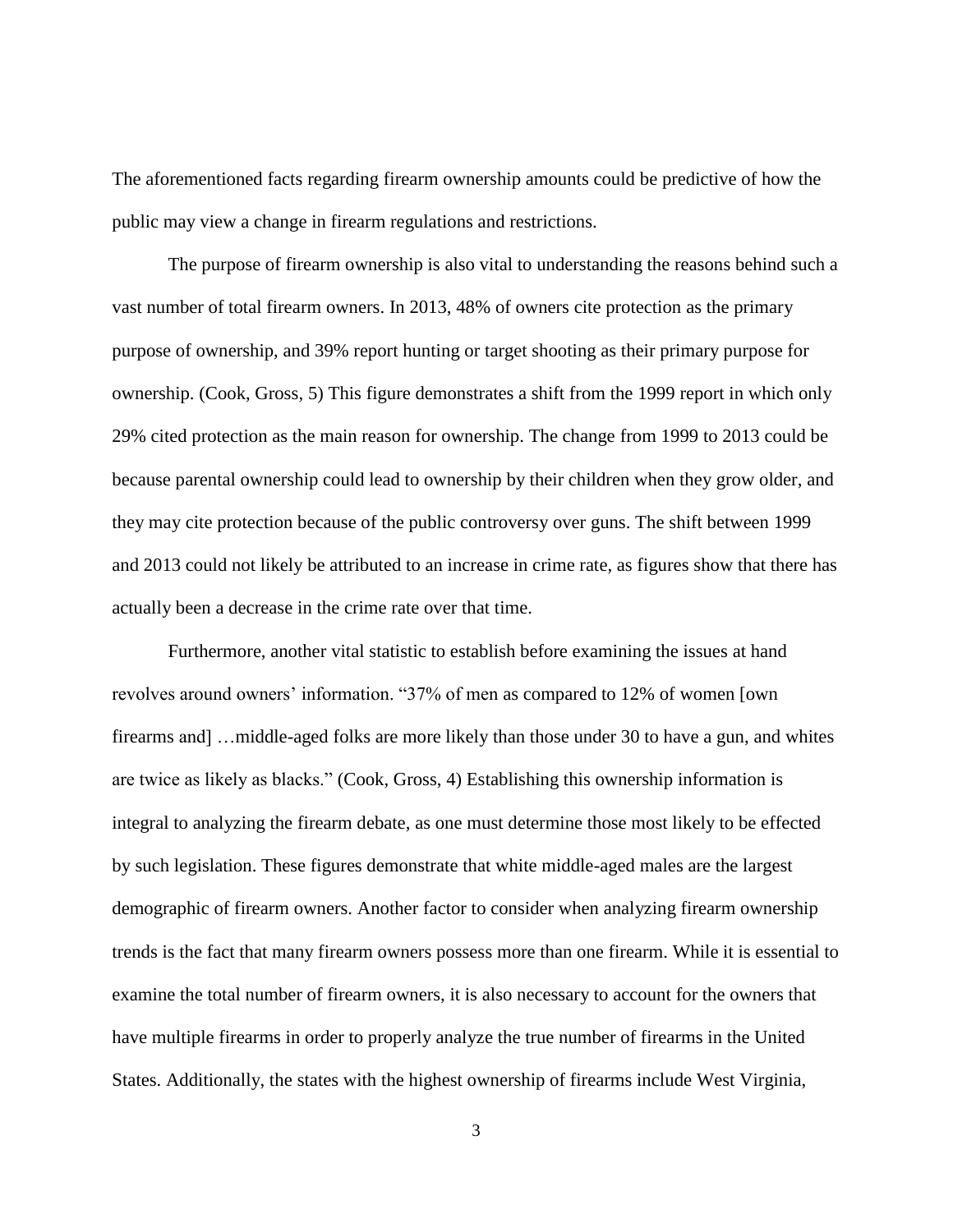The aforementioned facts regarding firearm ownership amounts could be predictive of how the public may view a change in firearm regulations and restrictions.

The purpose of firearm ownership is also vital to understanding the reasons behind such a vast number of total firearm owners. In 2013, 48% of owners cite protection as the primary purpose of ownership, and 39% report hunting or target shooting as their primary purpose for ownership. (Cook, Gross, 5) This figure demonstrates a shift from the 1999 report in which only 29% cited protection as the main reason for ownership. The change from 1999 to 2013 could be because parental ownership could lead to ownership by their children when they grow older, and they may cite protection because of the public controversy over guns. The shift between 1999 and 2013 could not likely be attributed to an increase in crime rate, as figures show that there has actually been a decrease in the crime rate over that time.

Furthermore, another vital statistic to establish before examining the issues at hand revolves around owners' information. "37% of men as compared to 12% of women [own firearms and] …middle-aged folks are more likely than those under 30 to have a gun, and whites are twice as likely as blacks." (Cook, Gross, 4) Establishing this ownership information is integral to analyzing the firearm debate, as one must determine those most likely to be effected by such legislation. These figures demonstrate that white middle-aged males are the largest demographic of firearm owners. Another factor to consider when analyzing firearm ownership trends is the fact that many firearm owners possess more than one firearm. While it is essential to examine the total number of firearm owners, it is also necessary to account for the owners that have multiple firearms in order to properly analyze the true number of firearms in the United States. Additionally, the states with the highest ownership of firearms include West Virginia,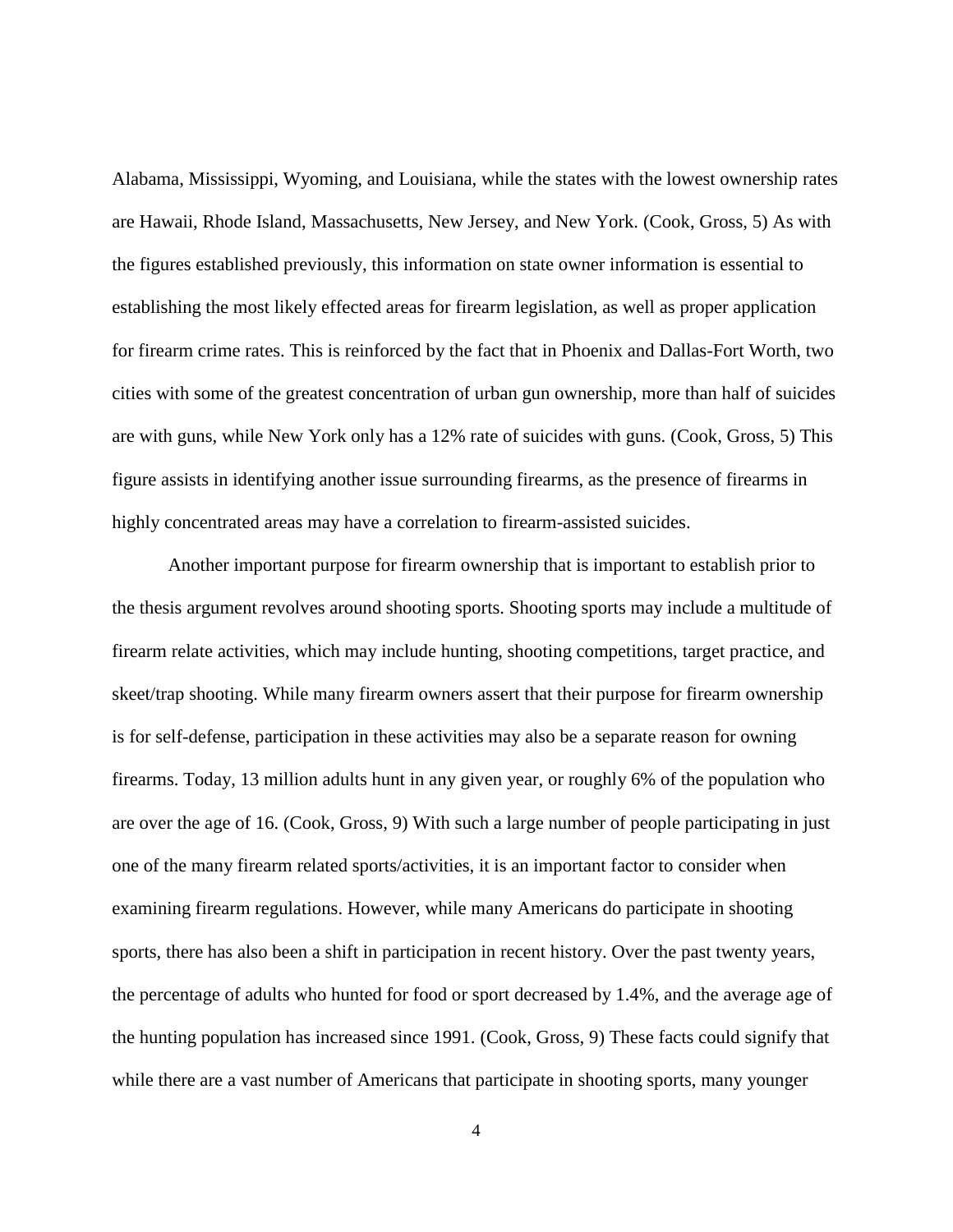Alabama, Mississippi, Wyoming, and Louisiana, while the states with the lowest ownership rates are Hawaii, Rhode Island, Massachusetts, New Jersey, and New York. (Cook, Gross, 5) As with the figures established previously, this information on state owner information is essential to establishing the most likely effected areas for firearm legislation, as well as proper application for firearm crime rates. This is reinforced by the fact that in Phoenix and Dallas-Fort Worth, two cities with some of the greatest concentration of urban gun ownership, more than half of suicides are with guns, while New York only has a 12% rate of suicides with guns. (Cook, Gross, 5) This figure assists in identifying another issue surrounding firearms, as the presence of firearms in highly concentrated areas may have a correlation to firearm-assisted suicides.

Another important purpose for firearm ownership that is important to establish prior to the thesis argument revolves around shooting sports. Shooting sports may include a multitude of firearm relate activities, which may include hunting, shooting competitions, target practice, and skeet/trap shooting. While many firearm owners assert that their purpose for firearm ownership is for self-defense, participation in these activities may also be a separate reason for owning firearms. Today, 13 million adults hunt in any given year, or roughly 6% of the population who are over the age of 16. (Cook, Gross, 9) With such a large number of people participating in just one of the many firearm related sports/activities, it is an important factor to consider when examining firearm regulations. However, while many Americans do participate in shooting sports, there has also been a shift in participation in recent history. Over the past twenty years, the percentage of adults who hunted for food or sport decreased by 1.4%, and the average age of the hunting population has increased since 1991. (Cook, Gross, 9) These facts could signify that while there are a vast number of Americans that participate in shooting sports, many younger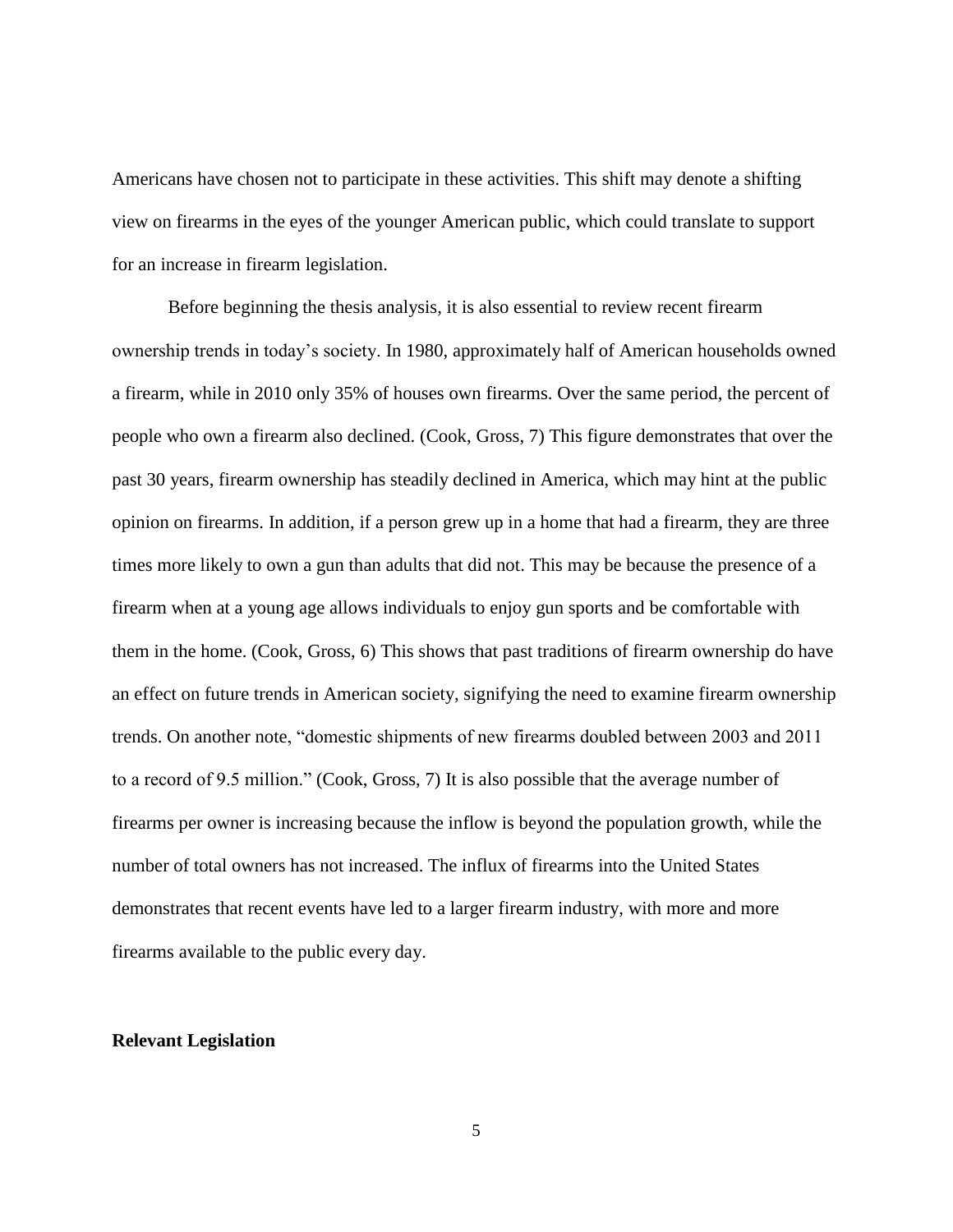Americans have chosen not to participate in these activities. This shift may denote a shifting view on firearms in the eyes of the younger American public, which could translate to support for an increase in firearm legislation.

Before beginning the thesis analysis, it is also essential to review recent firearm ownership trends in today's society. In 1980, approximately half of American households owned a firearm, while in 2010 only 35% of houses own firearms. Over the same period, the percent of people who own a firearm also declined. (Cook, Gross, 7) This figure demonstrates that over the past 30 years, firearm ownership has steadily declined in America, which may hint at the public opinion on firearms. In addition, if a person grew up in a home that had a firearm, they are three times more likely to own a gun than adults that did not. This may be because the presence of a firearm when at a young age allows individuals to enjoy gun sports and be comfortable with them in the home. (Cook, Gross, 6) This shows that past traditions of firearm ownership do have an effect on future trends in American society, signifying the need to examine firearm ownership trends. On another note, "domestic shipments of new firearms doubled between 2003 and 2011 to a record of 9.5 million." (Cook, Gross, 7) It is also possible that the average number of firearms per owner is increasing because the inflow is beyond the population growth, while the number of total owners has not increased. The influx of firearms into the United States demonstrates that recent events have led to a larger firearm industry, with more and more firearms available to the public every day.

#### <span id="page-11-0"></span>**Relevant Legislation**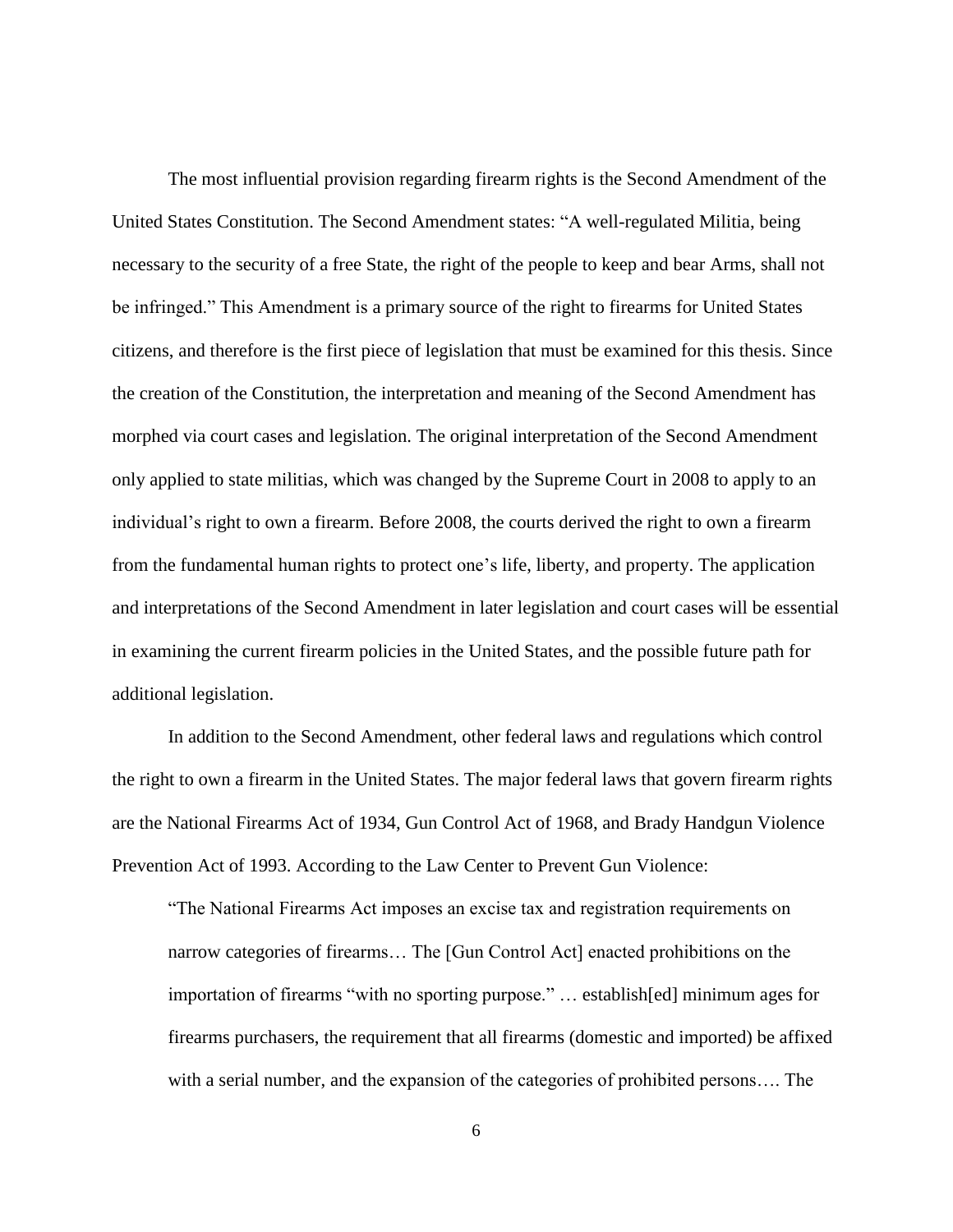The most influential provision regarding firearm rights is the Second Amendment of the United States Constitution. The Second Amendment states: "A well-regulated Militia, being necessary to the security of a free State, the right of the people to keep and bear Arms, shall not be infringed." This Amendment is a primary source of the right to firearms for United States citizens, and therefore is the first piece of legislation that must be examined for this thesis. Since the creation of the Constitution, the interpretation and meaning of the Second Amendment has morphed via court cases and legislation. The original interpretation of the Second Amendment only applied to state militias, which was changed by the Supreme Court in 2008 to apply to an individual's right to own a firearm. Before 2008, the courts derived the right to own a firearm from the fundamental human rights to protect one's life, liberty, and property. The application and interpretations of the Second Amendment in later legislation and court cases will be essential in examining the current firearm policies in the United States, and the possible future path for additional legislation.

In addition to the Second Amendment, other federal laws and regulations which control the right to own a firearm in the United States. The major federal laws that govern firearm rights are the National Firearms Act of 1934, Gun Control Act of 1968, and Brady Handgun Violence Prevention Act of 1993. According to the Law Center to Prevent Gun Violence:

"The National Firearms Act imposes an excise tax and registration requirements on narrow categories of firearms… The [Gun Control Act] enacted prohibitions on the importation of firearms "with no sporting purpose." … establish[ed] minimum ages for firearms purchasers, the requirement that all firearms (domestic and imported) be affixed with a serial number, and the expansion of the categories of prohibited persons…. The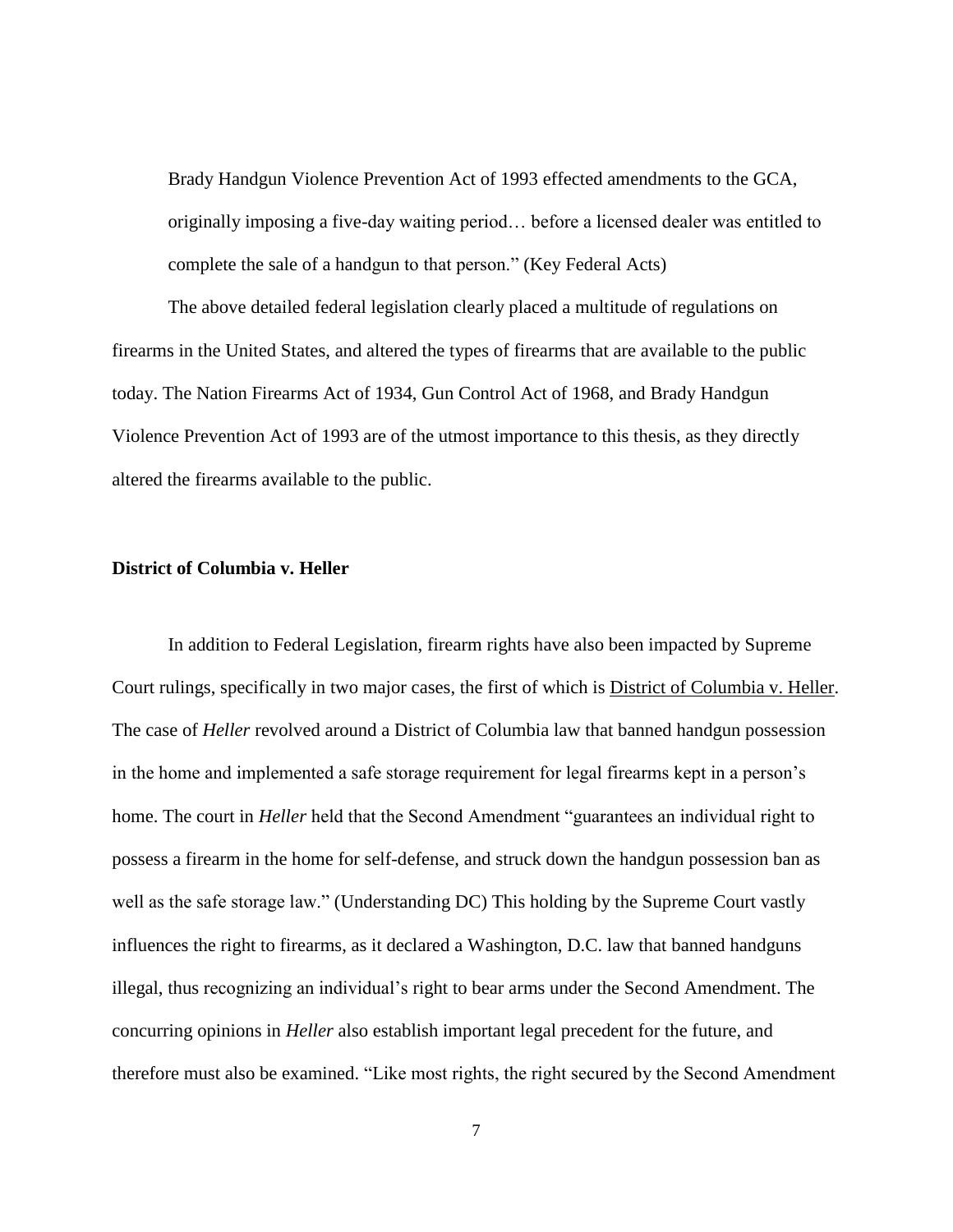Brady Handgun Violence Prevention Act of 1993 effected amendments to the GCA, originally imposing a five-day waiting period… before a licensed dealer was entitled to complete the sale of a handgun to that person." (Key Federal Acts)

The above detailed federal legislation clearly placed a multitude of regulations on firearms in the United States, and altered the types of firearms that are available to the public today. The Nation Firearms Act of 1934, Gun Control Act of 1968, and Brady Handgun Violence Prevention Act of 1993 are of the utmost importance to this thesis, as they directly altered the firearms available to the public.

# <span id="page-13-0"></span>**District of Columbia v. Heller**

In addition to Federal Legislation, firearm rights have also been impacted by Supreme Court rulings, specifically in two major cases, the first of which is District of Columbia v. Heller. The case of *Heller* revolved around a District of Columbia law that banned handgun possession in the home and implemented a safe storage requirement for legal firearms kept in a person's home. The court in *Heller* held that the Second Amendment "guarantees an individual right to possess a firearm in the home for self-defense, and struck down the handgun possession ban as well as the safe storage law." (Understanding DC) This holding by the Supreme Court vastly influences the right to firearms, as it declared a Washington, D.C. law that banned handguns illegal, thus recognizing an individual's right to bear arms under the Second Amendment. The concurring opinions in *Heller* also establish important legal precedent for the future, and therefore must also be examined. "Like most rights, the right secured by the Second Amendment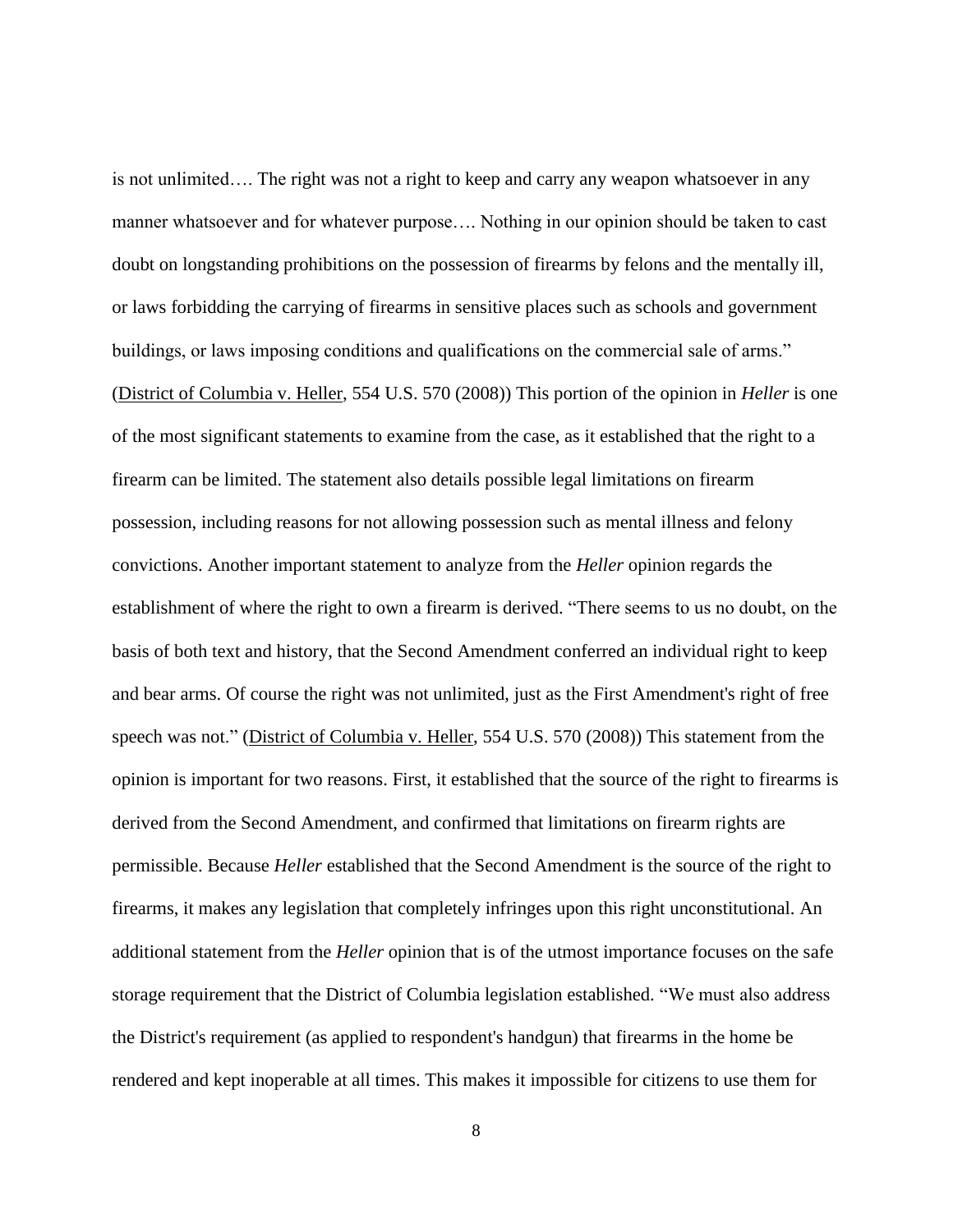is not unlimited…. The right was not a right to keep and carry any weapon whatsoever in any manner whatsoever and for whatever purpose…. Nothing in our opinion should be taken to cast doubt on longstanding prohibitions on the possession of firearms by felons and the mentally ill, or laws forbidding the carrying of firearms in sensitive places such as schools and government buildings, or laws imposing conditions and qualifications on the commercial sale of arms." (District of Columbia v. Heller, 554 U.S. 570 (2008)) This portion of the opinion in *Heller* is one of the most significant statements to examine from the case, as it established that the right to a firearm can be limited. The statement also details possible legal limitations on firearm possession, including reasons for not allowing possession such as mental illness and felony convictions. Another important statement to analyze from the *Heller* opinion regards the establishment of where the right to own a firearm is derived. "There seems to us no doubt, on the basis of both text and history, that the Second Amendment conferred an individual right to keep and bear arms. Of course the right was not unlimited, just as the First Amendment's right of free speech was not." (District of Columbia v. Heller, 554 U.S. 570 (2008)) This statement from the opinion is important for two reasons. First, it established that the source of the right to firearms is derived from the Second Amendment, and confirmed that limitations on firearm rights are permissible. Because *Heller* established that the Second Amendment is the source of the right to firearms, it makes any legislation that completely infringes upon this right unconstitutional. An additional statement from the *Heller* opinion that is of the utmost importance focuses on the safe storage requirement that the District of Columbia legislation established. "We must also address the District's requirement (as applied to respondent's handgun) that firearms in the home be rendered and kept inoperable at all times. This makes it impossible for citizens to use them for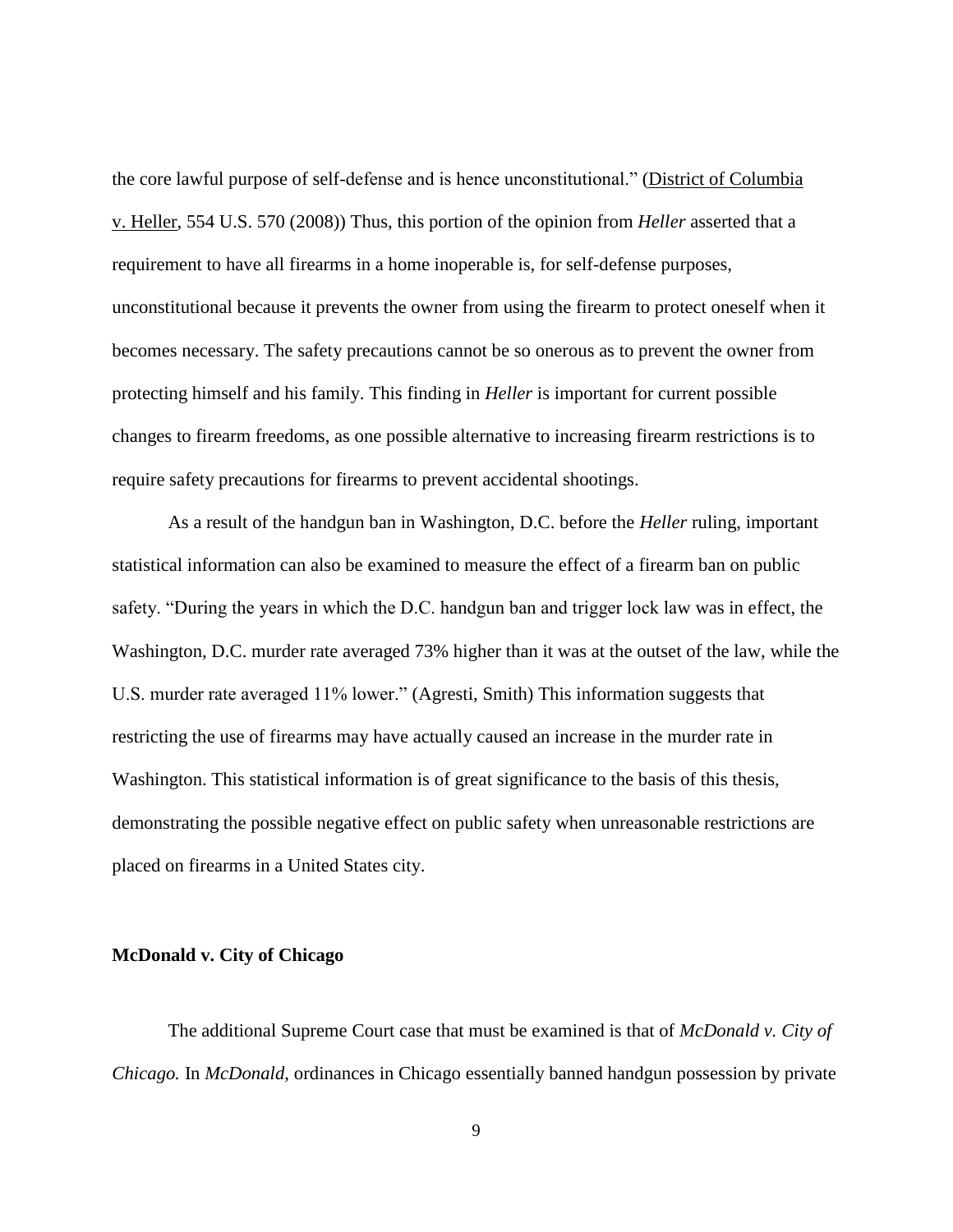the core lawful purpose of self-defense and is hence unconstitutional." (District of Columbia v. Heller, 554 U.S. 570 (2008)) Thus, this portion of the opinion from *Heller* asserted that a requirement to have all firearms in a home inoperable is, for self-defense purposes, unconstitutional because it prevents the owner from using the firearm to protect oneself when it becomes necessary. The safety precautions cannot be so onerous as to prevent the owner from protecting himself and his family. This finding in *Heller* is important for current possible changes to firearm freedoms, as one possible alternative to increasing firearm restrictions is to require safety precautions for firearms to prevent accidental shootings.

As a result of the handgun ban in Washington, D.C. before the *Heller* ruling, important statistical information can also be examined to measure the effect of a firearm ban on public safety. "During the years in which the D.C. handgun ban and trigger lock law was in effect, the Washington, D.C. murder rate averaged 73% higher than it was at the outset of the law, while the U.S. murder rate averaged 11% lower." (Agresti, Smith) This information suggests that restricting the use of firearms may have actually caused an increase in the murder rate in Washington. This statistical information is of great significance to the basis of this thesis, demonstrating the possible negative effect on public safety when unreasonable restrictions are placed on firearms in a United States city.

# <span id="page-15-0"></span>**McDonald v. City of Chicago**

The additional Supreme Court case that must be examined is that of *McDonald v. City of Chicago.* In *McDonald*, ordinances in Chicago essentially banned handgun possession by private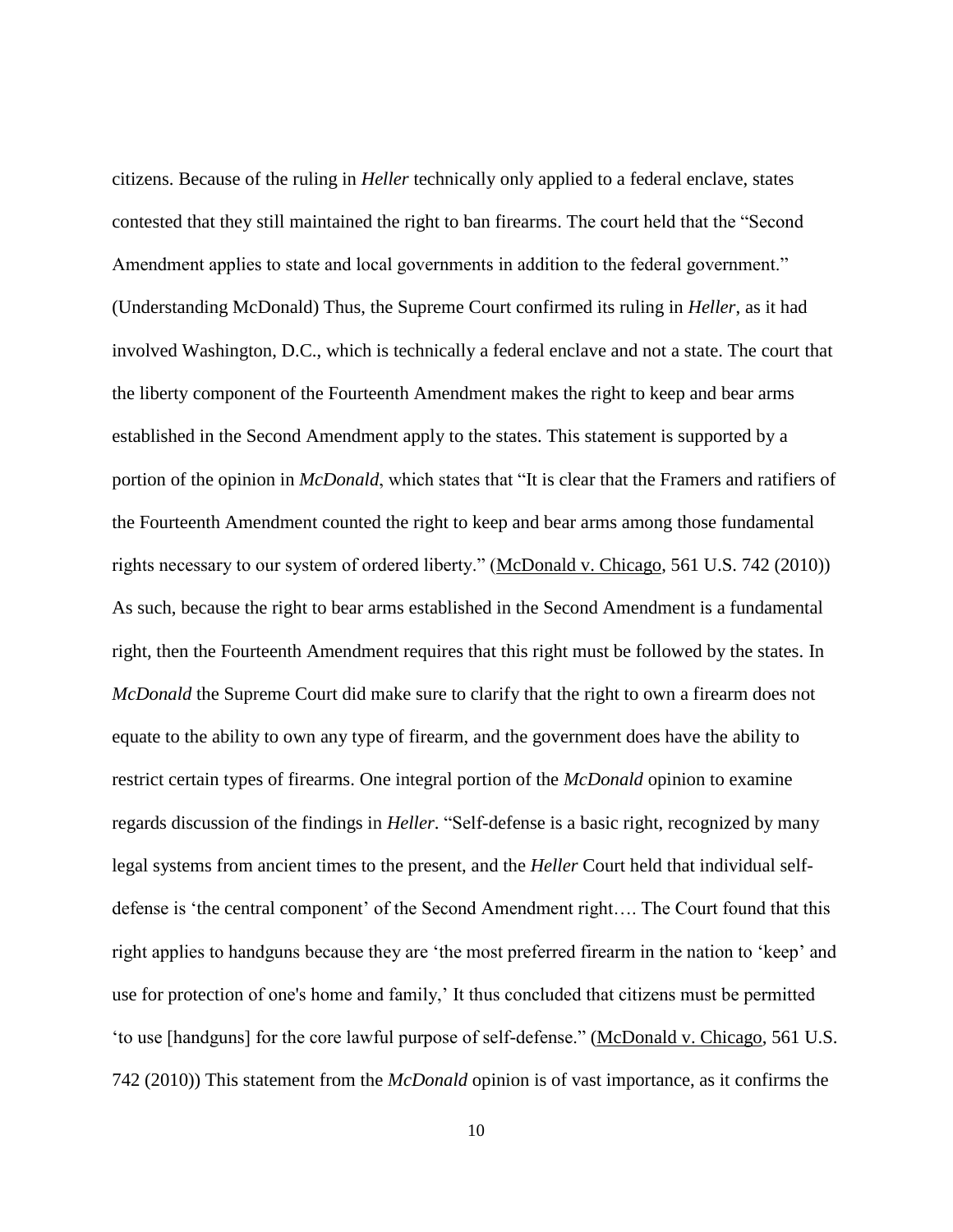citizens. Because of the ruling in *Heller* technically only applied to a federal enclave, states contested that they still maintained the right to ban firearms. The court held that the "Second Amendment applies to state and local governments in addition to the federal government." (Understanding McDonald) Thus, the Supreme Court confirmed its ruling in *Heller*, as it had involved Washington, D.C., which is technically a federal enclave and not a state. The court that the liberty component of the Fourteenth Amendment makes the right to keep and bear arms established in the Second Amendment apply to the states. This statement is supported by a portion of the opinion in *McDonald*, which states that "It is clear that the Framers and ratifiers of the Fourteenth Amendment counted the right to keep and bear arms among those fundamental rights necessary to our system of ordered liberty." (McDonald v. Chicago, 561 U.S. 742 (2010)) As such, because the right to bear arms established in the Second Amendment is a fundamental right, then the Fourteenth Amendment requires that this right must be followed by the states. In *McDonald* the Supreme Court did make sure to clarify that the right to own a firearm does not equate to the ability to own any type of firearm, and the government does have the ability to restrict certain types of firearms. One integral portion of the *McDonald* opinion to examine regards discussion of the findings in *Heller*. "Self-defense is a basic right, recognized by many legal systems from ancient times to the present, and the *Heller* Court held that individual selfdefense is 'the central component' of the Second Amendment right…. The Court found that this right applies to handguns because they are 'the most preferred firearm in the nation to 'keep' and use for protection of one's home and family,' It thus concluded that citizens must be permitted 'to use [handguns] for the core lawful purpose of self-defense." (McDonald v. Chicago, 561 U.S. 742 (2010)) This statement from the *McDonald* opinion is of vast importance, as it confirms the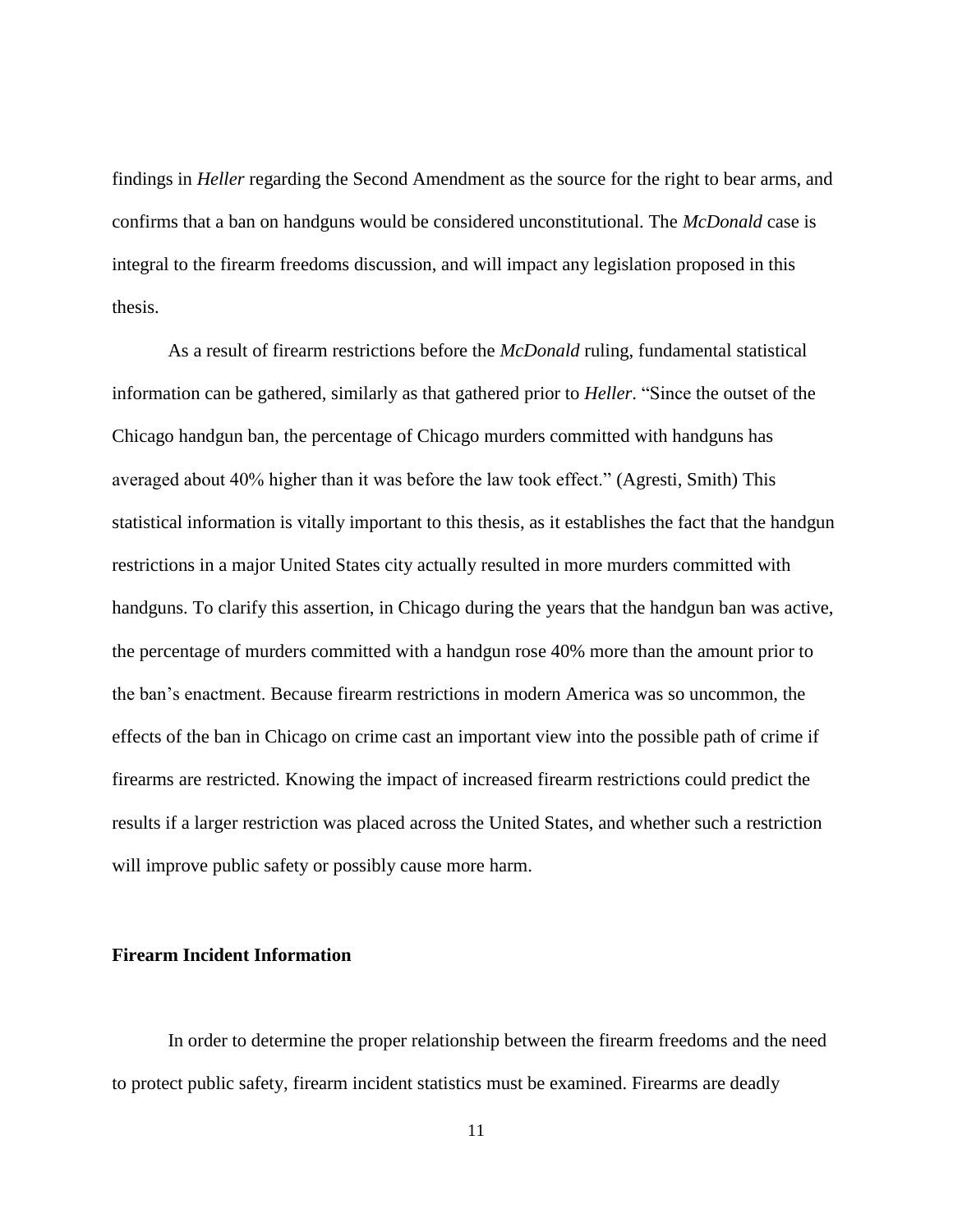findings in *Heller* regarding the Second Amendment as the source for the right to bear arms, and confirms that a ban on handguns would be considered unconstitutional. The *McDonald* case is integral to the firearm freedoms discussion, and will impact any legislation proposed in this thesis.

As a result of firearm restrictions before the *McDonald* ruling, fundamental statistical information can be gathered, similarly as that gathered prior to *Heller*. "Since the outset of the Chicago handgun ban, the percentage of Chicago murders committed with handguns has averaged about 40% higher than it was before the law took effect." (Agresti, Smith) This statistical information is vitally important to this thesis, as it establishes the fact that the handgun restrictions in a major United States city actually resulted in more murders committed with handguns. To clarify this assertion, in Chicago during the years that the handgun ban was active, the percentage of murders committed with a handgun rose 40% more than the amount prior to the ban's enactment. Because firearm restrictions in modern America was so uncommon, the effects of the ban in Chicago on crime cast an important view into the possible path of crime if firearms are restricted. Knowing the impact of increased firearm restrictions could predict the results if a larger restriction was placed across the United States, and whether such a restriction will improve public safety or possibly cause more harm.

# <span id="page-17-0"></span>**Firearm Incident Information**

In order to determine the proper relationship between the firearm freedoms and the need to protect public safety, firearm incident statistics must be examined. Firearms are deadly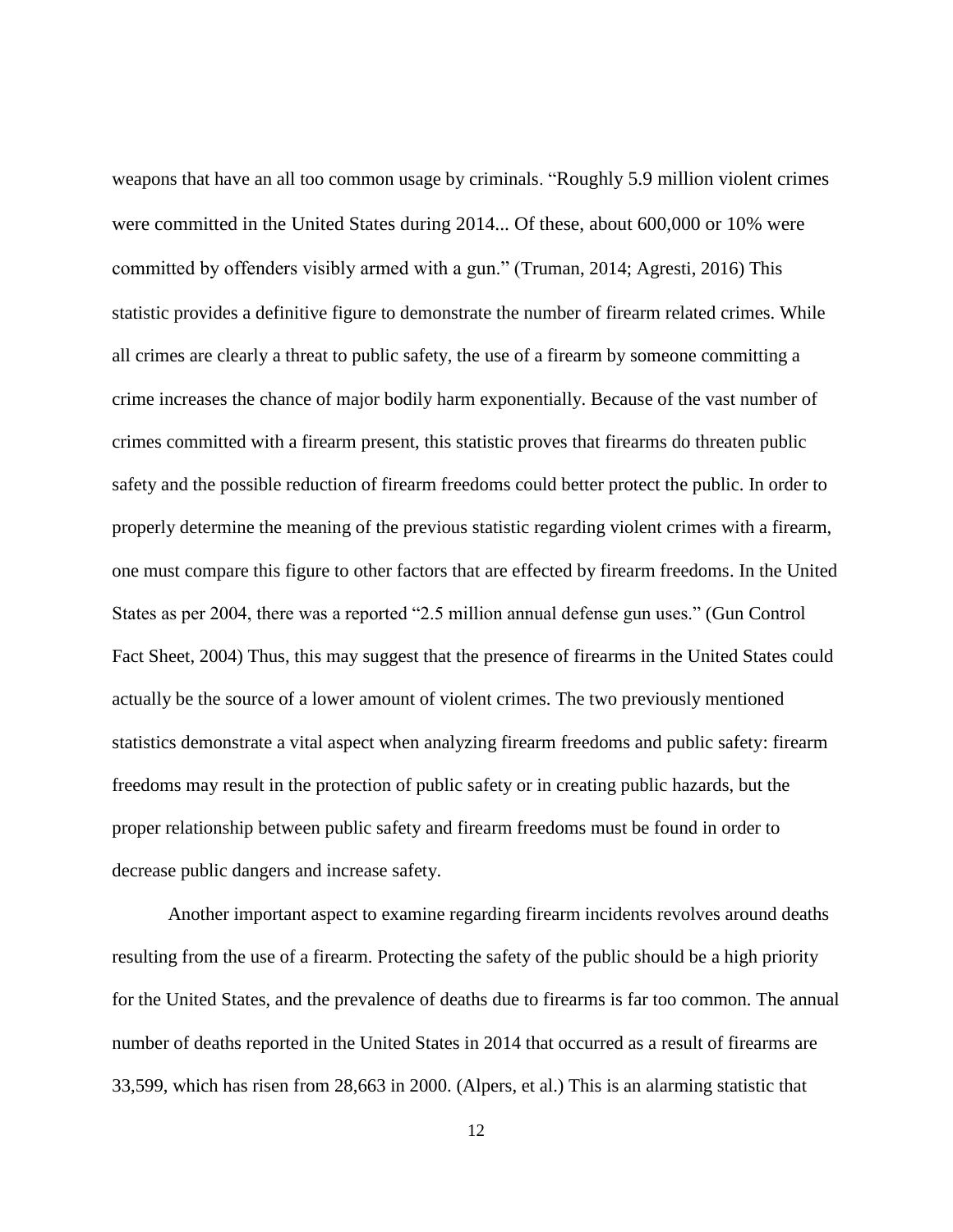weapons that have an all too common usage by criminals. "Roughly 5.9 million violent crimes were committed in the United States during 2014... Of these, about 600,000 or 10% were committed by offenders visibly armed with a gun." (Truman, 2014; Agresti, 2016) This statistic provides a definitive figure to demonstrate the number of firearm related crimes. While all crimes are clearly a threat to public safety, the use of a firearm by someone committing a crime increases the chance of major bodily harm exponentially. Because of the vast number of crimes committed with a firearm present, this statistic proves that firearms do threaten public safety and the possible reduction of firearm freedoms could better protect the public. In order to properly determine the meaning of the previous statistic regarding violent crimes with a firearm, one must compare this figure to other factors that are effected by firearm freedoms. In the United States as per 2004, there was a reported "2.5 million annual defense gun uses." (Gun Control Fact Sheet, 2004) Thus, this may suggest that the presence of firearms in the United States could actually be the source of a lower amount of violent crimes. The two previously mentioned statistics demonstrate a vital aspect when analyzing firearm freedoms and public safety: firearm freedoms may result in the protection of public safety or in creating public hazards, but the proper relationship between public safety and firearm freedoms must be found in order to decrease public dangers and increase safety.

Another important aspect to examine regarding firearm incidents revolves around deaths resulting from the use of a firearm. Protecting the safety of the public should be a high priority for the United States, and the prevalence of deaths due to firearms is far too common. The annual number of deaths reported in the United States in 2014 that occurred as a result of firearms are 33,599, which has risen from 28,663 in 2000. (Alpers, et al.) This is an alarming statistic that

12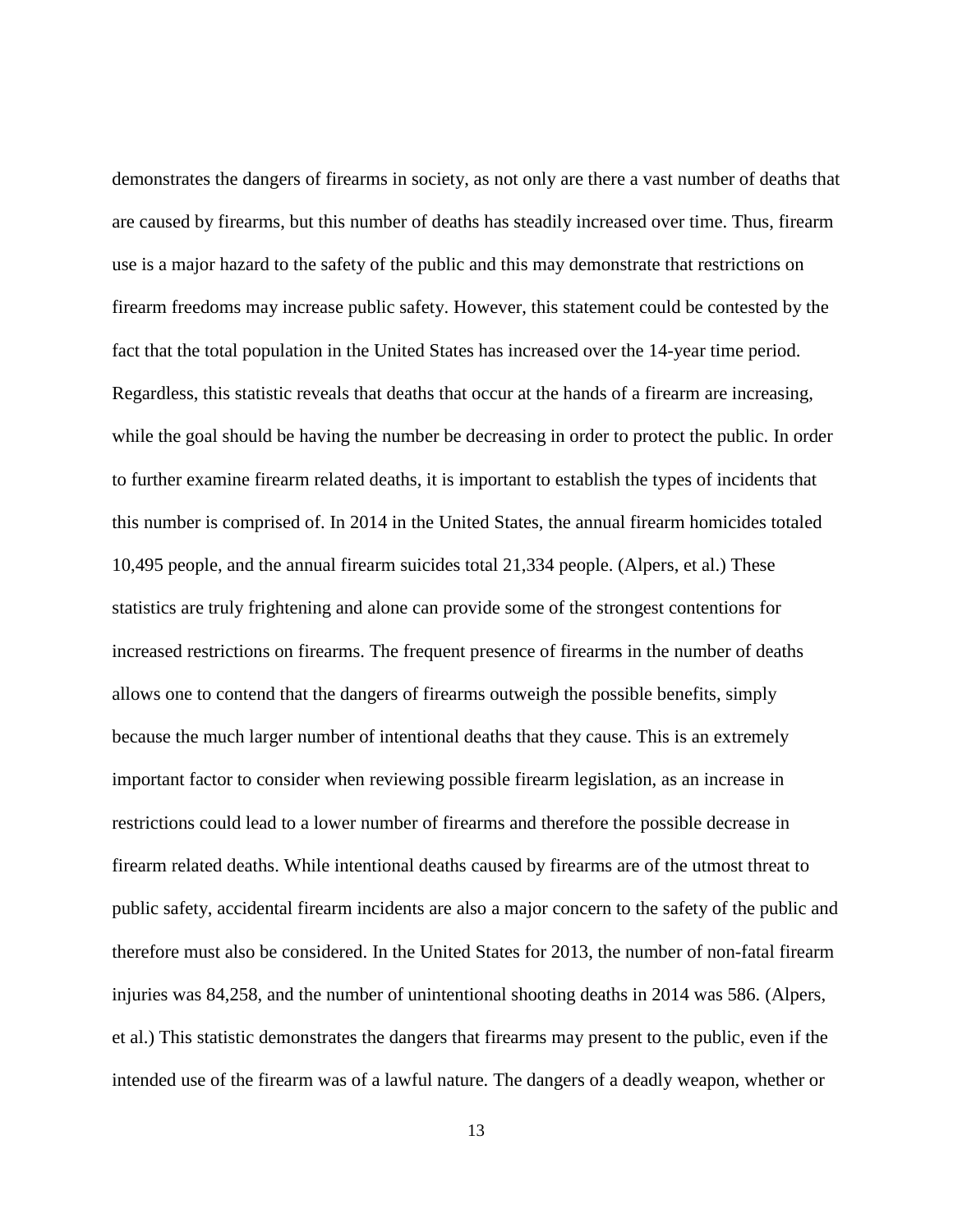demonstrates the dangers of firearms in society, as not only are there a vast number of deaths that are caused by firearms, but this number of deaths has steadily increased over time. Thus, firearm use is a major hazard to the safety of the public and this may demonstrate that restrictions on firearm freedoms may increase public safety. However, this statement could be contested by the fact that the total population in the United States has increased over the 14-year time period. Regardless, this statistic reveals that deaths that occur at the hands of a firearm are increasing, while the goal should be having the number be decreasing in order to protect the public. In order to further examine firearm related deaths, it is important to establish the types of incidents that this number is comprised of. In 2014 in the United States, the annual firearm homicides totaled 10,495 people, and the annual firearm suicides total 21,334 people. (Alpers, et al.) These statistics are truly frightening and alone can provide some of the strongest contentions for increased restrictions on firearms. The frequent presence of firearms in the number of deaths allows one to contend that the dangers of firearms outweigh the possible benefits, simply because the much larger number of intentional deaths that they cause. This is an extremely important factor to consider when reviewing possible firearm legislation, as an increase in restrictions could lead to a lower number of firearms and therefore the possible decrease in firearm related deaths. While intentional deaths caused by firearms are of the utmost threat to public safety, accidental firearm incidents are also a major concern to the safety of the public and therefore must also be considered. In the United States for 2013, the number of non-fatal firearm injuries was 84,258, and the number of unintentional shooting deaths in 2014 was 586. (Alpers, et al.) This statistic demonstrates the dangers that firearms may present to the public, even if the intended use of the firearm was of a lawful nature. The dangers of a deadly weapon, whether or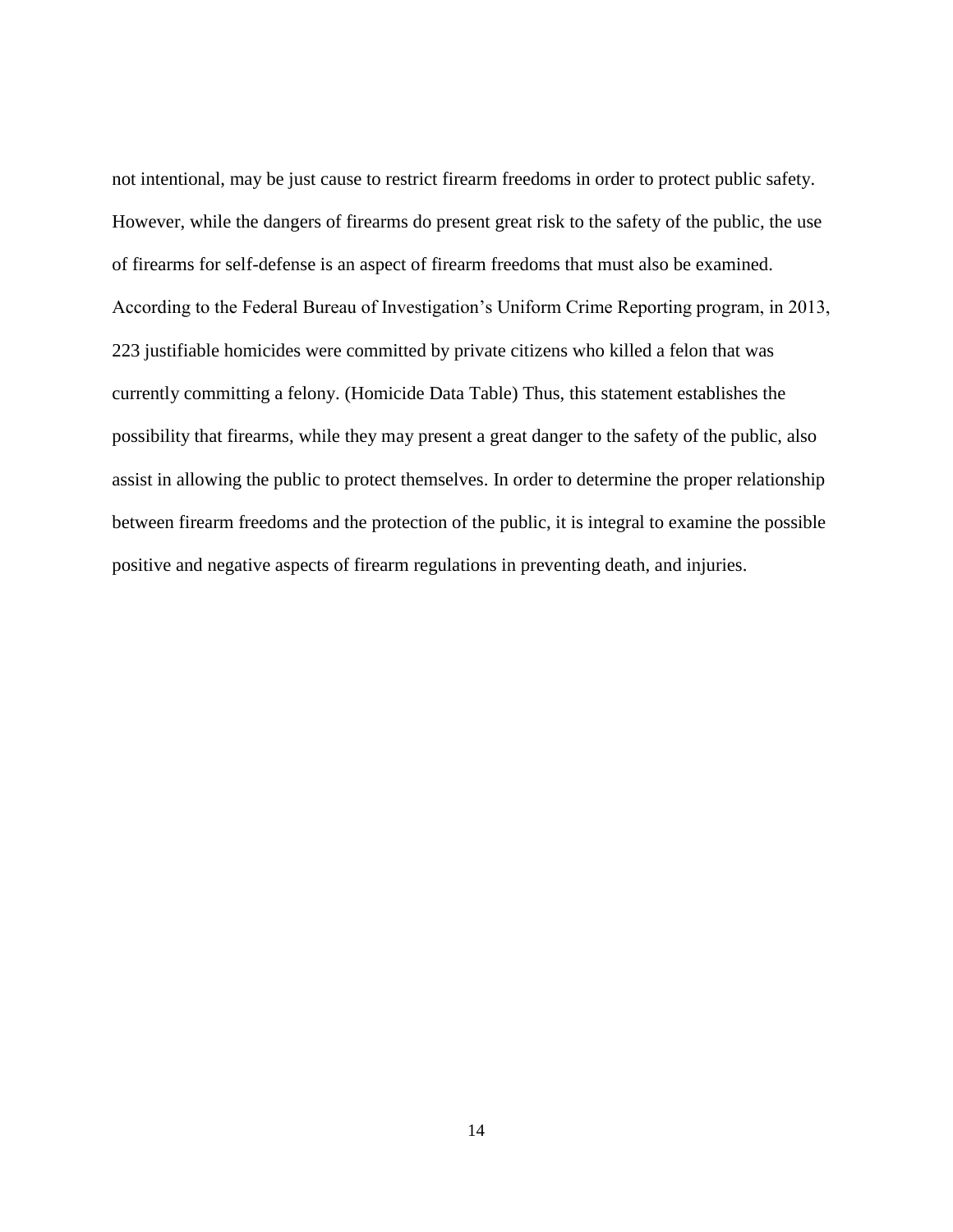not intentional, may be just cause to restrict firearm freedoms in order to protect public safety. However, while the dangers of firearms do present great risk to the safety of the public, the use of firearms for self-defense is an aspect of firearm freedoms that must also be examined. According to the Federal Bureau of Investigation's Uniform Crime Reporting program, in 2013, 223 justifiable homicides were committed by private citizens who killed a felon that was currently committing a felony. (Homicide Data Table) Thus, this statement establishes the possibility that firearms, while they may present a great danger to the safety of the public, also assist in allowing the public to protect themselves. In order to determine the proper relationship between firearm freedoms and the protection of the public, it is integral to examine the possible positive and negative aspects of firearm regulations in preventing death, and injuries.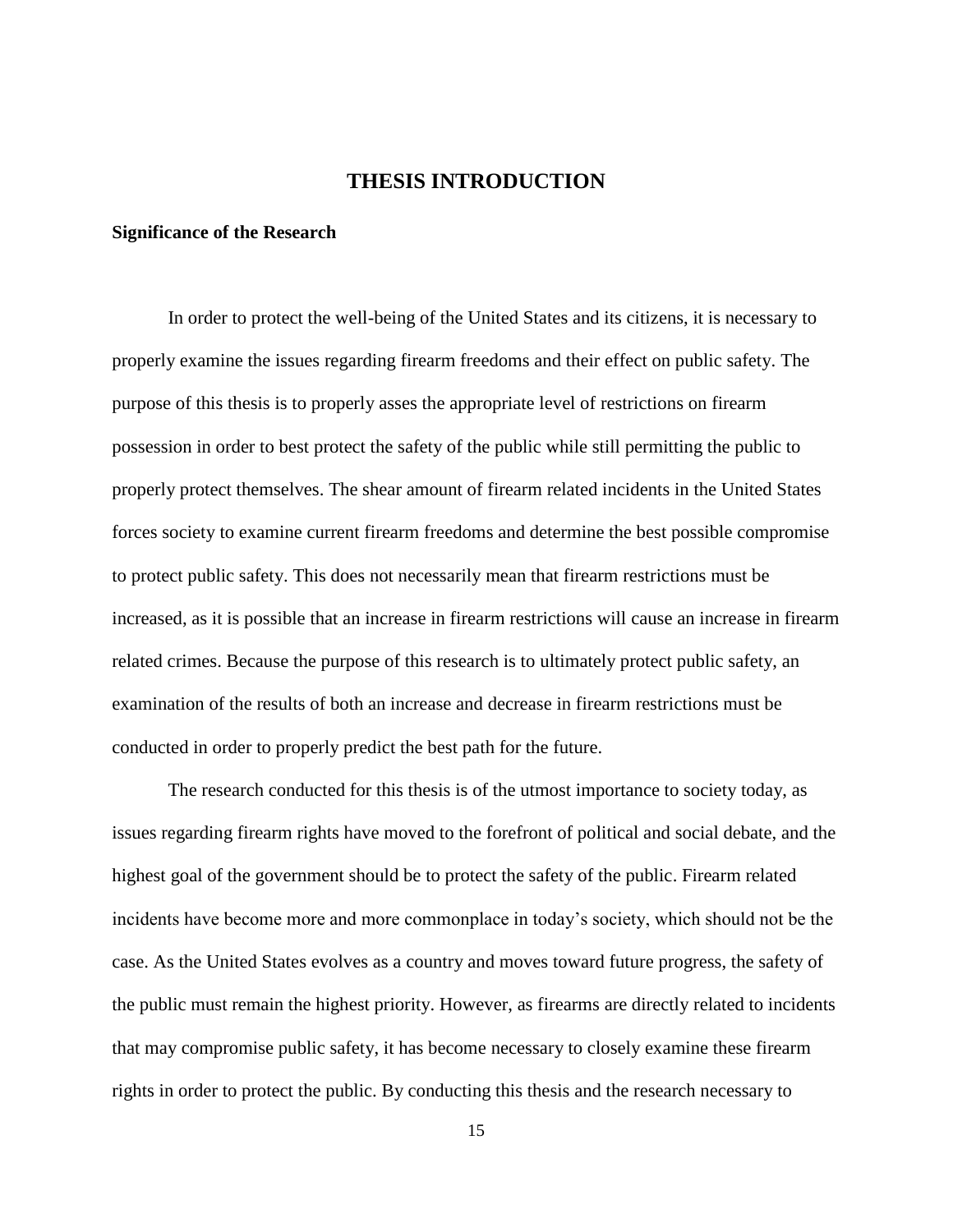# **THESIS INTRODUCTION**

# <span id="page-21-1"></span><span id="page-21-0"></span>**Significance of the Research**

In order to protect the well-being of the United States and its citizens, it is necessary to properly examine the issues regarding firearm freedoms and their effect on public safety. The purpose of this thesis is to properly asses the appropriate level of restrictions on firearm possession in order to best protect the safety of the public while still permitting the public to properly protect themselves. The shear amount of firearm related incidents in the United States forces society to examine current firearm freedoms and determine the best possible compromise to protect public safety. This does not necessarily mean that firearm restrictions must be increased, as it is possible that an increase in firearm restrictions will cause an increase in firearm related crimes. Because the purpose of this research is to ultimately protect public safety, an examination of the results of both an increase and decrease in firearm restrictions must be conducted in order to properly predict the best path for the future.

The research conducted for this thesis is of the utmost importance to society today, as issues regarding firearm rights have moved to the forefront of political and social debate, and the highest goal of the government should be to protect the safety of the public. Firearm related incidents have become more and more commonplace in today's society, which should not be the case. As the United States evolves as a country and moves toward future progress, the safety of the public must remain the highest priority. However, as firearms are directly related to incidents that may compromise public safety, it has become necessary to closely examine these firearm rights in order to protect the public. By conducting this thesis and the research necessary to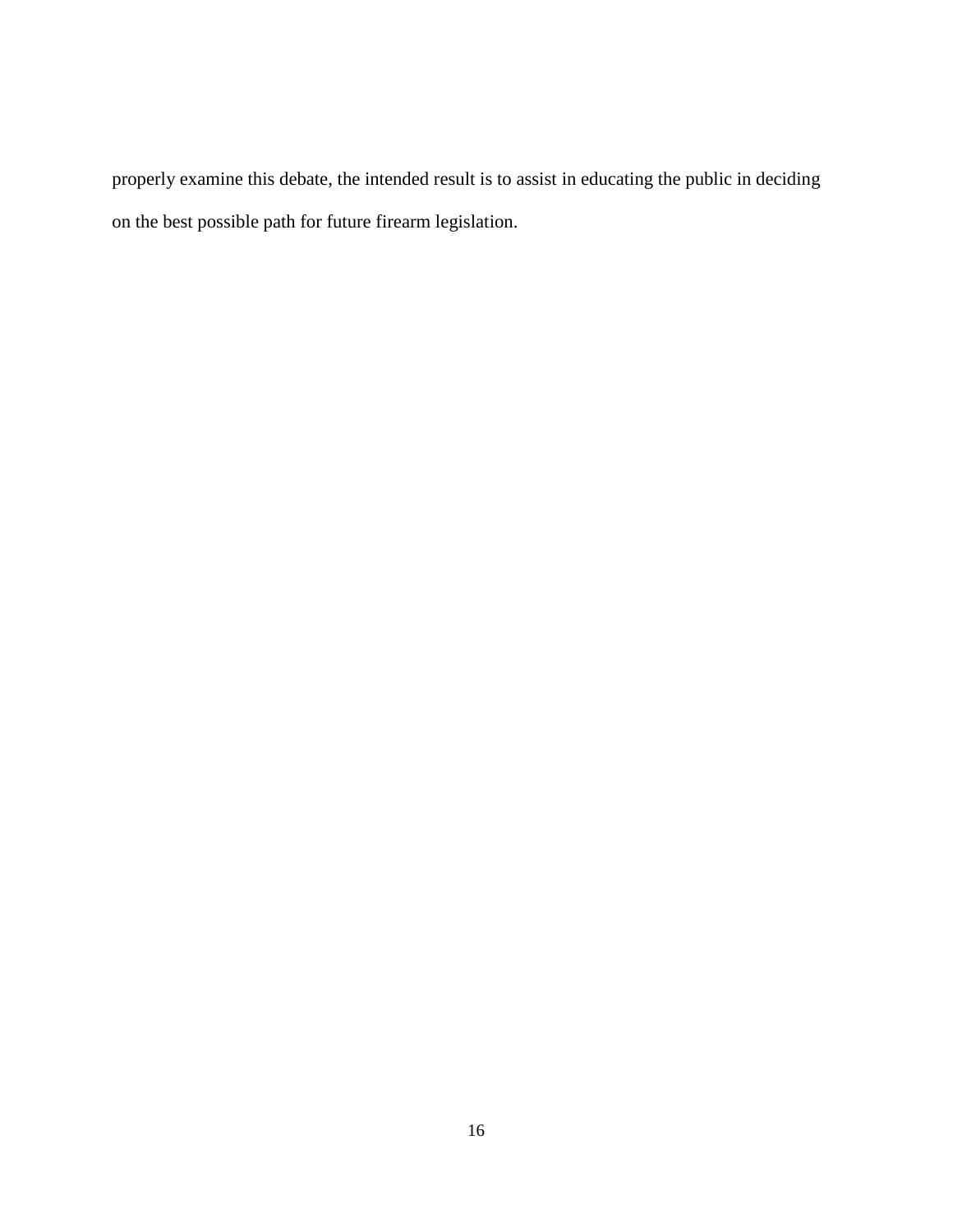properly examine this debate, the intended result is to assist in educating the public in deciding on the best possible path for future firearm legislation.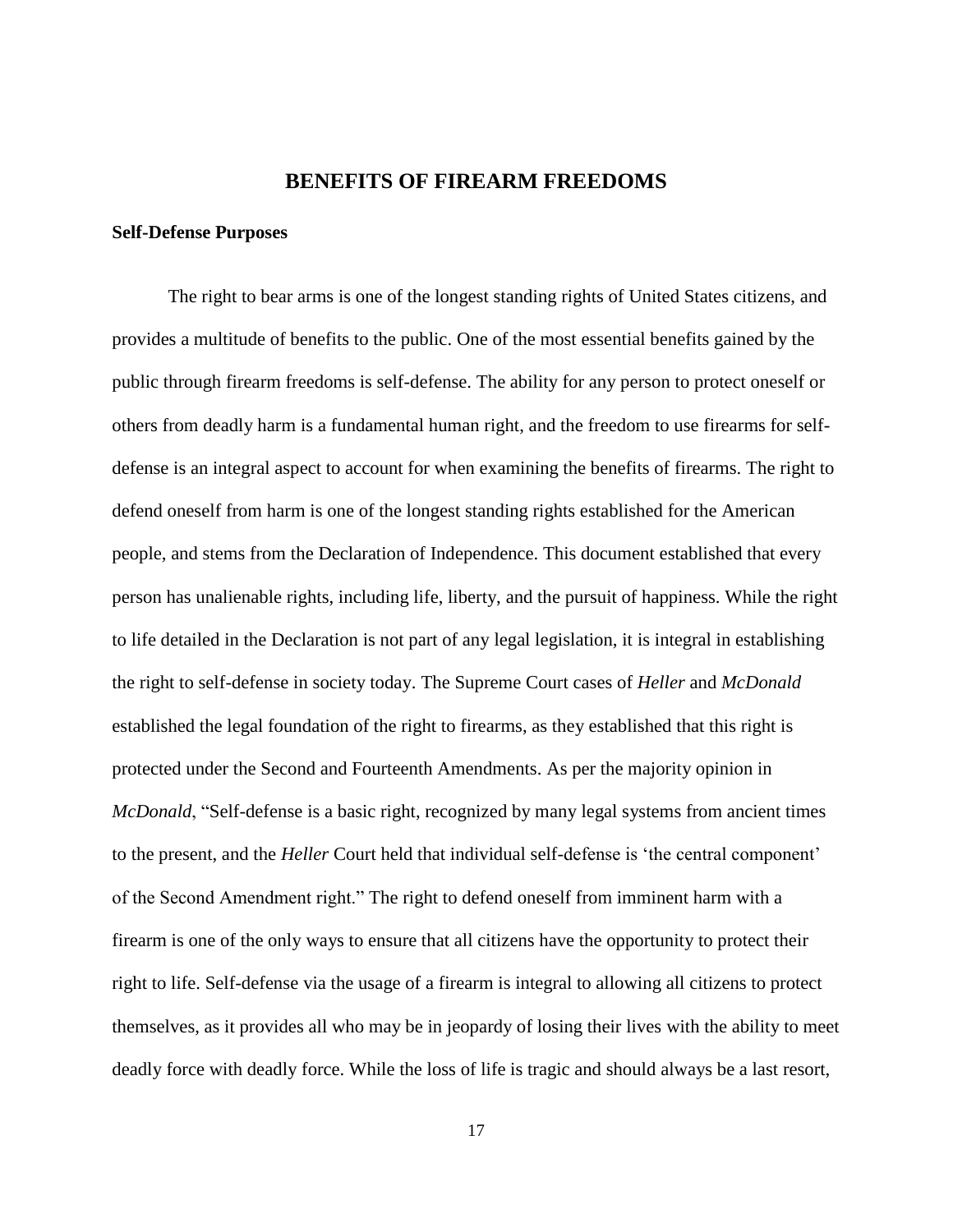# **BENEFITS OF FIREARM FREEDOMS**

#### <span id="page-23-1"></span><span id="page-23-0"></span>**Self-Defense Purposes**

The right to bear arms is one of the longest standing rights of United States citizens, and provides a multitude of benefits to the public. One of the most essential benefits gained by the public through firearm freedoms is self-defense. The ability for any person to protect oneself or others from deadly harm is a fundamental human right, and the freedom to use firearms for selfdefense is an integral aspect to account for when examining the benefits of firearms. The right to defend oneself from harm is one of the longest standing rights established for the American people, and stems from the Declaration of Independence. This document established that every person has unalienable rights, including life, liberty, and the pursuit of happiness. While the right to life detailed in the Declaration is not part of any legal legislation, it is integral in establishing the right to self-defense in society today. The Supreme Court cases of *Heller* and *McDonald* established the legal foundation of the right to firearms, as they established that this right is protected under the Second and Fourteenth Amendments. As per the majority opinion in *McDonald*, "Self-defense is a basic right, recognized by many legal systems from ancient times to the present, and the *Heller* Court held that individual self-defense is 'the central component' of the Second Amendment right." The right to defend oneself from imminent harm with a firearm is one of the only ways to ensure that all citizens have the opportunity to protect their right to life. Self-defense via the usage of a firearm is integral to allowing all citizens to protect themselves, as it provides all who may be in jeopardy of losing their lives with the ability to meet deadly force with deadly force. While the loss of life is tragic and should always be a last resort,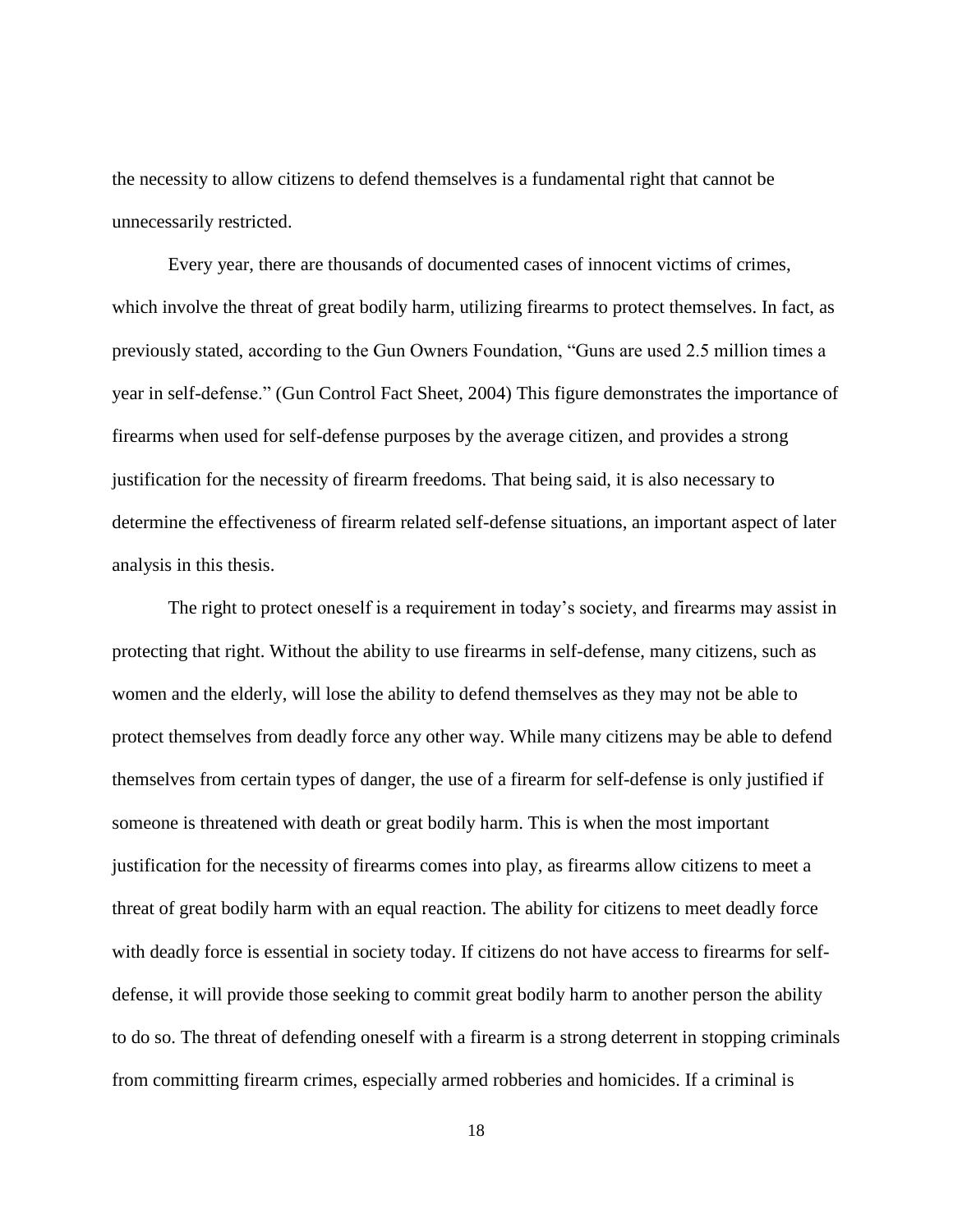the necessity to allow citizens to defend themselves is a fundamental right that cannot be unnecessarily restricted.

Every year, there are thousands of documented cases of innocent victims of crimes, which involve the threat of great bodily harm, utilizing firearms to protect themselves. In fact, as previously stated, according to the Gun Owners Foundation, "Guns are used 2.5 million times a year in self-defense." (Gun Control Fact Sheet, 2004) This figure demonstrates the importance of firearms when used for self-defense purposes by the average citizen, and provides a strong justification for the necessity of firearm freedoms. That being said, it is also necessary to determine the effectiveness of firearm related self-defense situations, an important aspect of later analysis in this thesis.

The right to protect oneself is a requirement in today's society, and firearms may assist in protecting that right. Without the ability to use firearms in self-defense, many citizens, such as women and the elderly, will lose the ability to defend themselves as they may not be able to protect themselves from deadly force any other way. While many citizens may be able to defend themselves from certain types of danger, the use of a firearm for self-defense is only justified if someone is threatened with death or great bodily harm. This is when the most important justification for the necessity of firearms comes into play, as firearms allow citizens to meet a threat of great bodily harm with an equal reaction. The ability for citizens to meet deadly force with deadly force is essential in society today. If citizens do not have access to firearms for selfdefense, it will provide those seeking to commit great bodily harm to another person the ability to do so. The threat of defending oneself with a firearm is a strong deterrent in stopping criminals from committing firearm crimes, especially armed robberies and homicides. If a criminal is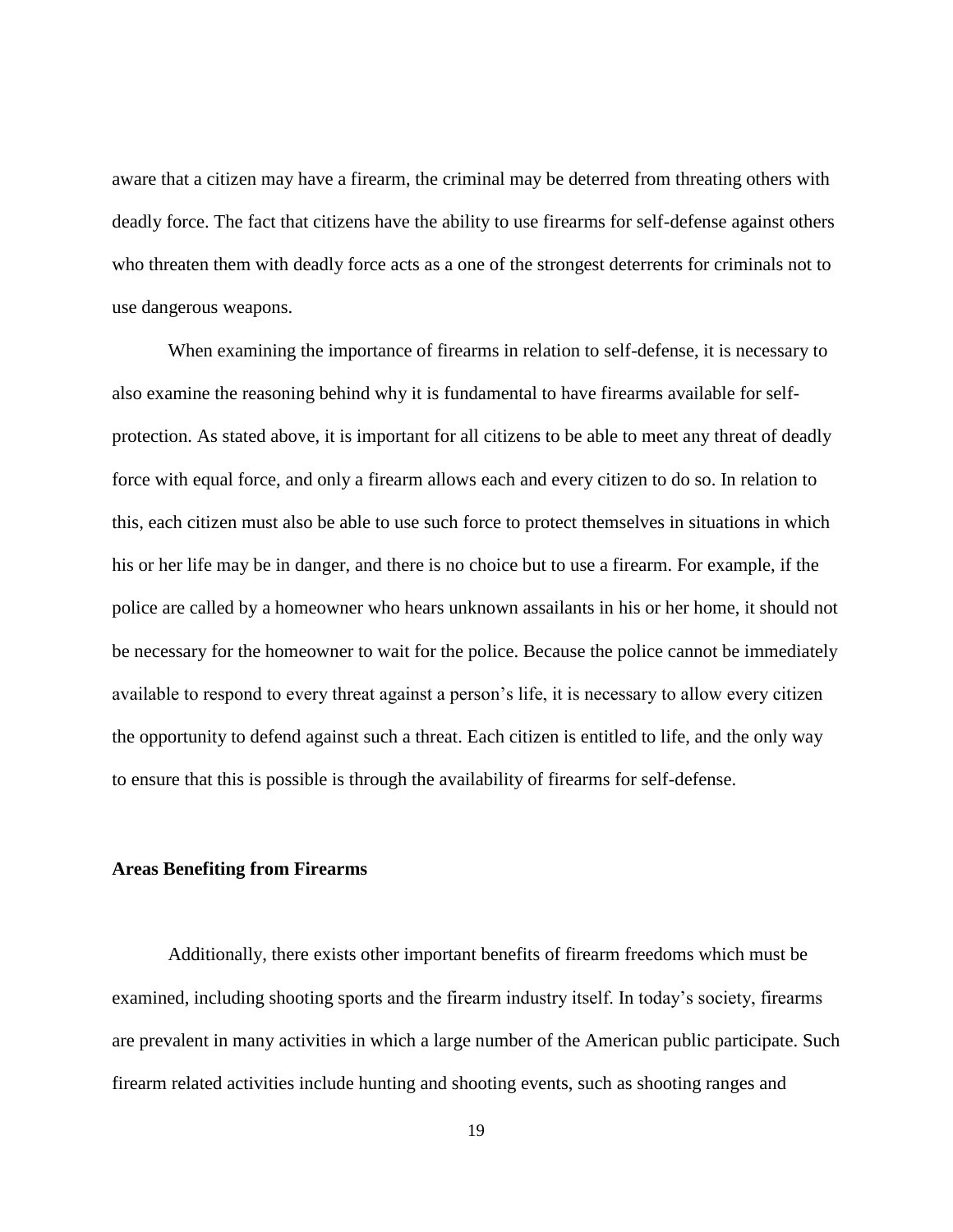aware that a citizen may have a firearm, the criminal may be deterred from threating others with deadly force. The fact that citizens have the ability to use firearms for self-defense against others who threaten them with deadly force acts as a one of the strongest deterrents for criminals not to use dangerous weapons.

When examining the importance of firearms in relation to self-defense, it is necessary to also examine the reasoning behind why it is fundamental to have firearms available for selfprotection. As stated above, it is important for all citizens to be able to meet any threat of deadly force with equal force, and only a firearm allows each and every citizen to do so. In relation to this, each citizen must also be able to use such force to protect themselves in situations in which his or her life may be in danger, and there is no choice but to use a firearm. For example, if the police are called by a homeowner who hears unknown assailants in his or her home, it should not be necessary for the homeowner to wait for the police. Because the police cannot be immediately available to respond to every threat against a person's life, it is necessary to allow every citizen the opportunity to defend against such a threat. Each citizen is entitled to life, and the only way to ensure that this is possible is through the availability of firearms for self-defense.

# <span id="page-25-0"></span>**Areas Benefiting from Firearms**

Additionally, there exists other important benefits of firearm freedoms which must be examined, including shooting sports and the firearm industry itself. In today's society, firearms are prevalent in many activities in which a large number of the American public participate. Such firearm related activities include hunting and shooting events, such as shooting ranges and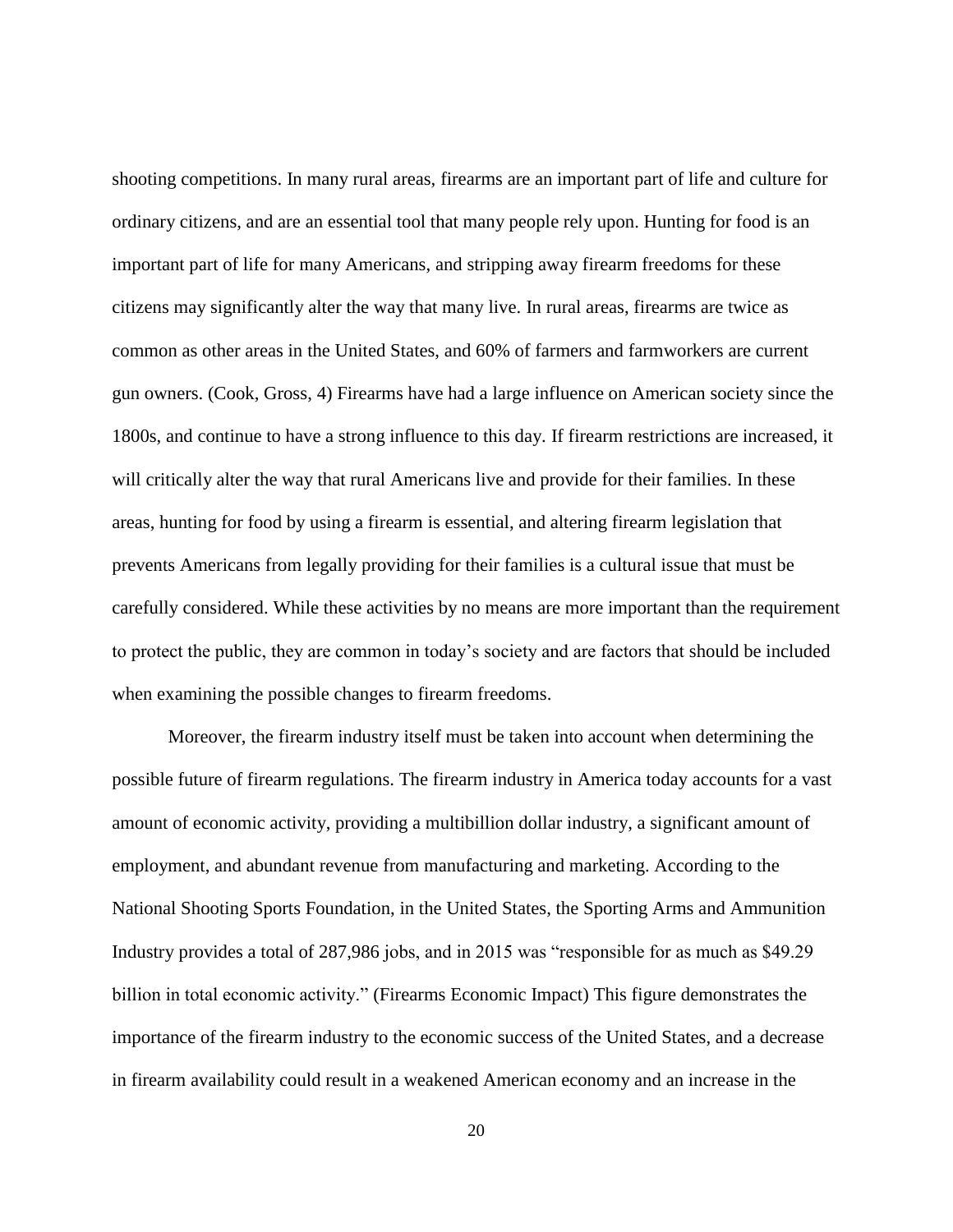shooting competitions. In many rural areas, firearms are an important part of life and culture for ordinary citizens, and are an essential tool that many people rely upon. Hunting for food is an important part of life for many Americans, and stripping away firearm freedoms for these citizens may significantly alter the way that many live. In rural areas, firearms are twice as common as other areas in the United States, and 60% of farmers and farmworkers are current gun owners. (Cook, Gross, 4) Firearms have had a large influence on American society since the 1800s, and continue to have a strong influence to this day. If firearm restrictions are increased, it will critically alter the way that rural Americans live and provide for their families. In these areas, hunting for food by using a firearm is essential, and altering firearm legislation that prevents Americans from legally providing for their families is a cultural issue that must be carefully considered. While these activities by no means are more important than the requirement to protect the public, they are common in today's society and are factors that should be included when examining the possible changes to firearm freedoms.

Moreover, the firearm industry itself must be taken into account when determining the possible future of firearm regulations. The firearm industry in America today accounts for a vast amount of economic activity, providing a multibillion dollar industry, a significant amount of employment, and abundant revenue from manufacturing and marketing. According to the National Shooting Sports Foundation, in the United States, the Sporting Arms and Ammunition Industry provides a total of 287,986 jobs, and in 2015 was "responsible for as much as \$49.29 billion in total economic activity." (Firearms Economic Impact) This figure demonstrates the importance of the firearm industry to the economic success of the United States, and a decrease in firearm availability could result in a weakened American economy and an increase in the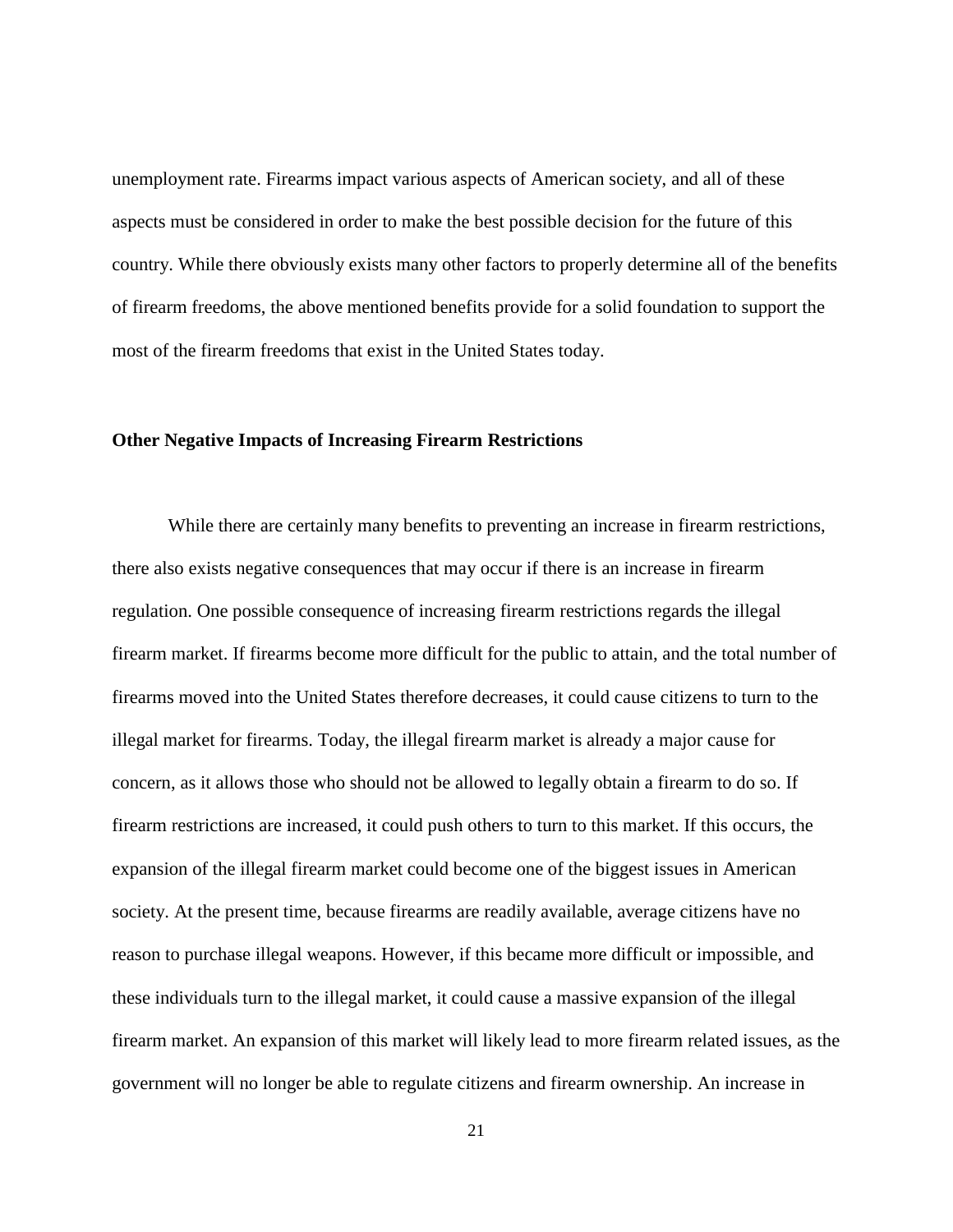unemployment rate. Firearms impact various aspects of American society, and all of these aspects must be considered in order to make the best possible decision for the future of this country. While there obviously exists many other factors to properly determine all of the benefits of firearm freedoms, the above mentioned benefits provide for a solid foundation to support the most of the firearm freedoms that exist in the United States today.

#### <span id="page-27-0"></span>**Other Negative Impacts of Increasing Firearm Restrictions**

While there are certainly many benefits to preventing an increase in firearm restrictions, there also exists negative consequences that may occur if there is an increase in firearm regulation. One possible consequence of increasing firearm restrictions regards the illegal firearm market. If firearms become more difficult for the public to attain, and the total number of firearms moved into the United States therefore decreases, it could cause citizens to turn to the illegal market for firearms. Today, the illegal firearm market is already a major cause for concern, as it allows those who should not be allowed to legally obtain a firearm to do so. If firearm restrictions are increased, it could push others to turn to this market. If this occurs, the expansion of the illegal firearm market could become one of the biggest issues in American society. At the present time, because firearms are readily available, average citizens have no reason to purchase illegal weapons. However, if this became more difficult or impossible, and these individuals turn to the illegal market, it could cause a massive expansion of the illegal firearm market. An expansion of this market will likely lead to more firearm related issues, as the government will no longer be able to regulate citizens and firearm ownership. An increase in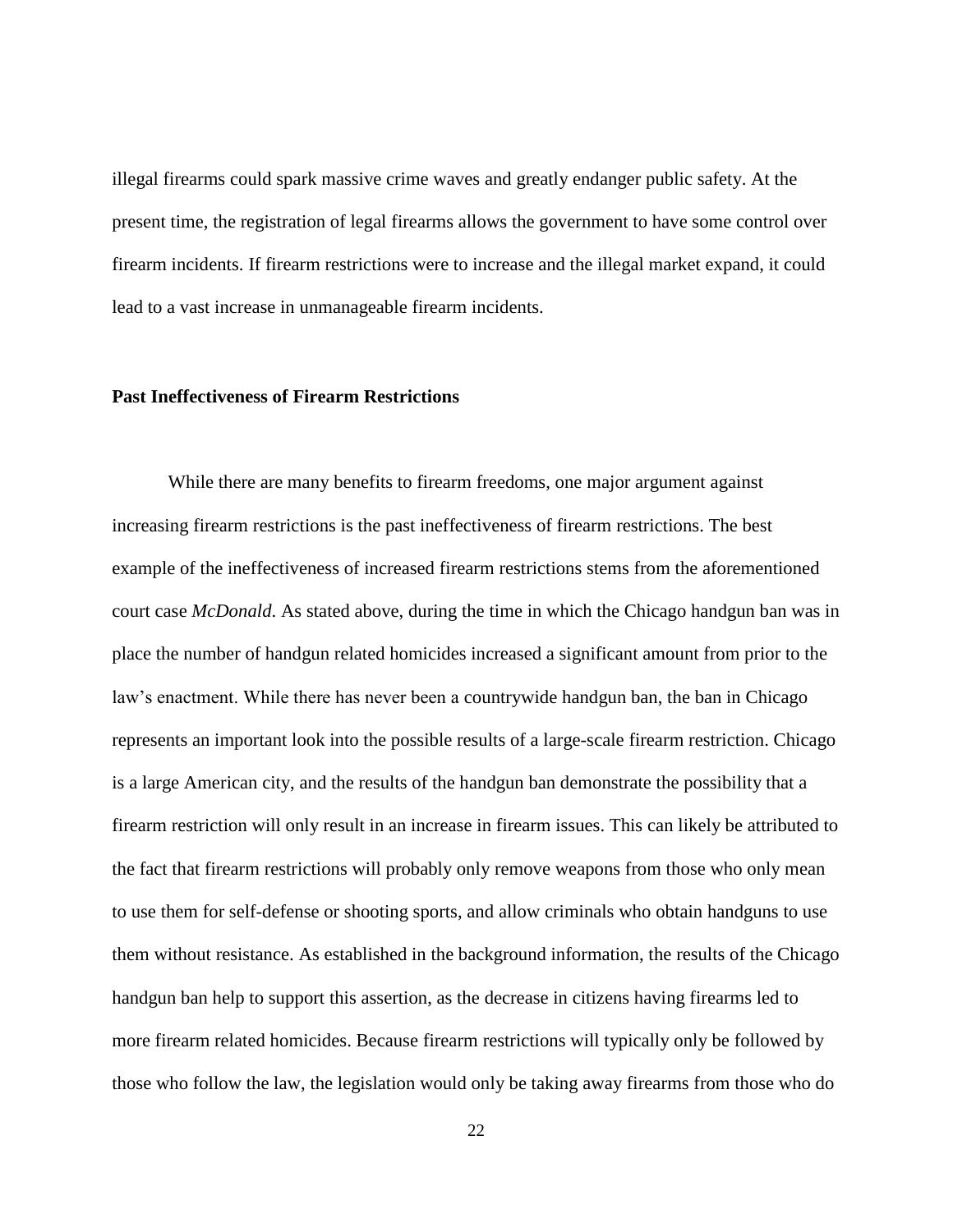illegal firearms could spark massive crime waves and greatly endanger public safety. At the present time, the registration of legal firearms allows the government to have some control over firearm incidents. If firearm restrictions were to increase and the illegal market expand, it could lead to a vast increase in unmanageable firearm incidents.

# <span id="page-28-0"></span>**Past Ineffectiveness of Firearm Restrictions**

While there are many benefits to firearm freedoms, one major argument against increasing firearm restrictions is the past ineffectiveness of firearm restrictions. The best example of the ineffectiveness of increased firearm restrictions stems from the aforementioned court case *McDonald*. As stated above, during the time in which the Chicago handgun ban was in place the number of handgun related homicides increased a significant amount from prior to the law's enactment. While there has never been a countrywide handgun ban, the ban in Chicago represents an important look into the possible results of a large-scale firearm restriction. Chicago is a large American city, and the results of the handgun ban demonstrate the possibility that a firearm restriction will only result in an increase in firearm issues. This can likely be attributed to the fact that firearm restrictions will probably only remove weapons from those who only mean to use them for self-defense or shooting sports, and allow criminals who obtain handguns to use them without resistance. As established in the background information, the results of the Chicago handgun ban help to support this assertion, as the decrease in citizens having firearms led to more firearm related homicides. Because firearm restrictions will typically only be followed by those who follow the law, the legislation would only be taking away firearms from those who do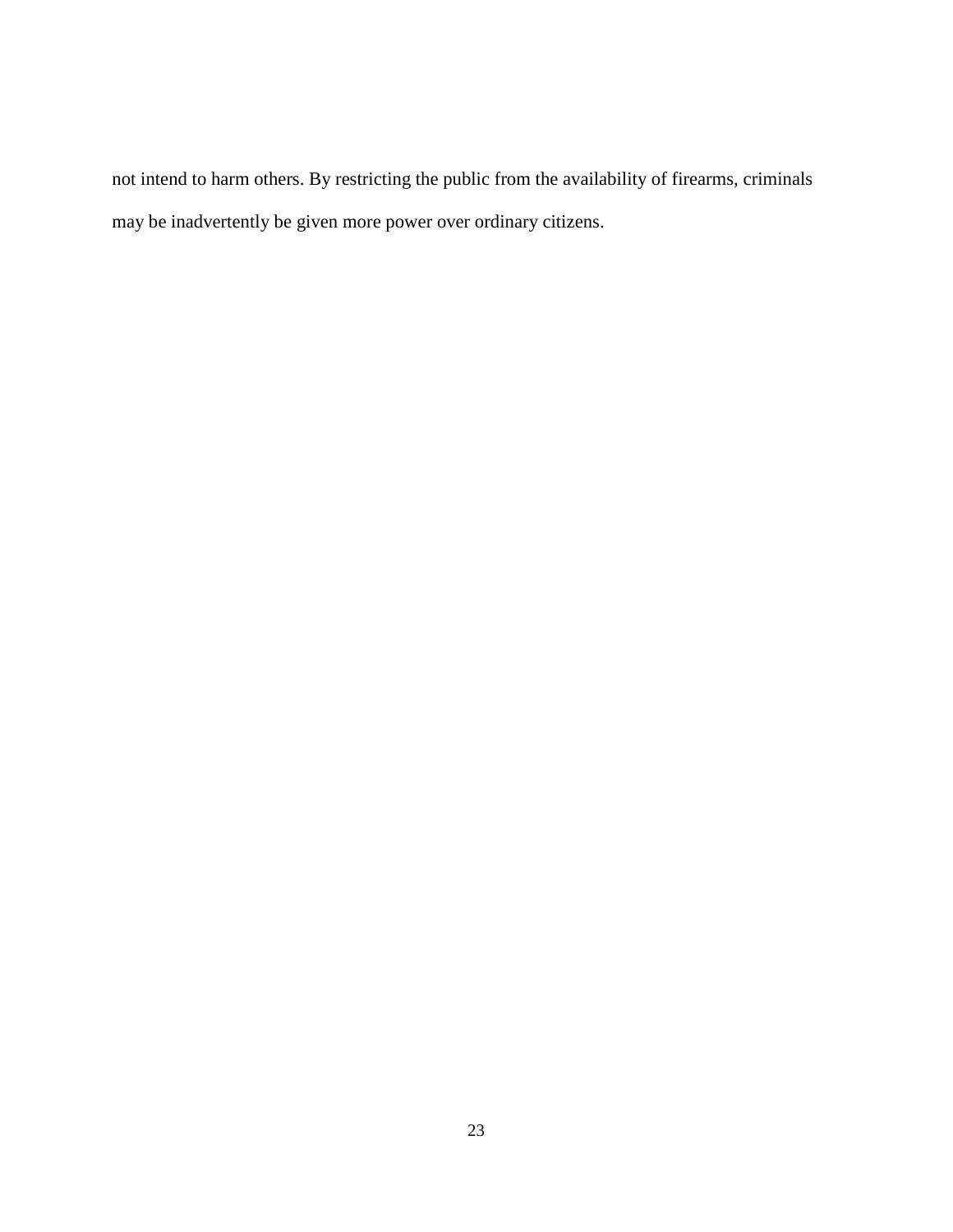not intend to harm others. By restricting the public from the availability of firearms, criminals may be inadvertently be given more power over ordinary citizens.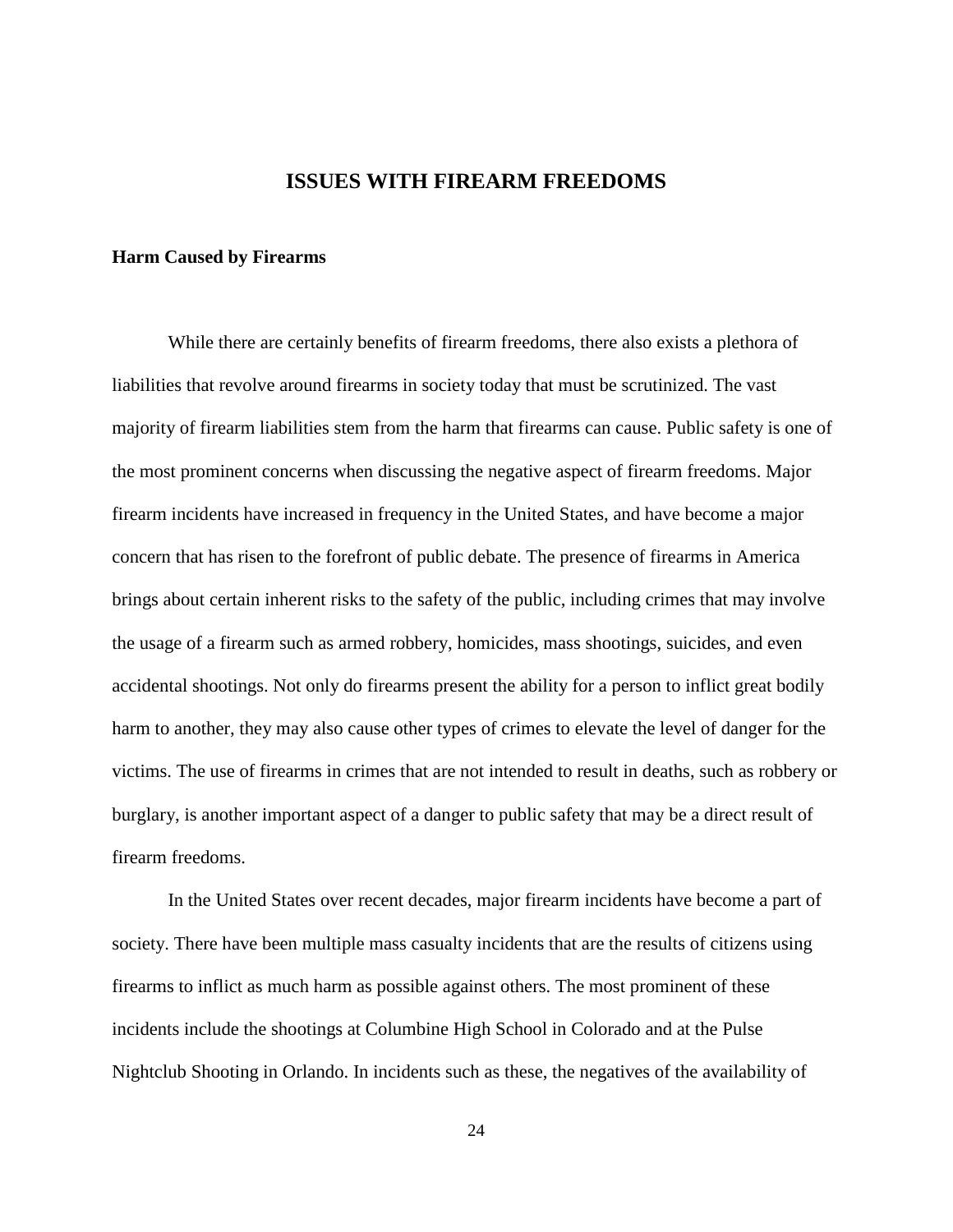# **ISSUES WITH FIREARM FREEDOMS**

# <span id="page-30-1"></span><span id="page-30-0"></span>**Harm Caused by Firearms**

While there are certainly benefits of firearm freedoms, there also exists a plethora of liabilities that revolve around firearms in society today that must be scrutinized. The vast majority of firearm liabilities stem from the harm that firearms can cause. Public safety is one of the most prominent concerns when discussing the negative aspect of firearm freedoms. Major firearm incidents have increased in frequency in the United States, and have become a major concern that has risen to the forefront of public debate. The presence of firearms in America brings about certain inherent risks to the safety of the public, including crimes that may involve the usage of a firearm such as armed robbery, homicides, mass shootings, suicides, and even accidental shootings. Not only do firearms present the ability for a person to inflict great bodily harm to another, they may also cause other types of crimes to elevate the level of danger for the victims. The use of firearms in crimes that are not intended to result in deaths, such as robbery or burglary, is another important aspect of a danger to public safety that may be a direct result of firearm freedoms.

In the United States over recent decades, major firearm incidents have become a part of society. There have been multiple mass casualty incidents that are the results of citizens using firearms to inflict as much harm as possible against others. The most prominent of these incidents include the shootings at Columbine High School in Colorado and at the Pulse Nightclub Shooting in Orlando. In incidents such as these, the negatives of the availability of

24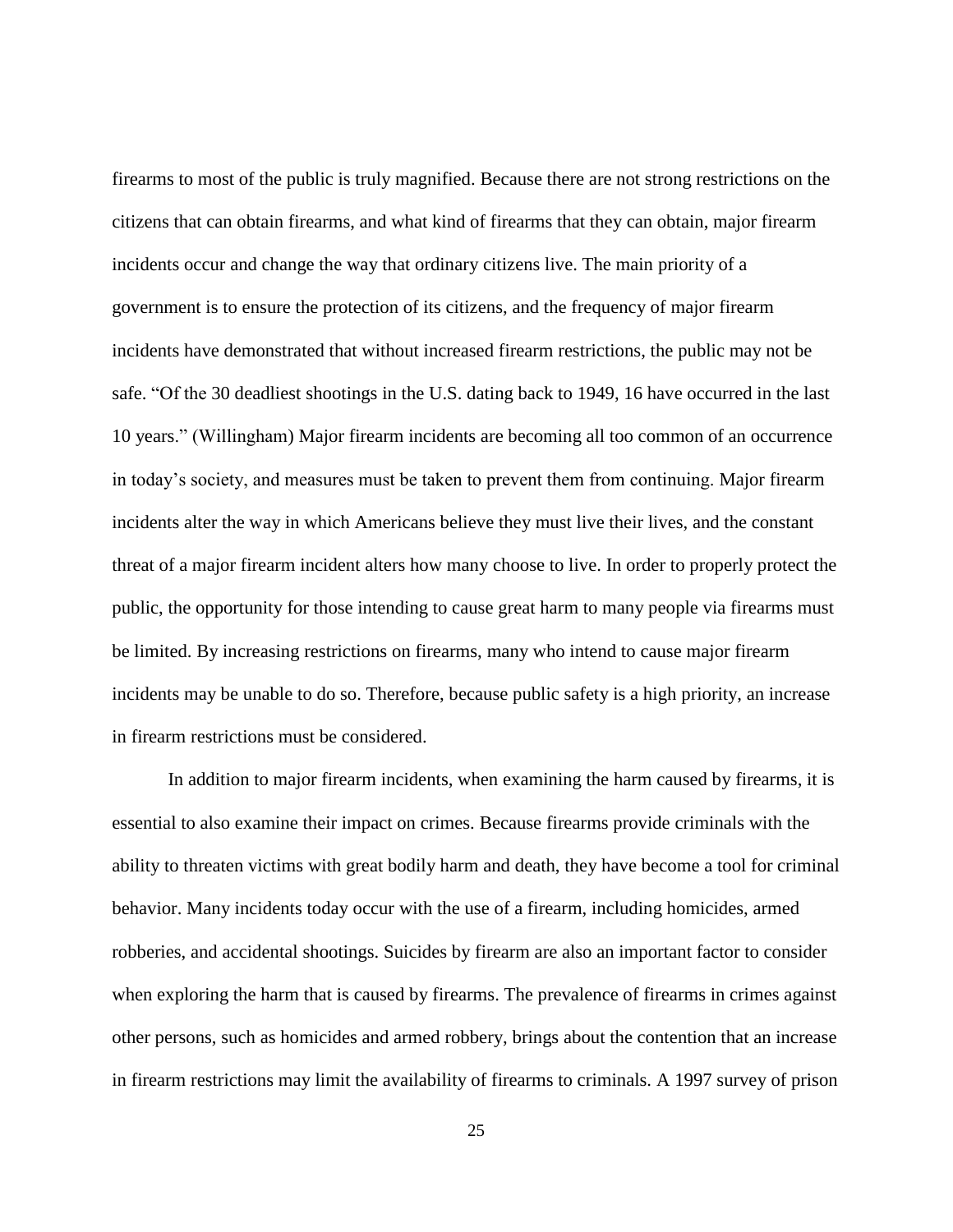firearms to most of the public is truly magnified. Because there are not strong restrictions on the citizens that can obtain firearms, and what kind of firearms that they can obtain, major firearm incidents occur and change the way that ordinary citizens live. The main priority of a government is to ensure the protection of its citizens, and the frequency of major firearm incidents have demonstrated that without increased firearm restrictions, the public may not be safe. "Of the 30 deadliest shootings in the U.S. dating back to 1949, 16 have occurred in the last 10 years." (Willingham) Major firearm incidents are becoming all too common of an occurrence in today's society, and measures must be taken to prevent them from continuing. Major firearm incidents alter the way in which Americans believe they must live their lives, and the constant threat of a major firearm incident alters how many choose to live. In order to properly protect the public, the opportunity for those intending to cause great harm to many people via firearms must be limited. By increasing restrictions on firearms, many who intend to cause major firearm incidents may be unable to do so. Therefore, because public safety is a high priority, an increase in firearm restrictions must be considered.

In addition to major firearm incidents, when examining the harm caused by firearms, it is essential to also examine their impact on crimes. Because firearms provide criminals with the ability to threaten victims with great bodily harm and death, they have become a tool for criminal behavior. Many incidents today occur with the use of a firearm, including homicides, armed robberies, and accidental shootings. Suicides by firearm are also an important factor to consider when exploring the harm that is caused by firearms. The prevalence of firearms in crimes against other persons, such as homicides and armed robbery, brings about the contention that an increase in firearm restrictions may limit the availability of firearms to criminals. A 1997 survey of prison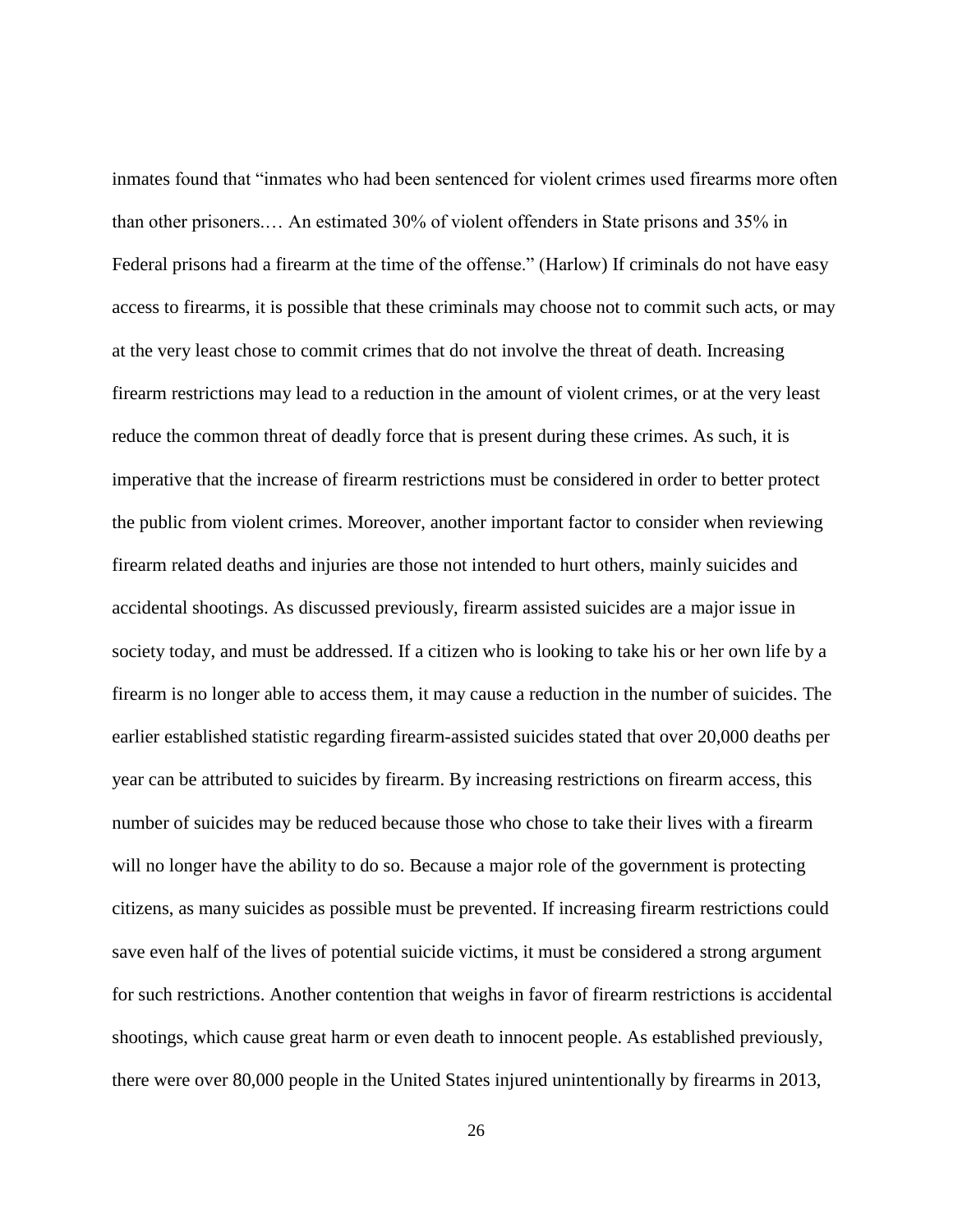inmates found that "inmates who had been sentenced for violent crimes used firearms more often than other prisoners.… An estimated 30% of violent offenders in State prisons and 35% in Federal prisons had a firearm at the time of the offense." (Harlow) If criminals do not have easy access to firearms, it is possible that these criminals may choose not to commit such acts, or may at the very least chose to commit crimes that do not involve the threat of death. Increasing firearm restrictions may lead to a reduction in the amount of violent crimes, or at the very least reduce the common threat of deadly force that is present during these crimes. As such, it is imperative that the increase of firearm restrictions must be considered in order to better protect the public from violent crimes. Moreover, another important factor to consider when reviewing firearm related deaths and injuries are those not intended to hurt others, mainly suicides and accidental shootings. As discussed previously, firearm assisted suicides are a major issue in society today, and must be addressed. If a citizen who is looking to take his or her own life by a firearm is no longer able to access them, it may cause a reduction in the number of suicides. The earlier established statistic regarding firearm-assisted suicides stated that over 20,000 deaths per year can be attributed to suicides by firearm. By increasing restrictions on firearm access, this number of suicides may be reduced because those who chose to take their lives with a firearm will no longer have the ability to do so. Because a major role of the government is protecting citizens, as many suicides as possible must be prevented. If increasing firearm restrictions could save even half of the lives of potential suicide victims, it must be considered a strong argument for such restrictions. Another contention that weighs in favor of firearm restrictions is accidental shootings, which cause great harm or even death to innocent people. As established previously, there were over 80,000 people in the United States injured unintentionally by firearms in 2013,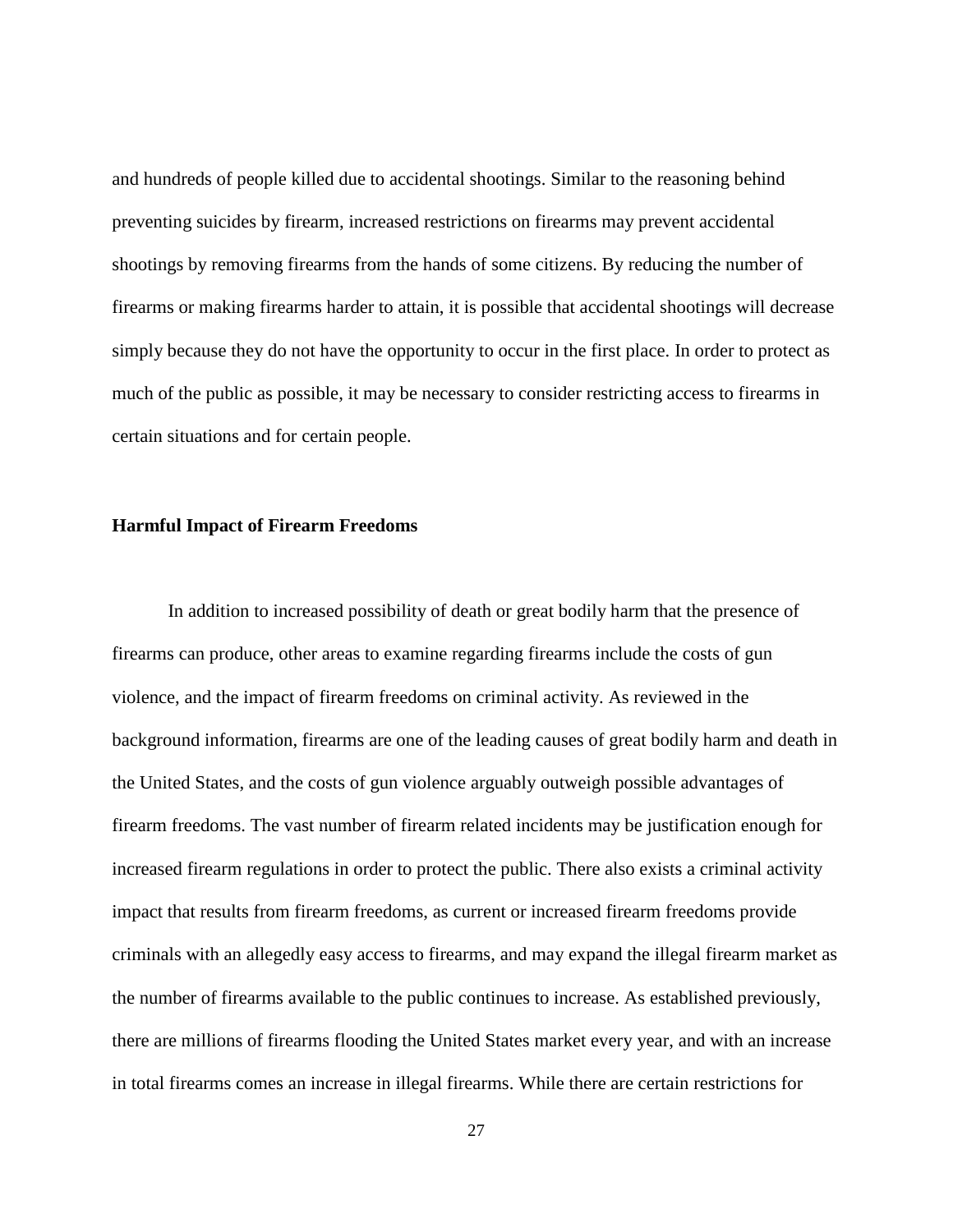and hundreds of people killed due to accidental shootings. Similar to the reasoning behind preventing suicides by firearm, increased restrictions on firearms may prevent accidental shootings by removing firearms from the hands of some citizens. By reducing the number of firearms or making firearms harder to attain, it is possible that accidental shootings will decrease simply because they do not have the opportunity to occur in the first place. In order to protect as much of the public as possible, it may be necessary to consider restricting access to firearms in certain situations and for certain people.

#### <span id="page-33-0"></span>**Harmful Impact of Firearm Freedoms**

In addition to increased possibility of death or great bodily harm that the presence of firearms can produce, other areas to examine regarding firearms include the costs of gun violence, and the impact of firearm freedoms on criminal activity. As reviewed in the background information, firearms are one of the leading causes of great bodily harm and death in the United States, and the costs of gun violence arguably outweigh possible advantages of firearm freedoms. The vast number of firearm related incidents may be justification enough for increased firearm regulations in order to protect the public. There also exists a criminal activity impact that results from firearm freedoms, as current or increased firearm freedoms provide criminals with an allegedly easy access to firearms, and may expand the illegal firearm market as the number of firearms available to the public continues to increase. As established previously, there are millions of firearms flooding the United States market every year, and with an increase in total firearms comes an increase in illegal firearms. While there are certain restrictions for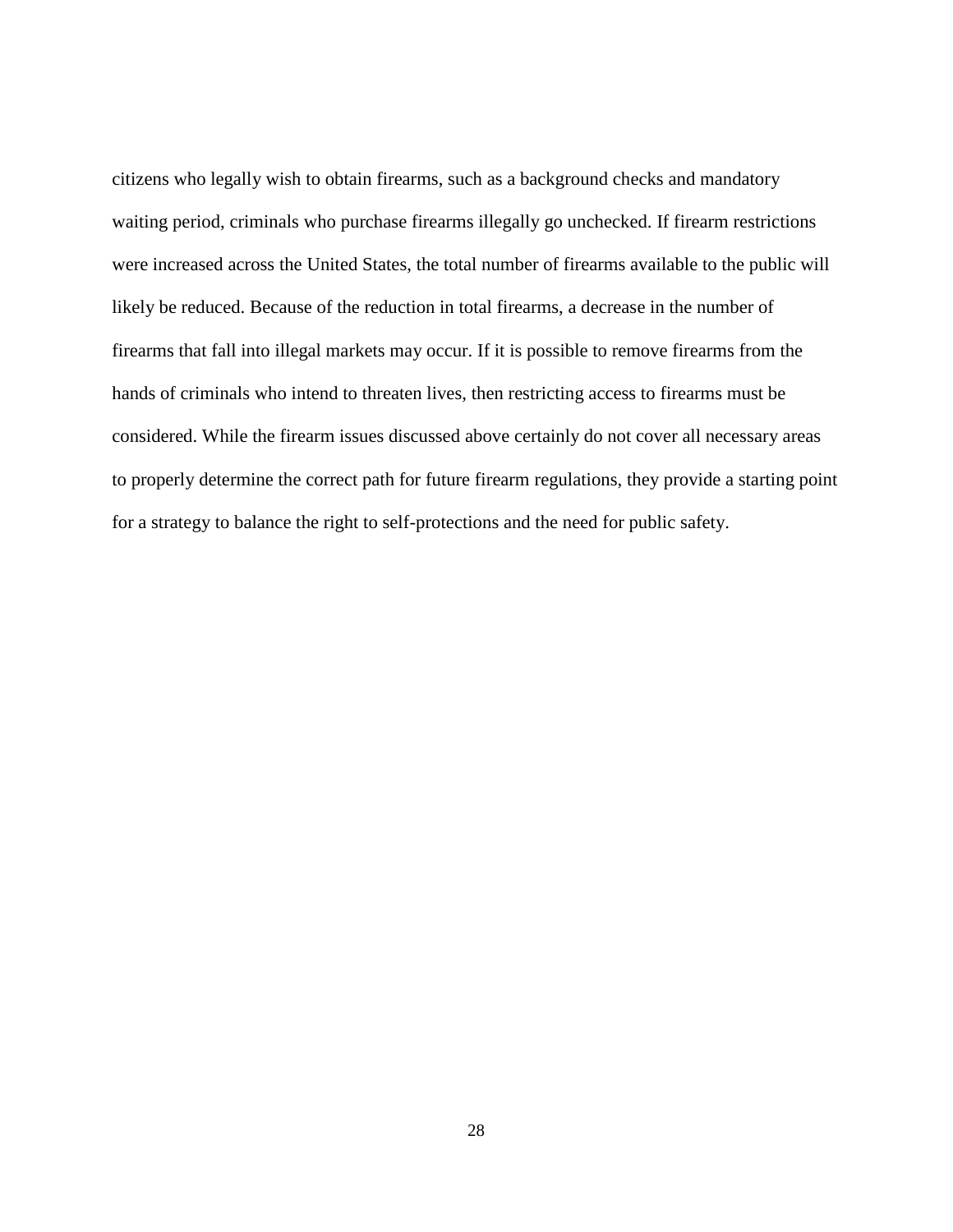citizens who legally wish to obtain firearms, such as a background checks and mandatory waiting period, criminals who purchase firearms illegally go unchecked. If firearm restrictions were increased across the United States, the total number of firearms available to the public will likely be reduced. Because of the reduction in total firearms, a decrease in the number of firearms that fall into illegal markets may occur. If it is possible to remove firearms from the hands of criminals who intend to threaten lives, then restricting access to firearms must be considered. While the firearm issues discussed above certainly do not cover all necessary areas to properly determine the correct path for future firearm regulations, they provide a starting point for a strategy to balance the right to self-protections and the need for public safety.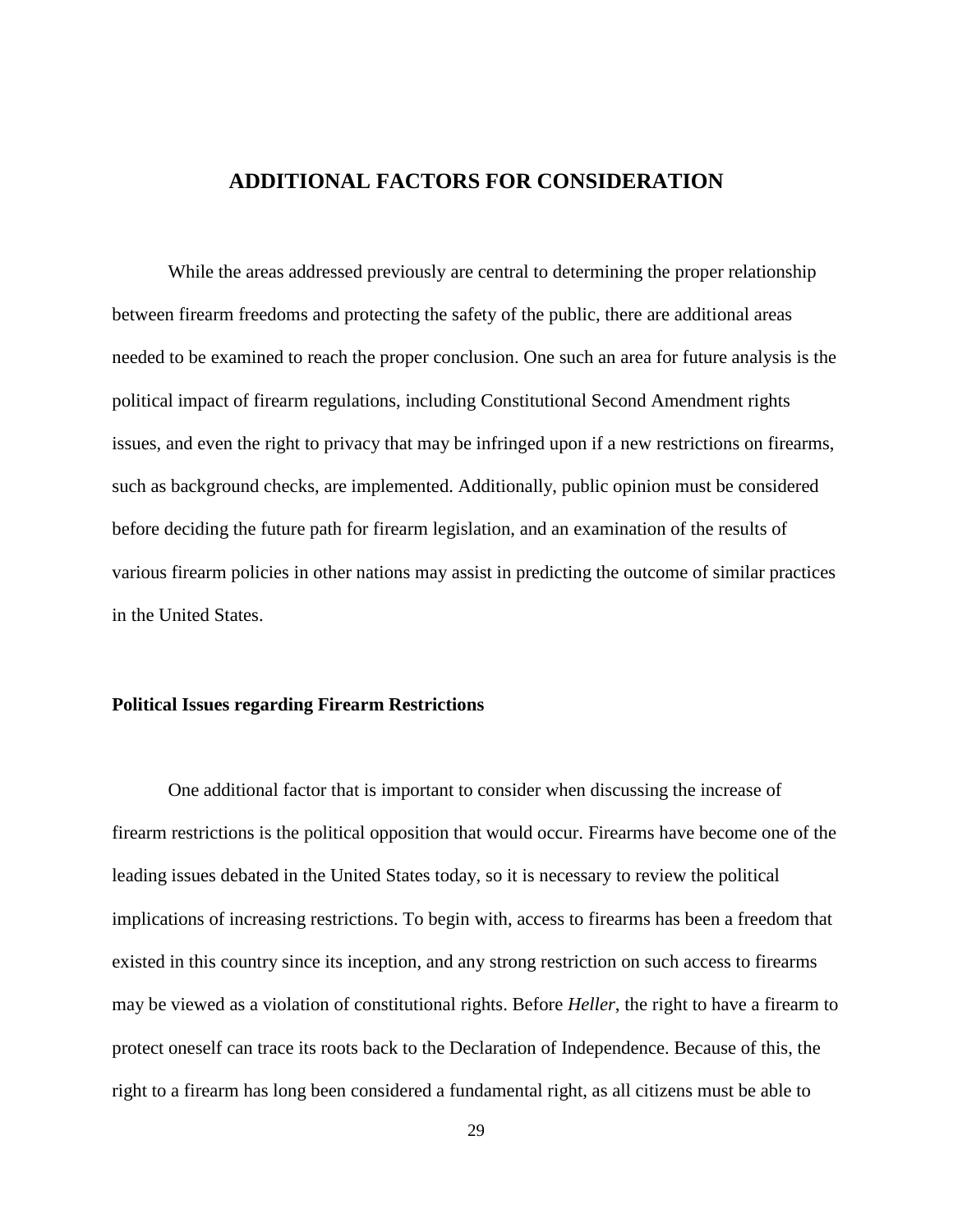# **ADDITIONAL FACTORS FOR CONSIDERATION**

<span id="page-35-0"></span>While the areas addressed previously are central to determining the proper relationship between firearm freedoms and protecting the safety of the public, there are additional areas needed to be examined to reach the proper conclusion. One such an area for future analysis is the political impact of firearm regulations, including Constitutional Second Amendment rights issues, and even the right to privacy that may be infringed upon if a new restrictions on firearms, such as background checks, are implemented. Additionally, public opinion must be considered before deciding the future path for firearm legislation, and an examination of the results of various firearm policies in other nations may assist in predicting the outcome of similar practices in the United States.

# <span id="page-35-1"></span>**Political Issues regarding Firearm Restrictions**

One additional factor that is important to consider when discussing the increase of firearm restrictions is the political opposition that would occur. Firearms have become one of the leading issues debated in the United States today, so it is necessary to review the political implications of increasing restrictions. To begin with, access to firearms has been a freedom that existed in this country since its inception, and any strong restriction on such access to firearms may be viewed as a violation of constitutional rights. Before *Heller*, the right to have a firearm to protect oneself can trace its roots back to the Declaration of Independence. Because of this, the right to a firearm has long been considered a fundamental right, as all citizens must be able to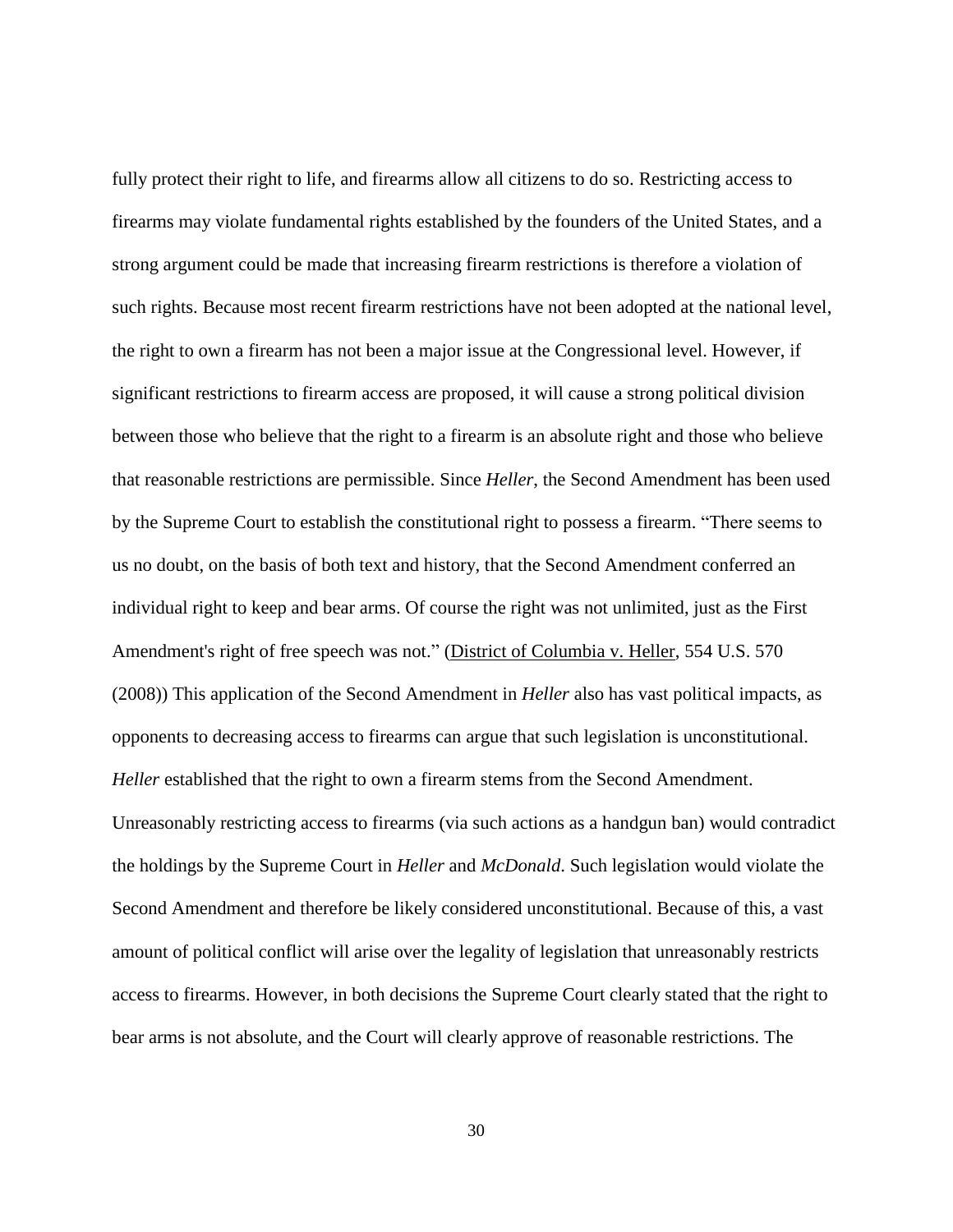fully protect their right to life, and firearms allow all citizens to do so. Restricting access to firearms may violate fundamental rights established by the founders of the United States, and a strong argument could be made that increasing firearm restrictions is therefore a violation of such rights. Because most recent firearm restrictions have not been adopted at the national level, the right to own a firearm has not been a major issue at the Congressional level. However, if significant restrictions to firearm access are proposed, it will cause a strong political division between those who believe that the right to a firearm is an absolute right and those who believe that reasonable restrictions are permissible. Since *Heller*, the Second Amendment has been used by the Supreme Court to establish the constitutional right to possess a firearm. "There seems to us no doubt, on the basis of both text and history, that the Second Amendment conferred an individual right to keep and bear arms. Of course the right was not unlimited, just as the First Amendment's right of free speech was not." (District of Columbia v. Heller, 554 U.S. 570 (2008)) This application of the Second Amendment in *Heller* also has vast political impacts, as opponents to decreasing access to firearms can argue that such legislation is unconstitutional. *Heller* established that the right to own a firearm stems from the Second Amendment. Unreasonably restricting access to firearms (via such actions as a handgun ban) would contradict the holdings by the Supreme Court in *Heller* and *McDonald*. Such legislation would violate the Second Amendment and therefore be likely considered unconstitutional. Because of this, a vast amount of political conflict will arise over the legality of legislation that unreasonably restricts access to firearms. However, in both decisions the Supreme Court clearly stated that the right to bear arms is not absolute, and the Court will clearly approve of reasonable restrictions. The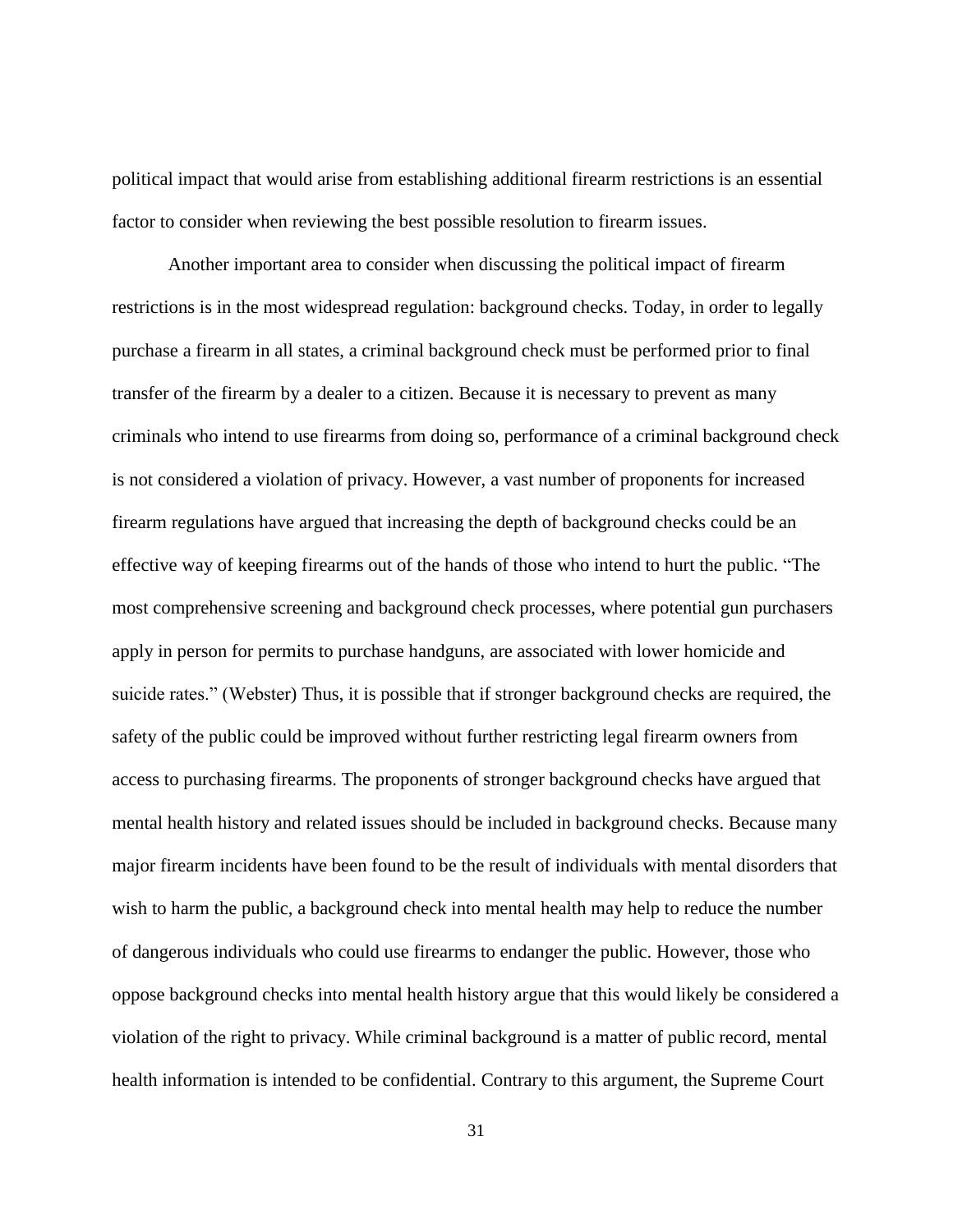political impact that would arise from establishing additional firearm restrictions is an essential factor to consider when reviewing the best possible resolution to firearm issues.

Another important area to consider when discussing the political impact of firearm restrictions is in the most widespread regulation: background checks. Today, in order to legally purchase a firearm in all states, a criminal background check must be performed prior to final transfer of the firearm by a dealer to a citizen. Because it is necessary to prevent as many criminals who intend to use firearms from doing so, performance of a criminal background check is not considered a violation of privacy. However, a vast number of proponents for increased firearm regulations have argued that increasing the depth of background checks could be an effective way of keeping firearms out of the hands of those who intend to hurt the public. "The most comprehensive screening and background check processes, where potential gun purchasers apply in person for permits to purchase handguns, are associated with lower homicide and suicide rates." (Webster) Thus, it is possible that if stronger background checks are required, the safety of the public could be improved without further restricting legal firearm owners from access to purchasing firearms. The proponents of stronger background checks have argued that mental health history and related issues should be included in background checks. Because many major firearm incidents have been found to be the result of individuals with mental disorders that wish to harm the public, a background check into mental health may help to reduce the number of dangerous individuals who could use firearms to endanger the public. However, those who oppose background checks into mental health history argue that this would likely be considered a violation of the right to privacy. While criminal background is a matter of public record, mental health information is intended to be confidential. Contrary to this argument, the Supreme Court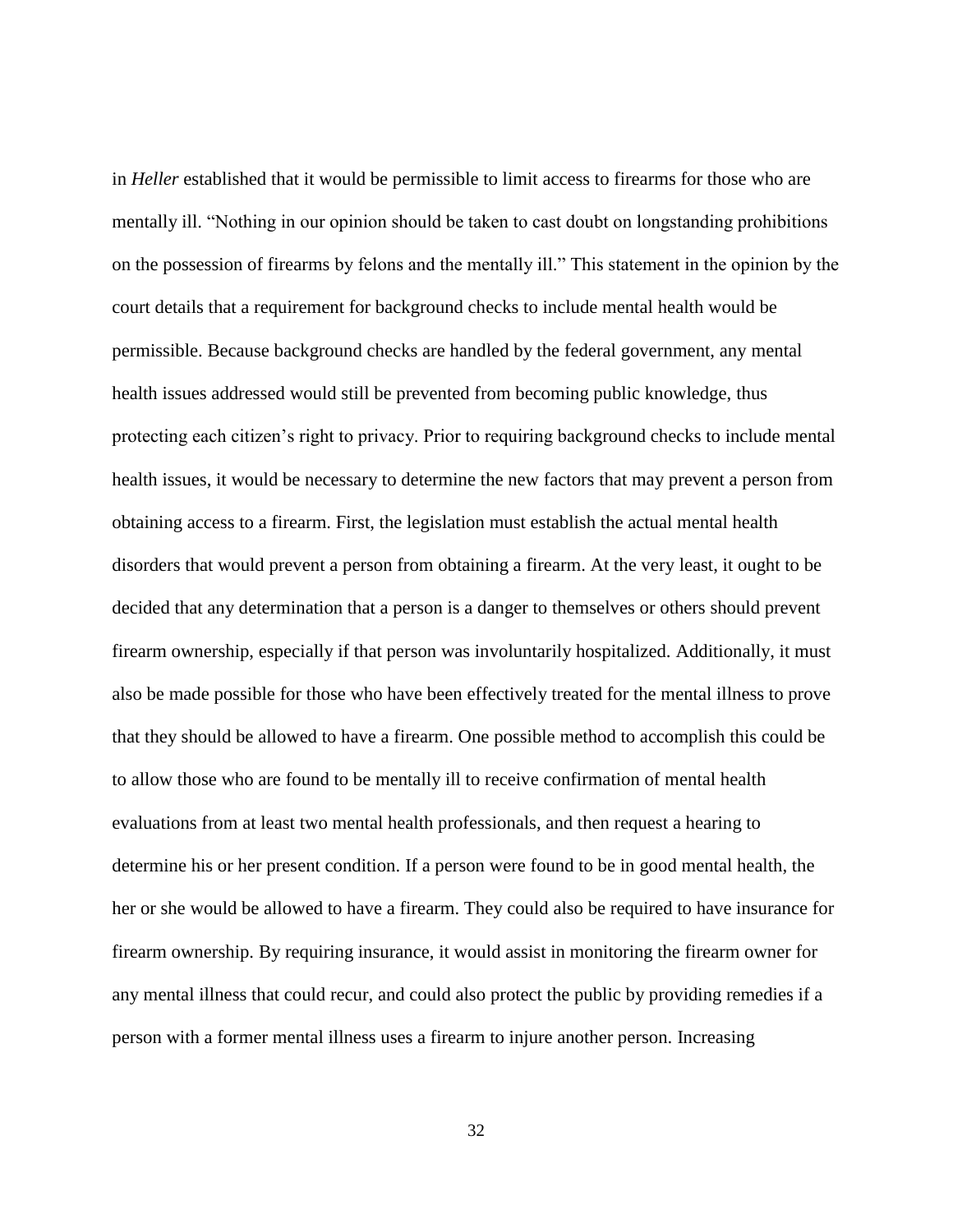in *Heller* established that it would be permissible to limit access to firearms for those who are mentally ill. "Nothing in our opinion should be taken to cast doubt on longstanding prohibitions on the possession of firearms by felons and the mentally ill." This statement in the opinion by the court details that a requirement for background checks to include mental health would be permissible. Because background checks are handled by the federal government, any mental health issues addressed would still be prevented from becoming public knowledge, thus protecting each citizen's right to privacy. Prior to requiring background checks to include mental health issues, it would be necessary to determine the new factors that may prevent a person from obtaining access to a firearm. First, the legislation must establish the actual mental health disorders that would prevent a person from obtaining a firearm. At the very least, it ought to be decided that any determination that a person is a danger to themselves or others should prevent firearm ownership, especially if that person was involuntarily hospitalized. Additionally, it must also be made possible for those who have been effectively treated for the mental illness to prove that they should be allowed to have a firearm. One possible method to accomplish this could be to allow those who are found to be mentally ill to receive confirmation of mental health evaluations from at least two mental health professionals, and then request a hearing to determine his or her present condition. If a person were found to be in good mental health, the her or she would be allowed to have a firearm. They could also be required to have insurance for firearm ownership. By requiring insurance, it would assist in monitoring the firearm owner for any mental illness that could recur, and could also protect the public by providing remedies if a person with a former mental illness uses a firearm to injure another person. Increasing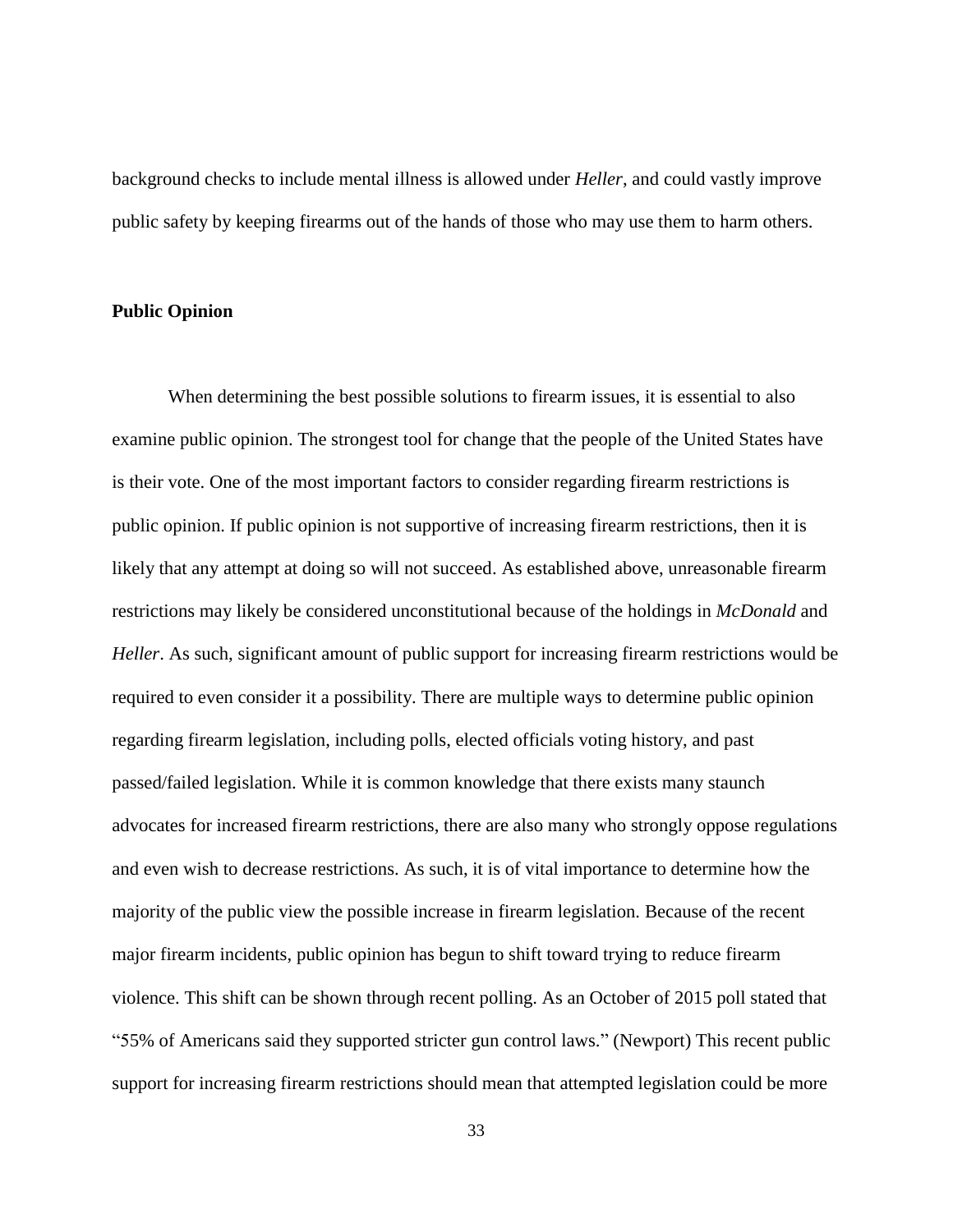background checks to include mental illness is allowed under *Heller*, and could vastly improve public safety by keeping firearms out of the hands of those who may use them to harm others.

# <span id="page-39-0"></span>**Public Opinion**

When determining the best possible solutions to firearm issues, it is essential to also examine public opinion. The strongest tool for change that the people of the United States have is their vote. One of the most important factors to consider regarding firearm restrictions is public opinion. If public opinion is not supportive of increasing firearm restrictions, then it is likely that any attempt at doing so will not succeed. As established above, unreasonable firearm restrictions may likely be considered unconstitutional because of the holdings in *McDonald* and *Heller*. As such, significant amount of public support for increasing firearm restrictions would be required to even consider it a possibility. There are multiple ways to determine public opinion regarding firearm legislation, including polls, elected officials voting history, and past passed/failed legislation. While it is common knowledge that there exists many staunch advocates for increased firearm restrictions, there are also many who strongly oppose regulations and even wish to decrease restrictions. As such, it is of vital importance to determine how the majority of the public view the possible increase in firearm legislation. Because of the recent major firearm incidents, public opinion has begun to shift toward trying to reduce firearm violence. This shift can be shown through recent polling. As an October of 2015 poll stated that "55% of Americans said they supported stricter gun control laws." (Newport) This recent public support for increasing firearm restrictions should mean that attempted legislation could be more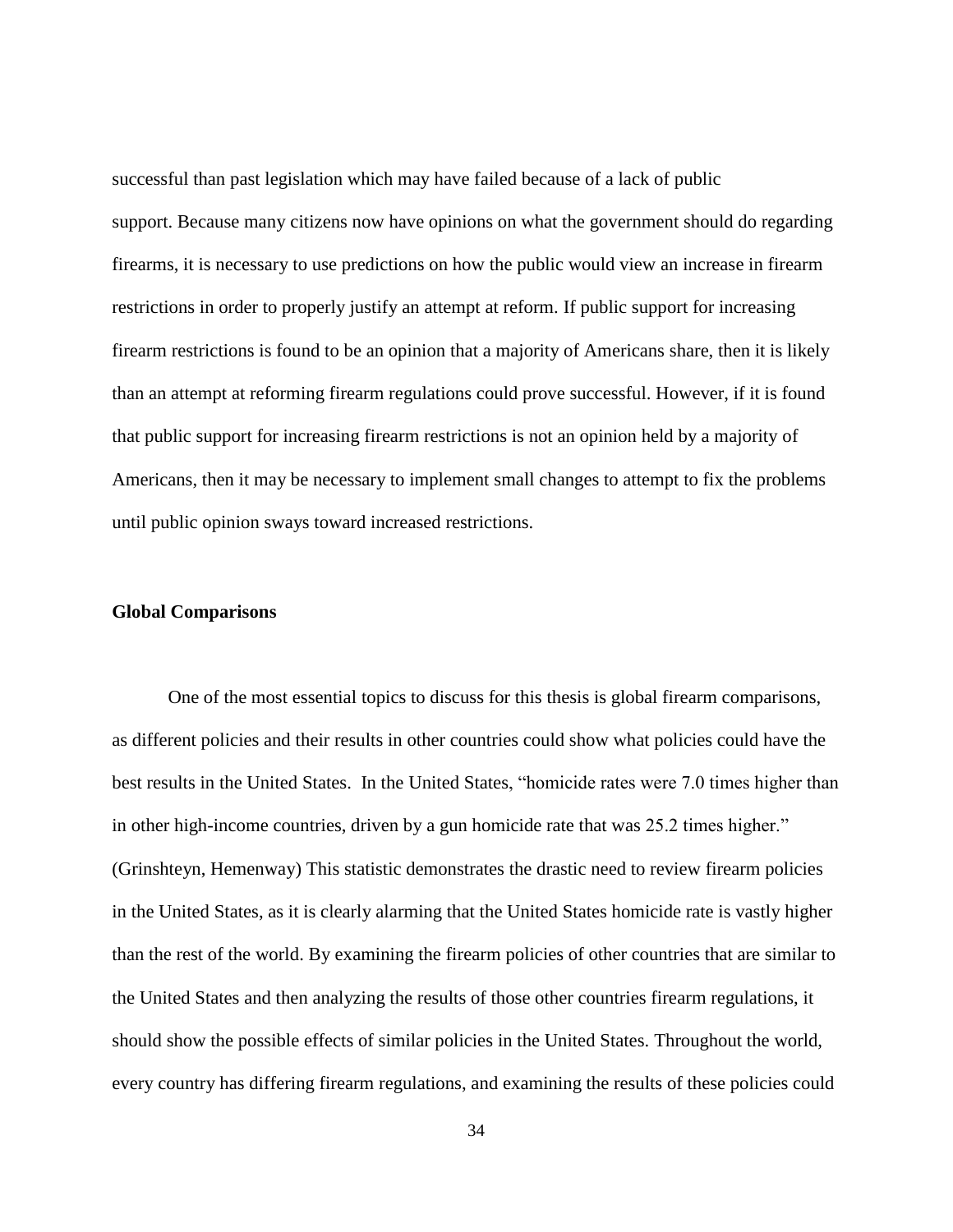successful than past legislation which may have failed because of a lack of public support. Because many citizens now have opinions on what the government should do regarding firearms, it is necessary to use predictions on how the public would view an increase in firearm restrictions in order to properly justify an attempt at reform. If public support for increasing firearm restrictions is found to be an opinion that a majority of Americans share, then it is likely than an attempt at reforming firearm regulations could prove successful. However, if it is found that public support for increasing firearm restrictions is not an opinion held by a majority of Americans, then it may be necessary to implement small changes to attempt to fix the problems until public opinion sways toward increased restrictions.

#### <span id="page-40-0"></span>**Global Comparisons**

One of the most essential topics to discuss for this thesis is global firearm comparisons, as different policies and their results in other countries could show what policies could have the best results in the United States. In the United States, "homicide rates were 7.0 times higher than in other high-income countries, driven by a gun homicide rate that was 25.2 times higher." (Grinshteyn, Hemenway) This statistic demonstrates the drastic need to review firearm policies in the United States, as it is clearly alarming that the United States homicide rate is vastly higher than the rest of the world. By examining the firearm policies of other countries that are similar to the United States and then analyzing the results of those other countries firearm regulations, it should show the possible effects of similar policies in the United States. Throughout the world, every country has differing firearm regulations, and examining the results of these policies could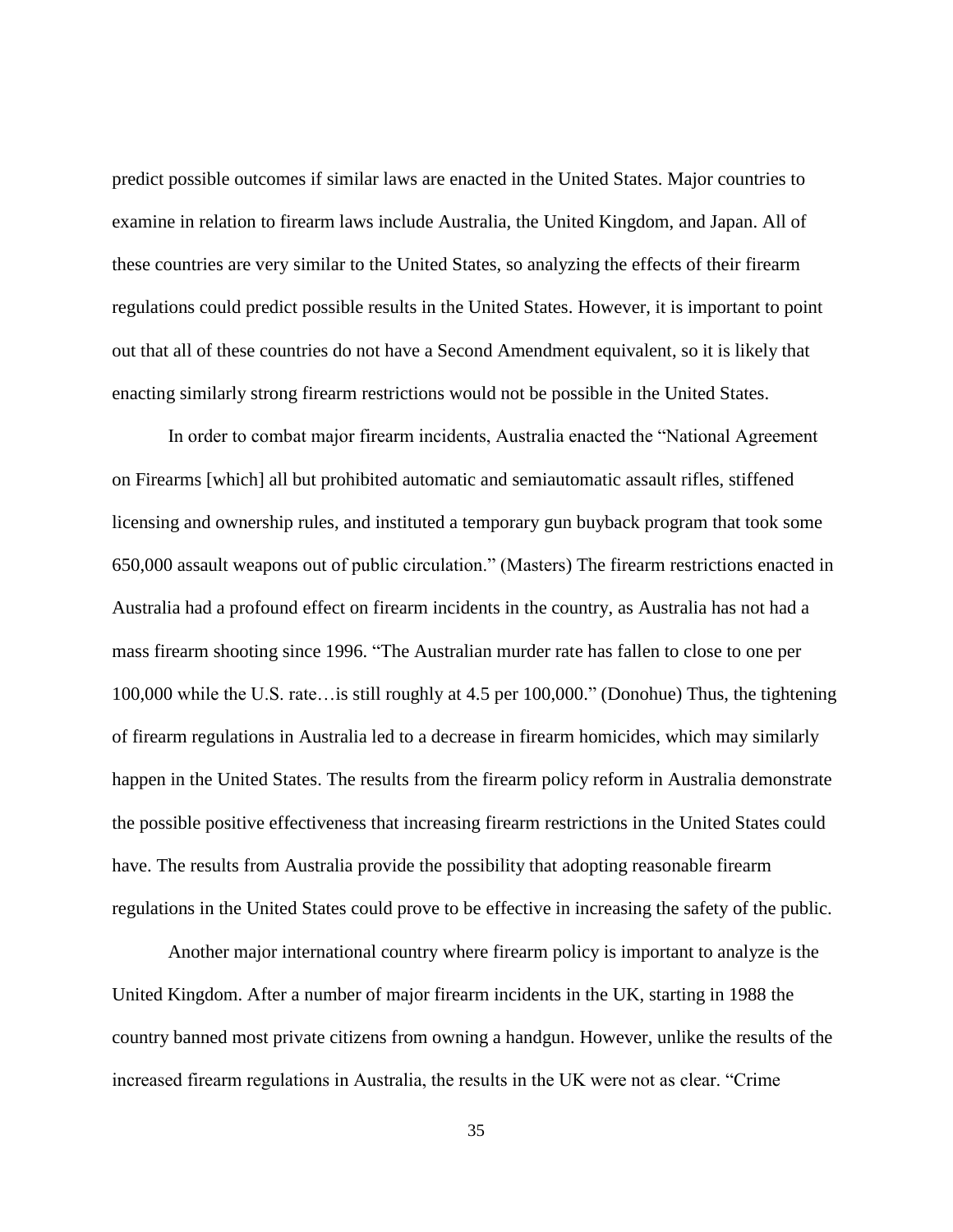predict possible outcomes if similar laws are enacted in the United States. Major countries to examine in relation to firearm laws include Australia, the United Kingdom, and Japan. All of these countries are very similar to the United States, so analyzing the effects of their firearm regulations could predict possible results in the United States. However, it is important to point out that all of these countries do not have a Second Amendment equivalent, so it is likely that enacting similarly strong firearm restrictions would not be possible in the United States.

In order to combat major firearm incidents, Australia enacted the "National Agreement on Firearms [which] all but prohibited automatic and semiautomatic assault rifles, stiffened licensing and ownership rules, and instituted a temporary gun buyback program that took some 650,000 assault weapons out of public circulation." (Masters) The firearm restrictions enacted in Australia had a profound effect on firearm incidents in the country, as Australia has not had a mass firearm shooting since 1996. "The Australian murder rate has fallen to close to one per 100,000 while the U.S. rate…is still roughly at 4.5 per 100,000." [\(Donohue\)](https://theconversation.com/profiles/john-donohue-174007) Thus, the tightening of firearm regulations in Australia led to a decrease in firearm homicides, which may similarly happen in the United States. The results from the firearm policy reform in Australia demonstrate the possible positive effectiveness that increasing firearm restrictions in the United States could have. The results from Australia provide the possibility that adopting reasonable firearm regulations in the United States could prove to be effective in increasing the safety of the public.

Another major international country where firearm policy is important to analyze is the United Kingdom. After a number of major firearm incidents in the UK, starting in 1988 the country banned most private citizens from owning a handgun. However, unlike the results of the increased firearm regulations in Australia, the results in the UK were not as clear. "Crime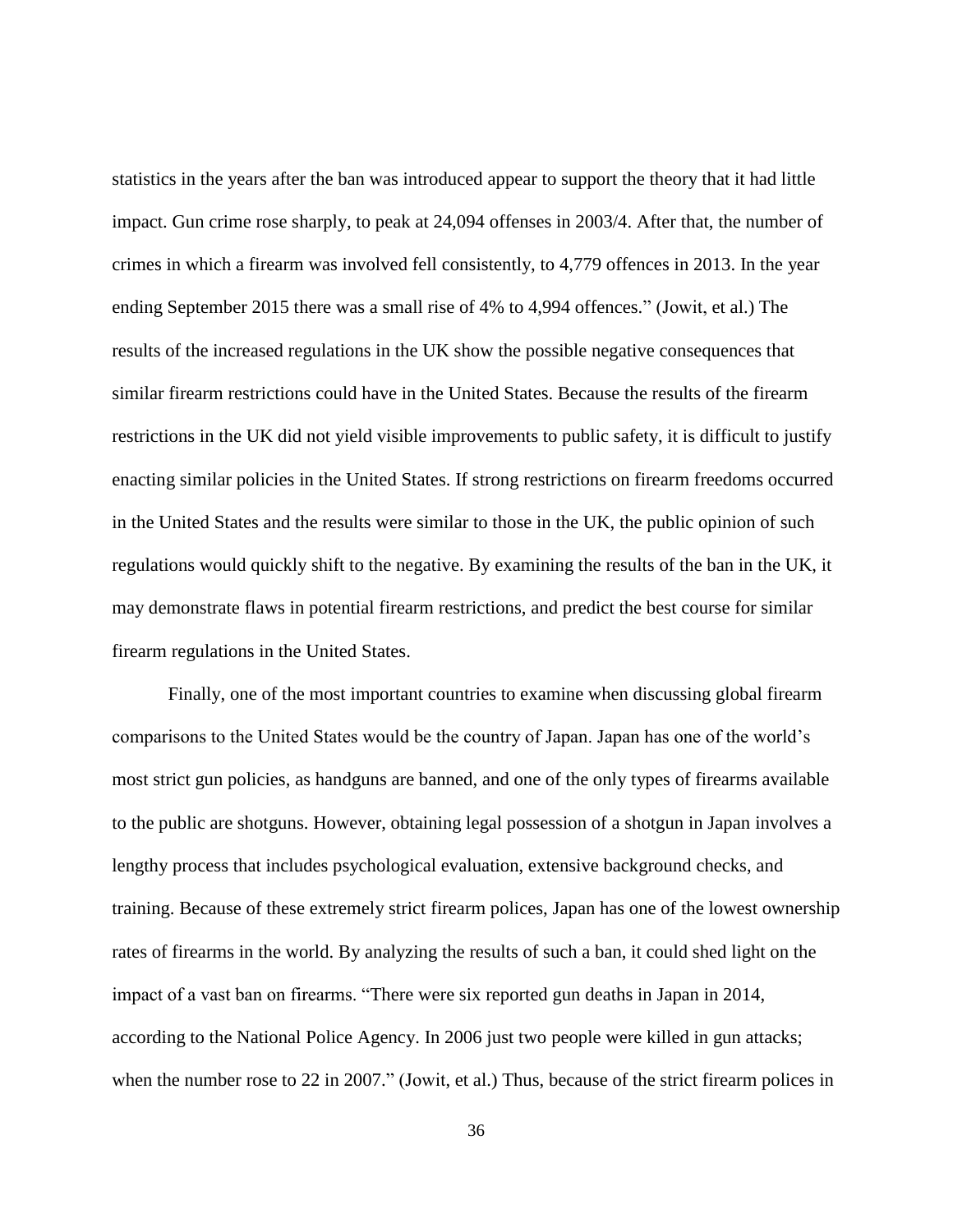statistics in the years after the ban was introduced appear to support the theory that it had little impact. Gun crime rose sharply, to peak at 24,094 offenses in 2003/4. After that, the number of crimes in which a firearm was involved fell consistently, to 4,779 offences in 2013. In the year ending September 2015 there was a small rise of 4% to 4,994 offences." (Jowit, et al.) The results of the increased regulations in the UK show the possible negative consequences that similar firearm restrictions could have in the United States. Because the results of the firearm restrictions in the UK did not yield visible improvements to public safety, it is difficult to justify enacting similar policies in the United States. If strong restrictions on firearm freedoms occurred in the United States and the results were similar to those in the UK, the public opinion of such regulations would quickly shift to the negative. By examining the results of the ban in the UK, it may demonstrate flaws in potential firearm restrictions, and predict the best course for similar firearm regulations in the United States.

Finally, one of the most important countries to examine when discussing global firearm comparisons to the United States would be the country of Japan. Japan has one of the world's most strict gun policies, as handguns are banned, and one of the only types of firearms available to the public are shotguns. However, obtaining legal possession of a shotgun in Japan involves a lengthy process that includes psychological evaluation, extensive background checks, and training. Because of these extremely strict firearm polices, Japan has one of the lowest ownership rates of firearms in the world. By analyzing the results of such a ban, it could shed light on the impact of a vast ban on firearms. "There were six reported gun deaths in Japan in 2014, according to the National Police Agency. In 2006 just two people were killed in gun attacks; when the number rose to 22 in 2007." (Jowit, et al.) Thus, because of the strict firearm polices in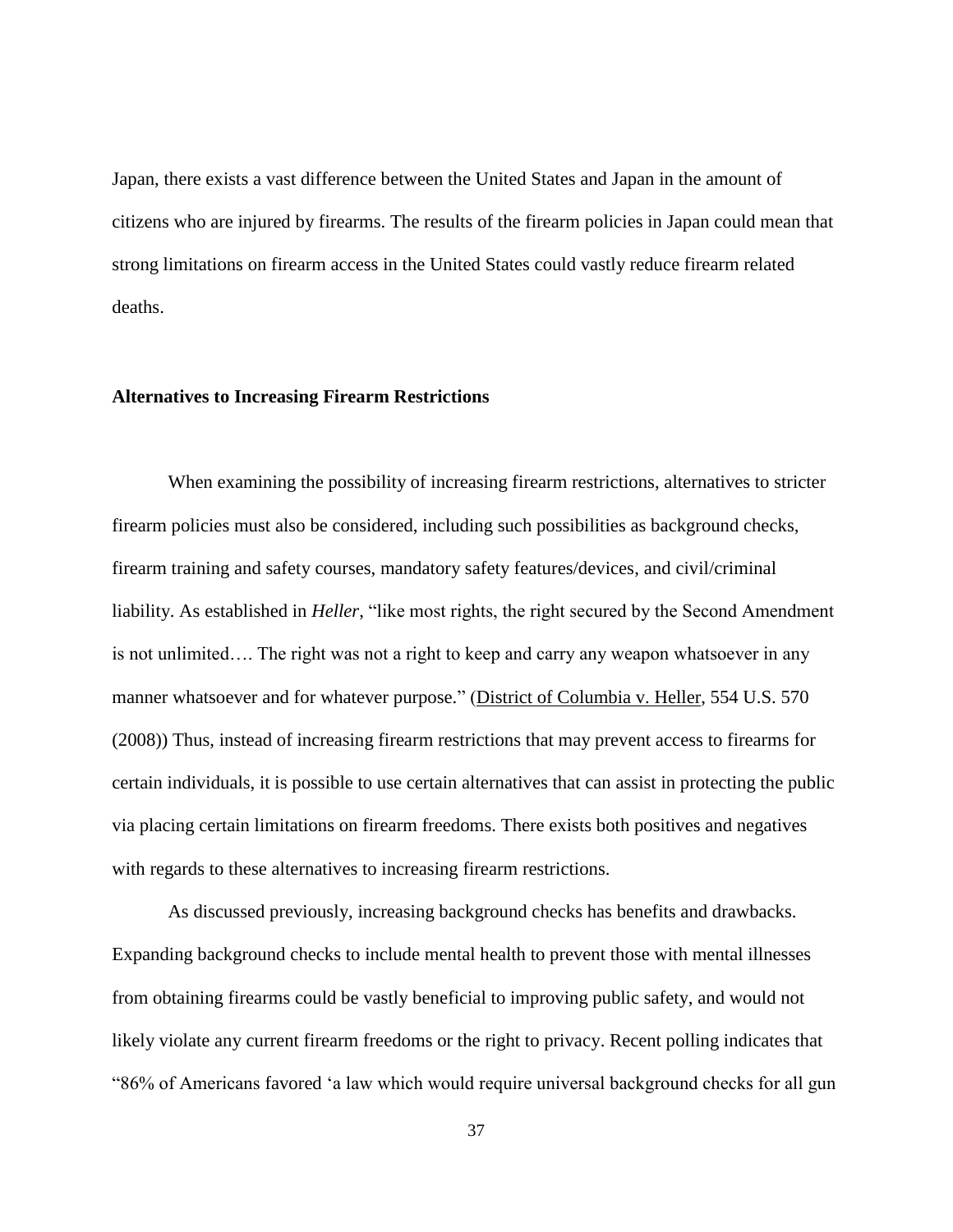Japan, there exists a vast difference between the United States and Japan in the amount of citizens who are injured by firearms. The results of the firearm policies in Japan could mean that strong limitations on firearm access in the United States could vastly reduce firearm related deaths.

#### <span id="page-43-0"></span>**Alternatives to Increasing Firearm Restrictions**

When examining the possibility of increasing firearm restrictions, alternatives to stricter firearm policies must also be considered, including such possibilities as background checks, firearm training and safety courses, mandatory safety features/devices, and civil/criminal liability. As established in *Heller*, "like most rights, the right secured by the Second Amendment is not unlimited…. The right was not a right to keep and carry any weapon whatsoever in any manner whatsoever and for whatever purpose." (District of Columbia v. Heller, 554 U.S. 570 (2008)) Thus, instead of increasing firearm restrictions that may prevent access to firearms for certain individuals, it is possible to use certain alternatives that can assist in protecting the public via placing certain limitations on firearm freedoms. There exists both positives and negatives with regards to these alternatives to increasing firearm restrictions.

As discussed previously, increasing background checks has benefits and drawbacks. Expanding background checks to include mental health to prevent those with mental illnesses from obtaining firearms could be vastly beneficial to improving public safety, and would not likely violate any current firearm freedoms or the right to privacy. Recent polling indicates that "86% of Americans [favored](http://www.gallup.com/poll/186263/majority-say-concealed-weapons-safer.aspx?g_source=guns&g_medium=search&g_campaign=tiles) 'a law which would require universal background checks for all gun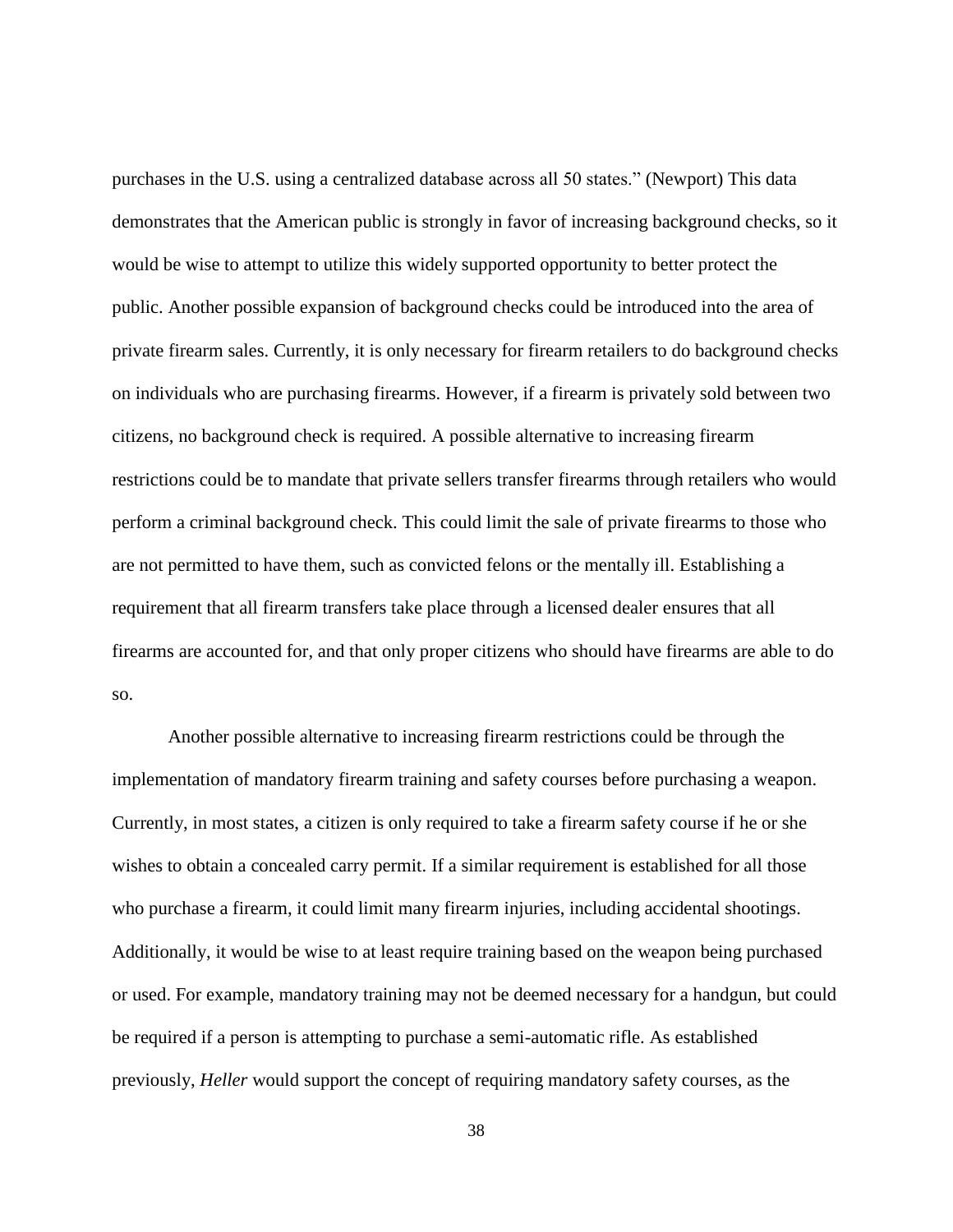purchases in the U.S. using a centralized database across all 50 states." (Newport) This data demonstrates that the American public is strongly in favor of increasing background checks, so it would be wise to attempt to utilize this widely supported opportunity to better protect the public. Another possible expansion of background checks could be introduced into the area of private firearm sales. Currently, it is only necessary for firearm retailers to do background checks on individuals who are purchasing firearms. However, if a firearm is privately sold between two citizens, no background check is required. A possible alternative to increasing firearm restrictions could be to mandate that private sellers transfer firearms through retailers who would perform a criminal background check. This could limit the sale of private firearms to those who are not permitted to have them, such as convicted felons or the mentally ill. Establishing a requirement that all firearm transfers take place through a licensed dealer ensures that all firearms are accounted for, and that only proper citizens who should have firearms are able to do so.

Another possible alternative to increasing firearm restrictions could be through the implementation of mandatory firearm training and safety courses before purchasing a weapon. Currently, in most states, a citizen is only required to take a firearm safety course if he or she wishes to obtain a concealed carry permit. If a similar requirement is established for all those who purchase a firearm, it could limit many firearm injuries, including accidental shootings. Additionally, it would be wise to at least require training based on the weapon being purchased or used. For example, mandatory training may not be deemed necessary for a handgun, but could be required if a person is attempting to purchase a semi-automatic rifle. As established previously, *Heller* would support the concept of requiring mandatory safety courses, as the

38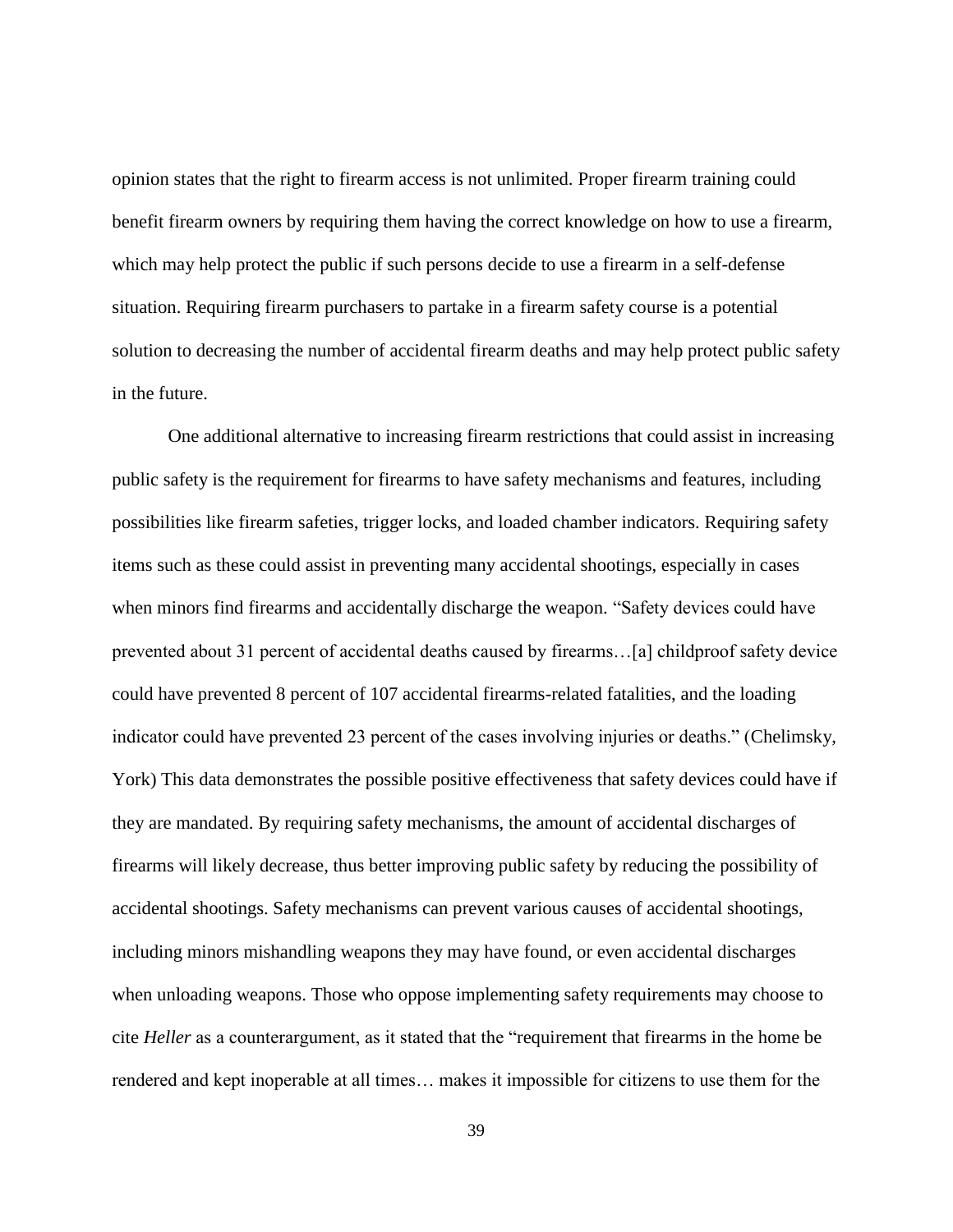opinion states that the right to firearm access is not unlimited. Proper firearm training could benefit firearm owners by requiring them having the correct knowledge on how to use a firearm, which may help protect the public if such persons decide to use a firearm in a self-defense situation. Requiring firearm purchasers to partake in a firearm safety course is a potential solution to decreasing the number of accidental firearm deaths and may help protect public safety in the future.

One additional alternative to increasing firearm restrictions that could assist in increasing public safety is the requirement for firearms to have safety mechanisms and features, including possibilities like firearm safeties, trigger locks, and loaded chamber indicators. Requiring safety items such as these could assist in preventing many accidental shootings, especially in cases when minors find firearms and accidentally discharge the weapon. "Safety devices could have prevented about 31 percent of accidental deaths caused by firearms…[a] childproof safety device could have prevented 8 percent of 107 accidental firearms-related fatalities, and the loading indicator could have prevented 23 percent of the cases involving injuries or deaths." (Chelimsky, York) This data demonstrates the possible positive effectiveness that safety devices could have if they are mandated. By requiring safety mechanisms, the amount of accidental discharges of firearms will likely decrease, thus better improving public safety by reducing the possibility of accidental shootings. Safety mechanisms can prevent various causes of accidental shootings, including minors mishandling weapons they may have found, or even accidental discharges when unloading weapons. Those who oppose implementing safety requirements may choose to cite *Heller* as a counterargument, as it stated that the "requirement that firearms in the home be rendered and kept inoperable at all times… makes it impossible for citizens to use them for the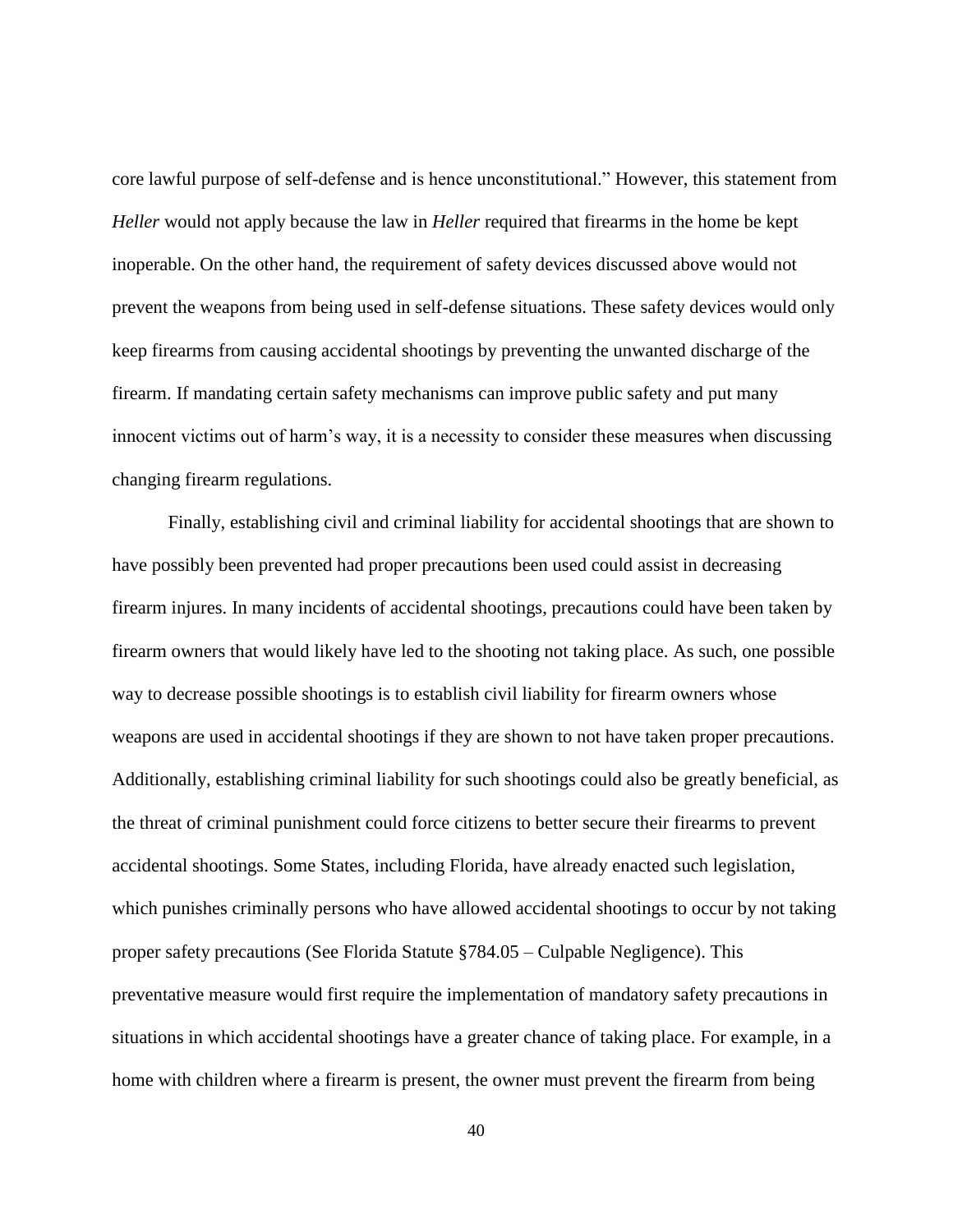core lawful purpose of self-defense and is hence unconstitutional." However, this statement from *Heller* would not apply because the law in *Heller* required that firearms in the home be kept inoperable. On the other hand, the requirement of safety devices discussed above would not prevent the weapons from being used in self-defense situations. These safety devices would only keep firearms from causing accidental shootings by preventing the unwanted discharge of the firearm. If mandating certain safety mechanisms can improve public safety and put many innocent victims out of harm's way, it is a necessity to consider these measures when discussing changing firearm regulations.

Finally, establishing civil and criminal liability for accidental shootings that are shown to have possibly been prevented had proper precautions been used could assist in decreasing firearm injures. In many incidents of accidental shootings, precautions could have been taken by firearm owners that would likely have led to the shooting not taking place. As such, one possible way to decrease possible shootings is to establish civil liability for firearm owners whose weapons are used in accidental shootings if they are shown to not have taken proper precautions. Additionally, establishing criminal liability for such shootings could also be greatly beneficial, as the threat of criminal punishment could force citizens to better secure their firearms to prevent accidental shootings. Some States, including Florida, have already enacted such legislation, which punishes criminally persons who have allowed accidental shootings to occur by not taking proper safety precautions (See Florida Statute §784.05 – Culpable Negligence). This preventative measure would first require the implementation of mandatory safety precautions in situations in which accidental shootings have a greater chance of taking place. For example, in a home with children where a firearm is present, the owner must prevent the firearm from being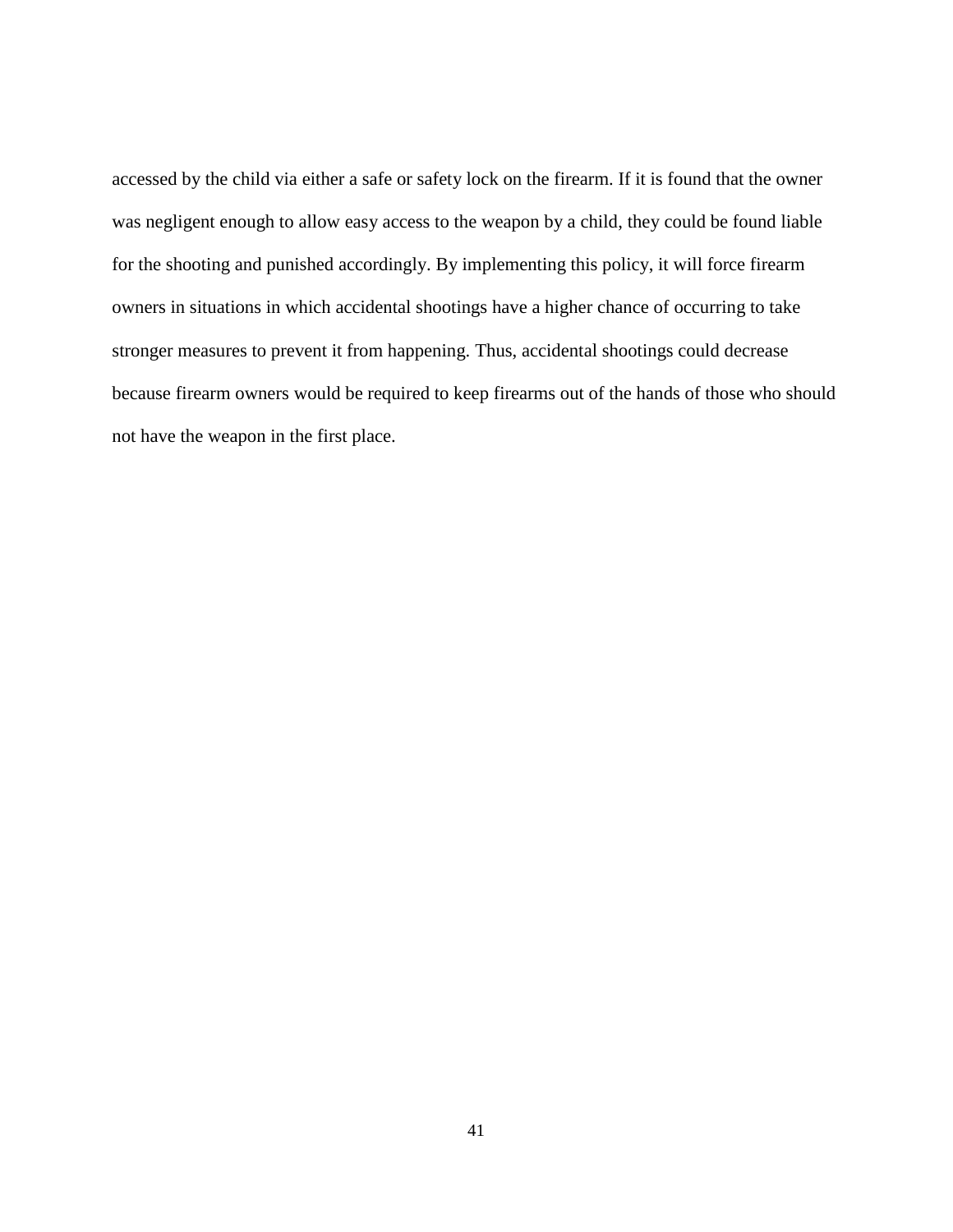accessed by the child via either a safe or safety lock on the firearm. If it is found that the owner was negligent enough to allow easy access to the weapon by a child, they could be found liable for the shooting and punished accordingly. By implementing this policy, it will force firearm owners in situations in which accidental shootings have a higher chance of occurring to take stronger measures to prevent it from happening. Thus, accidental shootings could decrease because firearm owners would be required to keep firearms out of the hands of those who should not have the weapon in the first place.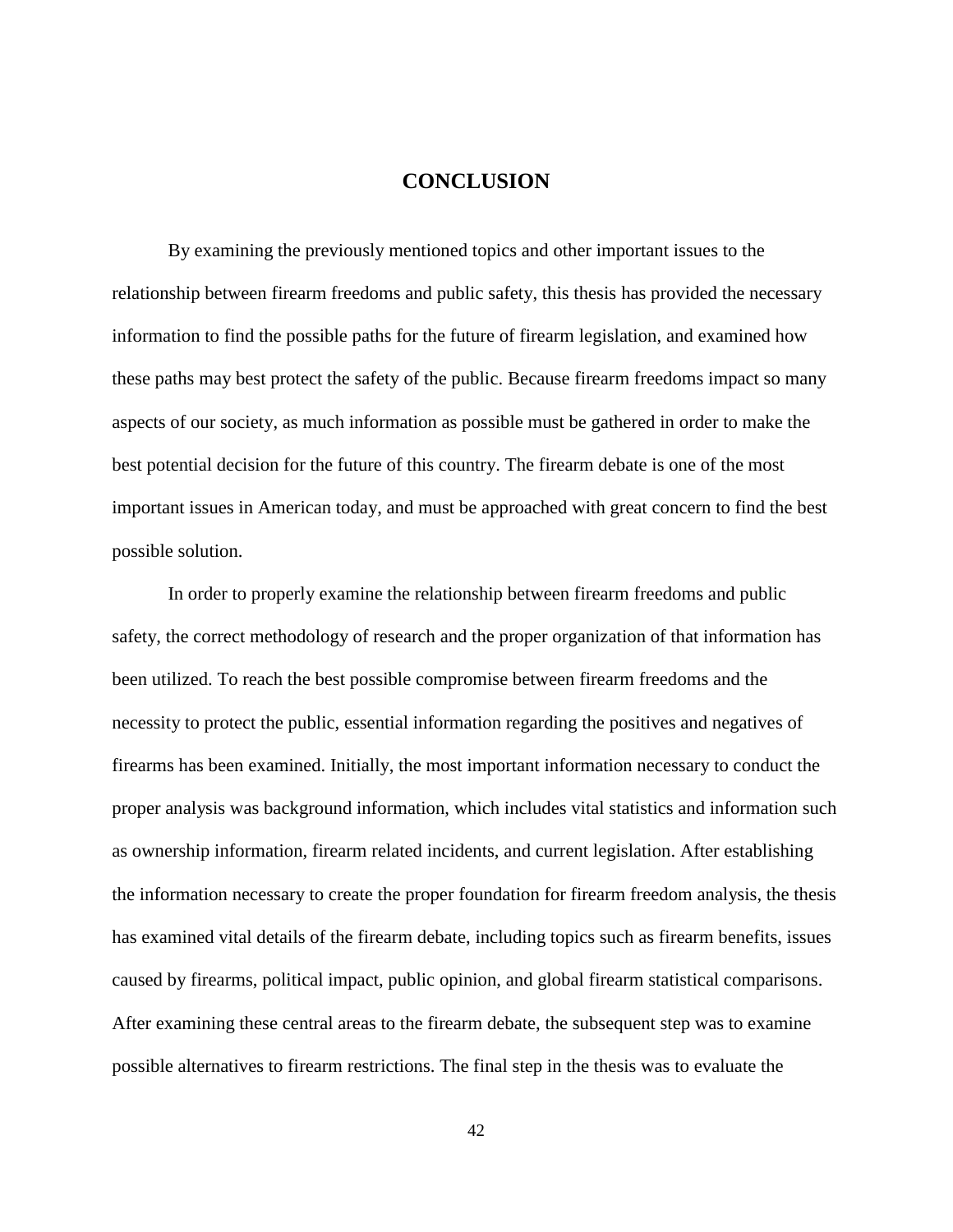# **CONCLUSION**

<span id="page-48-0"></span>By examining the previously mentioned topics and other important issues to the relationship between firearm freedoms and public safety, this thesis has provided the necessary information to find the possible paths for the future of firearm legislation, and examined how these paths may best protect the safety of the public. Because firearm freedoms impact so many aspects of our society, as much information as possible must be gathered in order to make the best potential decision for the future of this country. The firearm debate is one of the most important issues in American today, and must be approached with great concern to find the best possible solution.

In order to properly examine the relationship between firearm freedoms and public safety, the correct methodology of research and the proper organization of that information has been utilized. To reach the best possible compromise between firearm freedoms and the necessity to protect the public, essential information regarding the positives and negatives of firearms has been examined. Initially, the most important information necessary to conduct the proper analysis was background information, which includes vital statistics and information such as ownership information, firearm related incidents, and current legislation. After establishing the information necessary to create the proper foundation for firearm freedom analysis, the thesis has examined vital details of the firearm debate, including topics such as firearm benefits, issues caused by firearms, political impact, public opinion, and global firearm statistical comparisons. After examining these central areas to the firearm debate, the subsequent step was to examine possible alternatives to firearm restrictions. The final step in the thesis was to evaluate the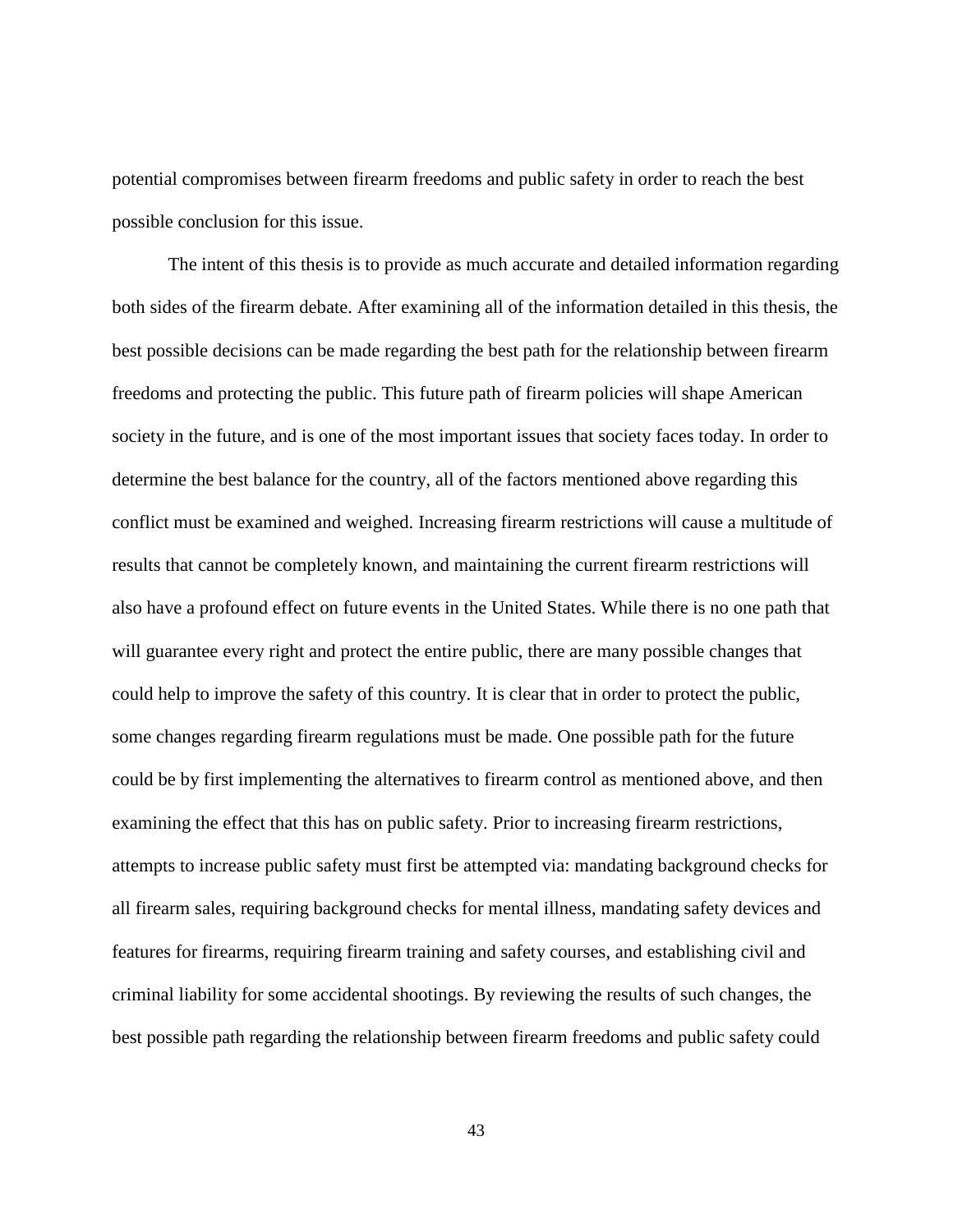potential compromises between firearm freedoms and public safety in order to reach the best possible conclusion for this issue.

The intent of this thesis is to provide as much accurate and detailed information regarding both sides of the firearm debate. After examining all of the information detailed in this thesis, the best possible decisions can be made regarding the best path for the relationship between firearm freedoms and protecting the public. This future path of firearm policies will shape American society in the future, and is one of the most important issues that society faces today. In order to determine the best balance for the country, all of the factors mentioned above regarding this conflict must be examined and weighed. Increasing firearm restrictions will cause a multitude of results that cannot be completely known, and maintaining the current firearm restrictions will also have a profound effect on future events in the United States. While there is no one path that will guarantee every right and protect the entire public, there are many possible changes that could help to improve the safety of this country. It is clear that in order to protect the public, some changes regarding firearm regulations must be made. One possible path for the future could be by first implementing the alternatives to firearm control as mentioned above, and then examining the effect that this has on public safety. Prior to increasing firearm restrictions, attempts to increase public safety must first be attempted via: mandating background checks for all firearm sales, requiring background checks for mental illness, mandating safety devices and features for firearms, requiring firearm training and safety courses, and establishing civil and criminal liability for some accidental shootings. By reviewing the results of such changes, the best possible path regarding the relationship between firearm freedoms and public safety could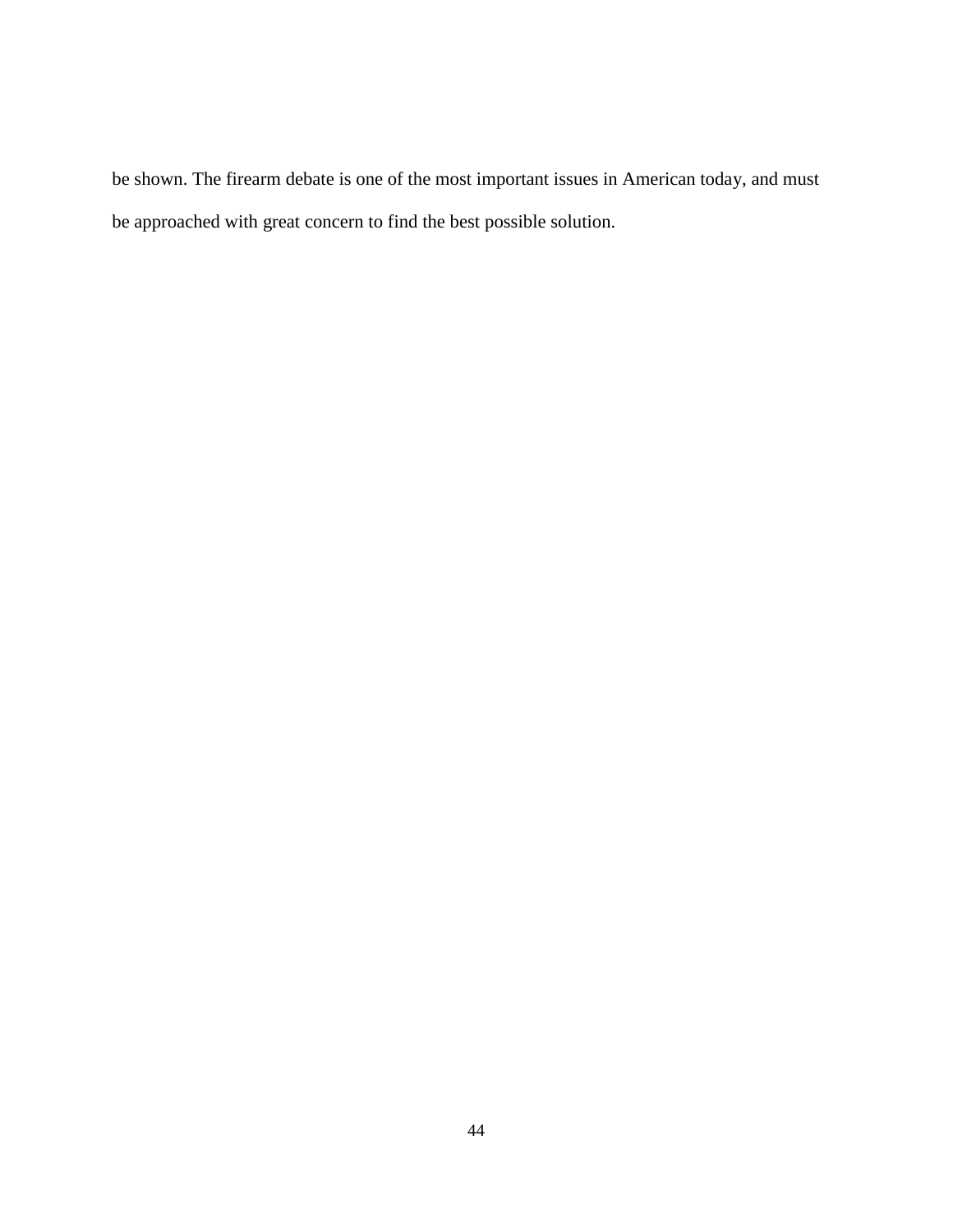be shown. The firearm debate is one of the most important issues in American today, and must be approached with great concern to find the best possible solution.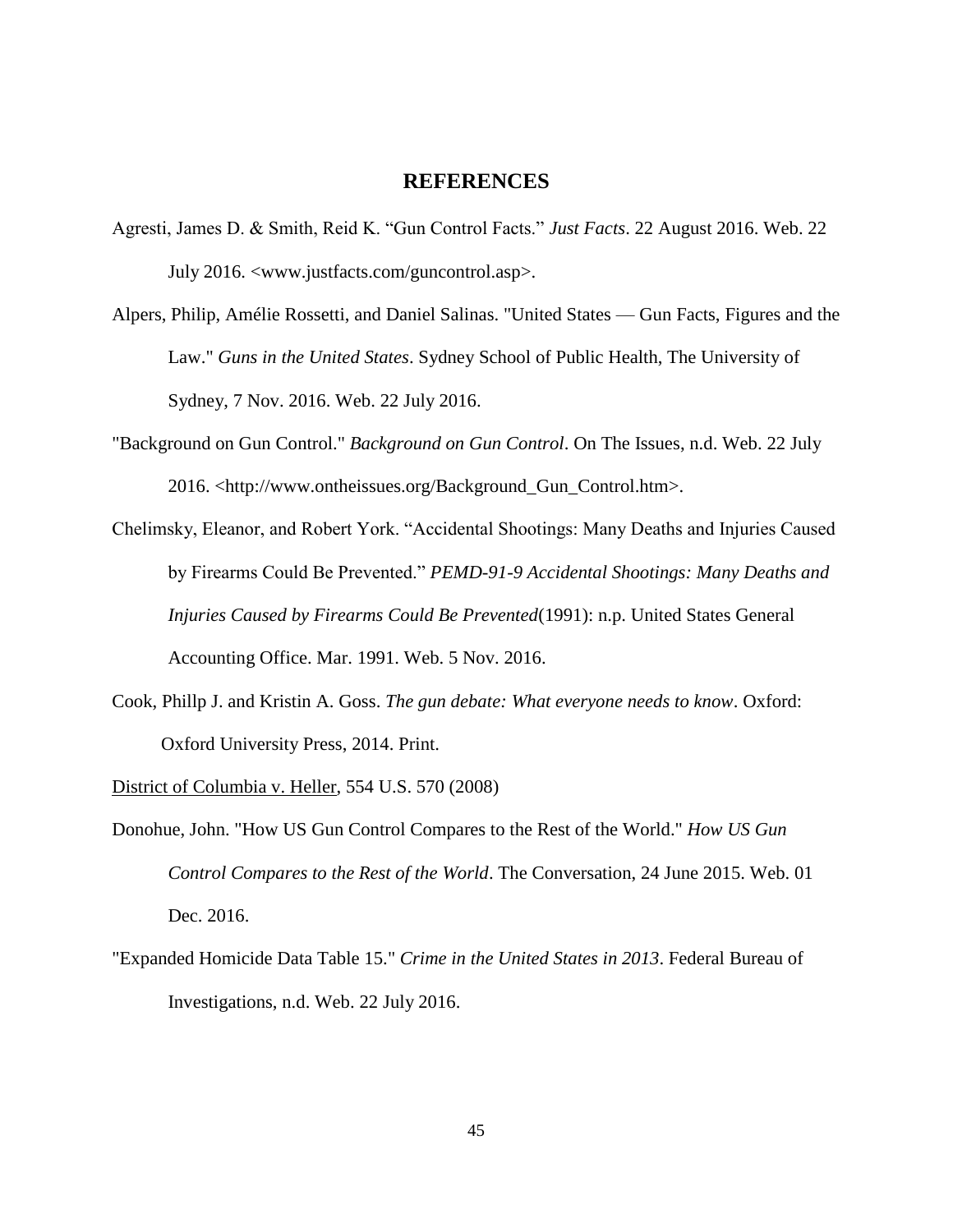# **REFERENCES**

- <span id="page-51-0"></span>Agresti, James D. & Smith, Reid K. "Gun Control Facts." *Just Facts*. 22 August 2016. Web. 22 July 2016. <www.justfacts.com/guncontrol.asp>.
- Alpers, Philip, Amélie Rossetti, and Daniel Salinas. "United States Gun Facts, Figures and the Law." *Guns in the United States*. Sydney School of Public Health, The University of Sydney, 7 Nov. 2016. Web. 22 July 2016.
- "Background on Gun Control." *Background on Gun Control*. On The Issues, n.d. Web. 22 July 2016. <http://www.ontheissues.org/Background\_Gun\_Control.htm>.
- Chelimsky, Eleanor, and Robert York. "Accidental Shootings: Many Deaths and Injuries Caused by Firearms Could Be Prevented." *PEMD-91-9 Accidental Shootings: Many Deaths and Injuries Caused by Firearms Could Be Prevented*(1991): n.p. United States General Accounting Office. Mar. 1991. Web. 5 Nov. 2016.
- Cook, Phillp J. and Kristin A. Goss. *The gun debate: What everyone needs to know*. Oxford: Oxford University Press, 2014. Print.
- District of Columbia v. Heller, 554 U.S. 570 (2008)
- Donohue, John. "How US Gun Control Compares to the Rest of the World." *How US Gun Control Compares to the Rest of the World*. The Conversation, 24 June 2015. Web. 01 Dec. 2016.
- "Expanded Homicide Data Table 15." *Crime in the United States in 2013*. Federal Bureau of Investigations, n.d. Web. 22 July 2016.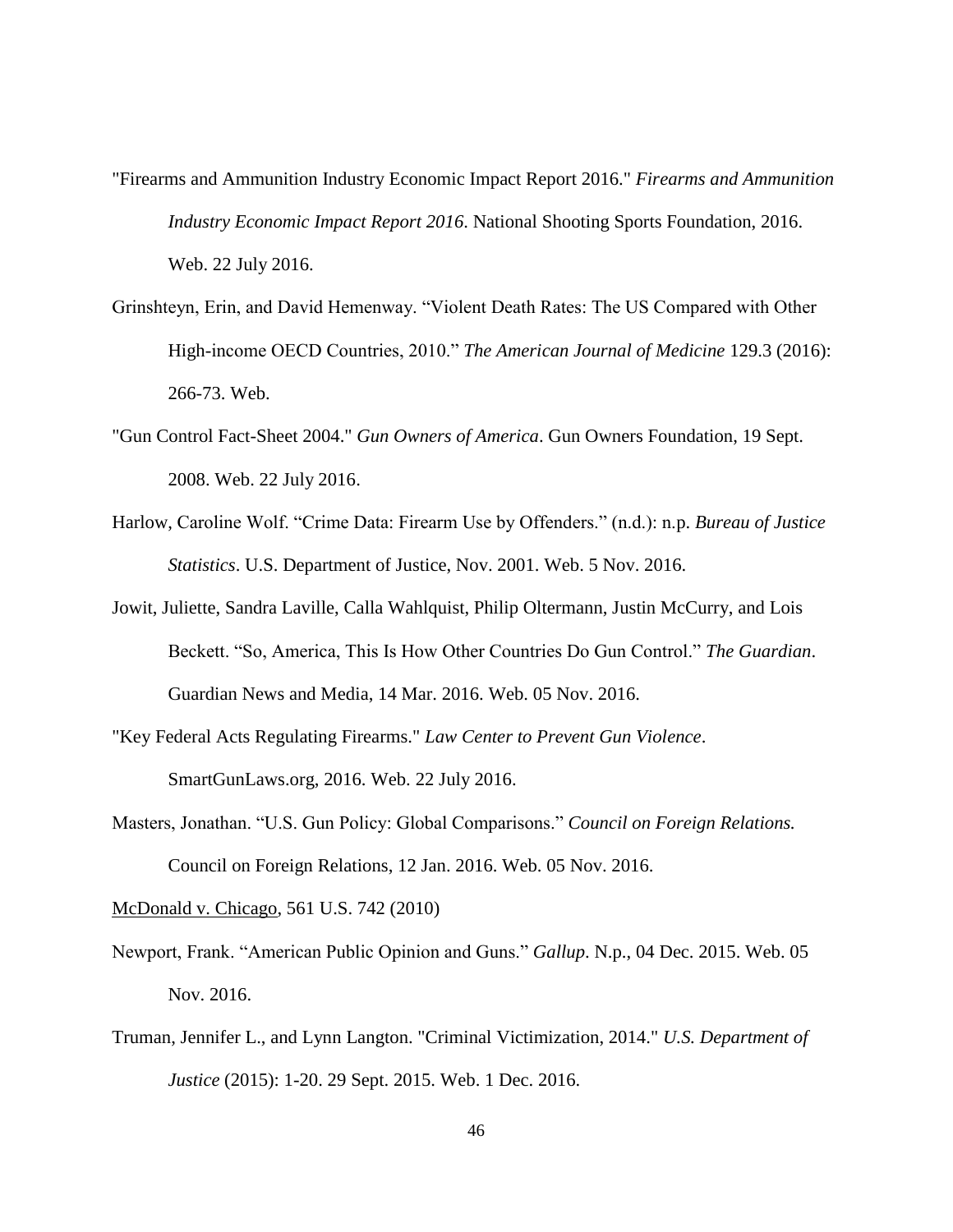- "Firearms and Ammunition Industry Economic Impact Report 2016." *Firearms and Ammunition Industry Economic Impact Report 2016*. National Shooting Sports Foundation, 2016. Web. 22 July 2016.
- Grinshteyn, Erin, and David Hemenway. "Violent Death Rates: The US Compared with Other High-income OECD Countries, 2010." *The American Journal of Medicine* 129.3 (2016): 266-73. Web.
- "Gun Control Fact-Sheet 2004." *Gun Owners of America*. Gun Owners Foundation, 19 Sept. 2008. Web. 22 July 2016.
- Harlow, Caroline Wolf. "Crime Data: Firearm Use by Offenders." (n.d.): n.p. *Bureau of Justice Statistics*. U.S. Department of Justice, Nov. 2001. Web. 5 Nov. 2016.
- Jowit, Juliette, Sandra Laville, Calla Wahlquist, Philip Oltermann, Justin McCurry, and Lois Beckett. "So, America, This Is How Other Countries Do Gun Control." *The Guardian*. Guardian News and Media, 14 Mar. 2016. Web. 05 Nov. 2016.
- "Key Federal Acts Regulating Firearms." *Law Center to Prevent Gun Violence*. SmartGunLaws.org, 2016. Web. 22 July 2016.
- Masters, Jonathan. "U.S. Gun Policy: Global Comparisons." *Council on Foreign Relations.*  Council on Foreign Relations, 12 Jan. 2016. Web. 05 Nov. 2016.

McDonald v. Chicago, 561 U.S. 742 (2010)

- Newport, Frank. "American Public Opinion and Guns." *Gallup*. N.p., 04 Dec. 2015. Web. 05 Nov. 2016.
- Truman, Jennifer L., and Lynn Langton. "Criminal Victimization, 2014." *U.S. Department of Justice* (2015): 1-20. 29 Sept. 2015. Web. 1 Dec. 2016.